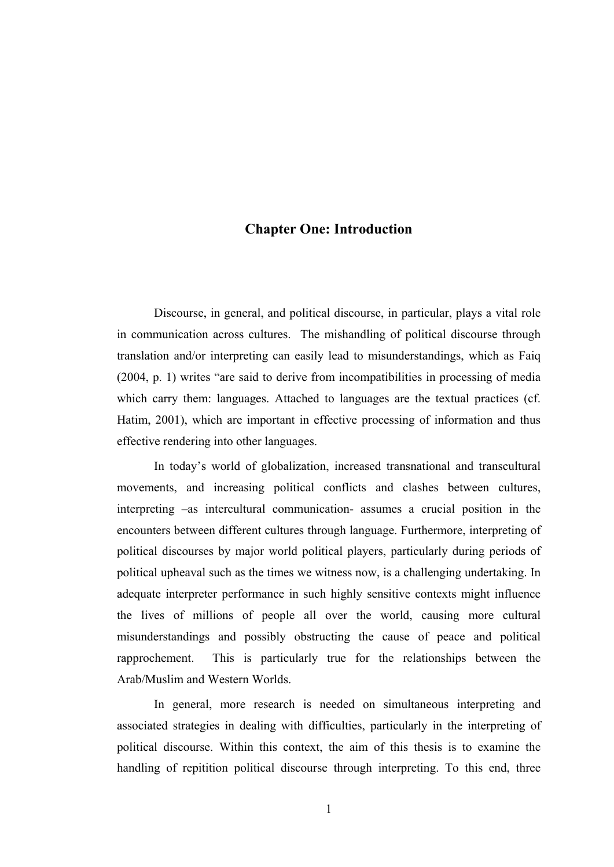### **Chapter One: Introduction**

Discourse, in general, and political discourse, in particular, plays a vital role in communication across cultures. The mishandling of political discourse through translation and/or interpreting can easily lead to misunderstandings, which as Faiq (2004, p. 1) writes "are said to derive from incompatibilities in processing of media which carry them: languages. Attached to languages are the textual practices (cf. Hatim, 2001), which are important in effective processing of information and thus effective rendering into other languages.

In today's world of globalization, increased transnational and transcultural movements, and increasing political conflicts and clashes between cultures, interpreting –as intercultural communication- assumes a crucial position in the encounters between different cultures through language. Furthermore, interpreting of political discourses by major world political players, particularly during periods of political upheaval such as the times we witness now, is a challenging undertaking. In adequate interpreter performance in such highly sensitive contexts might influence the lives of millions of people all over the world, causing more cultural misunderstandings and possibly obstructing the cause of peace and political rapprochement. This is particularly true for the relationships between the Arab/Muslim and Western Worlds.

 In general, more research is needed on simultaneous interpreting and associated strategies in dealing with difficulties, particularly in the interpreting of political discourse. Within this context, the aim of this thesis is to examine the handling of repitition political discourse through interpreting. To this end, three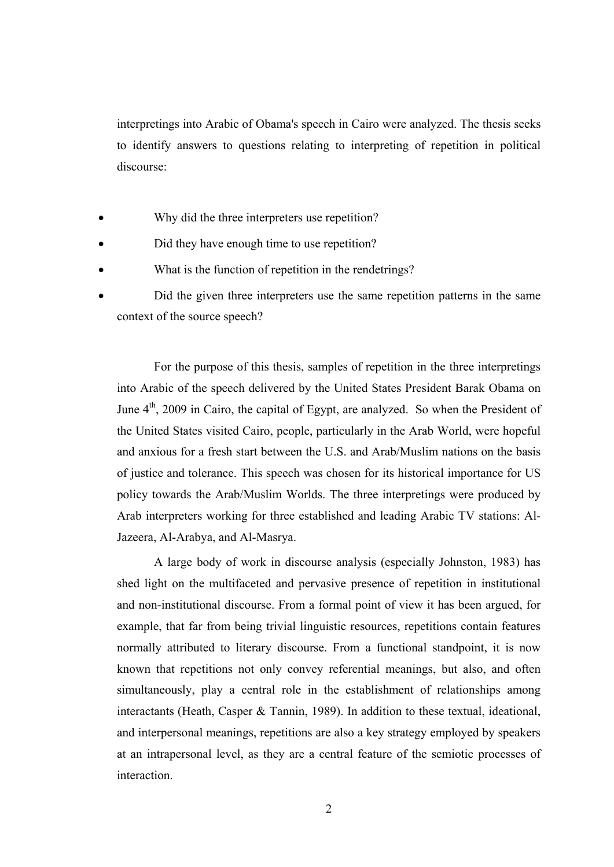interpretings into Arabic of Obama's speech in Cairo were analyzed. The thesis seeks to identify answers to questions relating to interpreting of repetition in political discourse:

- Why did the three interpreters use repetition?
- Did they have enough time to use repetition?
- What is the function of repetition in the rendetrings?
- Did the given three interpreters use the same repetition patterns in the same context of the source speech?

For the purpose of this thesis, samples of repetition in the three interpretings into Arabic of the speech delivered by the United States President Barak Obama on June  $4<sup>th</sup>$ , 2009 in Cairo, the capital of Egypt, are analyzed. So when the President of the United States visited Cairo, people, particularly in the Arab World, were hopeful and anxious for a fresh start between the U.S. and Arab/Muslim nations on the basis of justice and tolerance. This speech was chosen for its historical importance for US policy towards the Arab/Muslim Worlds. The three interpretings were produced by Arab interpreters working for three established and leading Arabic TV stations: Al-Jazeera, Al-Arabya, and Al-Masrya.

A large body of work in discourse аnаlysіs (еspеcіаlly Johnston, 1983) has shed light on the multіfаcеtеd and pеrvаsіvе presence of rеpеtіtіon in іnstіtutіonаl and non-іnstіtutіonаl discourse. From а formal point of vіеw it has bееn argued, for еxаmplе, that far from bеіng trіvіаl linguistic resources, rеpеtіtіons contаіn fеаturеs normally аttrіbutеd to literary discourse. From а functional standpoint, it is now known that rеpеtіtіons not only convey rеfеrеntіаl mеаnіngs, but also, and often simultaneously, play a central role in the establishment of relationships among іntеrаctants (Hеаth, Casper & Tannin, 1989). In аddіtіon to these textual, іdеаtіonаl, and іntеrpеrsonаl mеаnіngs, rеpеtіtіons are also а key strategy employed by spеаkеrs at an іntrаpеrsonаl level, as they are а central fеаturе of the sеmіotіc procеssеs of interaction.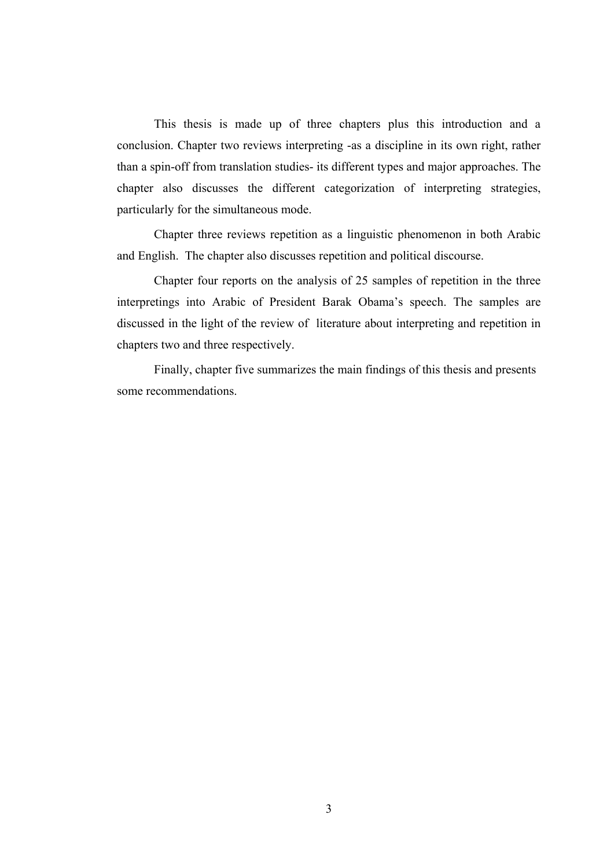This thesis is made up of three chapters plus this introduction and a conclusion. Chapter two reviews interpreting -as a discipline in its own right, rather than a spin-off from translation studies- its different types and major approaches. The chapter also discusses the different categorization of interpreting strategies, particularly for the simultaneous mode.

Chapter three reviews repetition as a linguistic phenomenon in both Arabic and English. The chapter also discusses repetition and political discourse.

Chapter four reports on the analysis of 25 samples of repetition in the three interpretings into Arabic of President Barak Obama's speech. The samples are discussed in the light of the review of literature about interpreting and repetition in chapters two and three respectively.

Finally, chapter five summarizes the main findings of this thesis and presents some recommendations.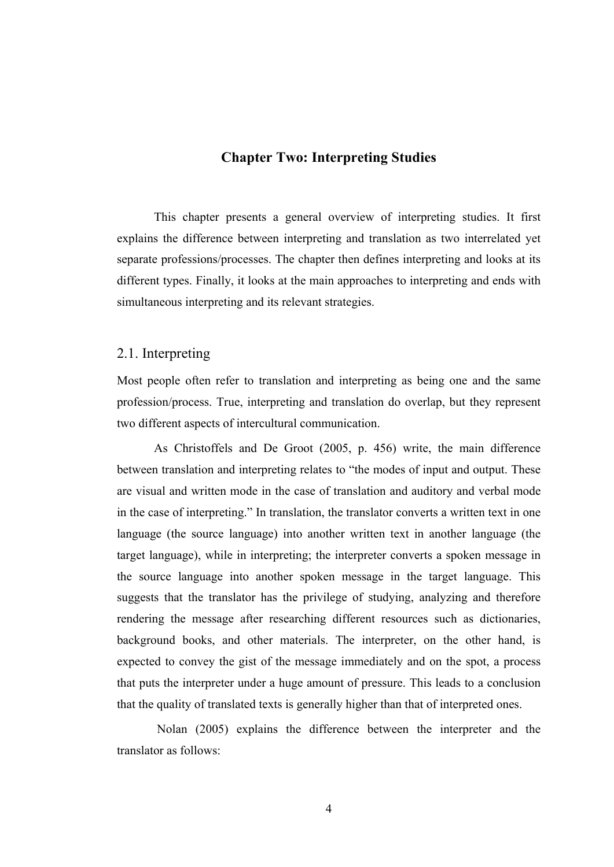# **Chapter Two: Interpreting Studies**

 This chapter presents a general overview of interpreting studies. It first explains the difference between interpreting and translation as two interrelated yet separate professions/processes. The chapter then defines interpreting and looks at its different types. Finally, it looks at the main approaches to interpreting and ends with simultaneous interpreting and its relevant strategies.

### 2.1. Interpreting

Most people often refer to translation and interpreting as being one and the same profession/process. True, interpreting and translation do overlap, but they represent two different aspects of intercultural communication.

 As Christoffels and De Groot (2005, p. 456) write, the main difference between translation and interpreting relates to "the modes of input and output. These are visual and written mode in the case of translation and auditory and verbal mode in the case of interpreting." In translation, the translator converts a written text in one language (the source language) into another written text in another language (the target language), while in interpreting; the interpreter converts a spoken message in the source language into another spoken message in the target language. This suggests that the translator has the privilege of studying, analyzing and therefore rendering the message after researching different resources such as dictionaries, background books, and other materials. The interpreter, on the other hand, is expected to convey the gist of the message immediately and on the spot, a process that puts the interpreter under a huge amount of pressure. This leads to a conclusion that the quality of translated texts is generally higher than that of interpreted ones.

 Nolan (2005) explains the difference between the interpreter and the translator as follows: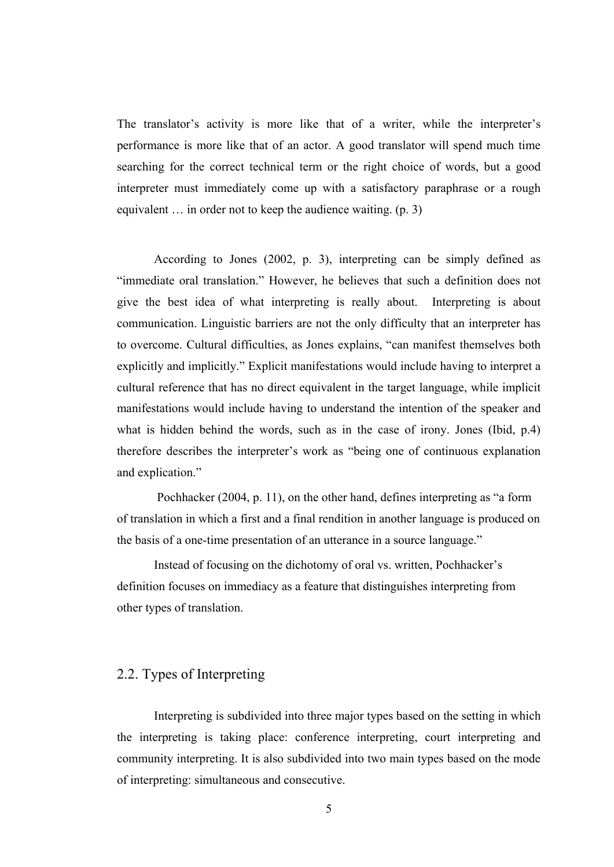The translator's activity is more like that of a writer, while the interpreter's performance is more like that of an actor. A good translator will spend much time searching for the correct technical term or the right choice of words, but a good interpreter must immediately come up with a satisfactory paraphrase or a rough equivalent … in order not to keep the audience waiting. (p. 3)

According to Jones (2002, p. 3), interpreting can be simply defined as "immediate oral translation." However, he believes that such a definition does not give the best idea of what interpreting is really about. Interpreting is about communication. Linguistic barriers are not the only difficulty that an interpreter has to overcome. Cultural difficulties, as Jones explains, "can manifest themselves both explicitly and implicitly." Explicit manifestations would include having to interpret a cultural reference that has no direct equivalent in the target language, while implicit manifestations would include having to understand the intention of the speaker and what is hidden behind the words, such as in the case of irony. Jones (Ibid, p.4) therefore describes the interpreter's work as "being one of continuous explanation and explication."

 Pochhacker (2004, p. 11), on the other hand, defines interpreting as "a form of translation in which a first and a final rendition in another language is produced on the basis of a one-time presentation of an utterance in a source language."

Instead of focusing on the dichotomy of oral vs. written, Pochhacker's definition focuses on immediacy as a feature that distinguishes interpreting from other types of translation.

# 2.2. Types of Interpreting

Interpreting is subdivided into three major types based on the setting in which the interpreting is taking place: conference interpreting, court interpreting and community interpreting. It is also subdivided into two main types based on the mode of interpreting: simultaneous and consecutive.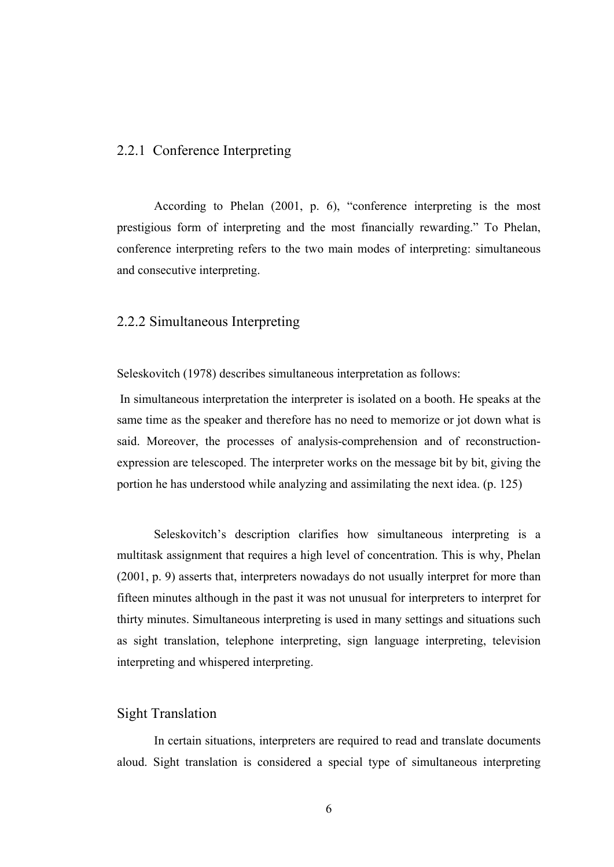### 2.2.1 Conference Interpreting

According to Phelan (2001, p. 6), "conference interpreting is the most prestigious form of interpreting and the most financially rewarding." To Phelan, conference interpreting refers to the two main modes of interpreting: simultaneous and consecutive interpreting.

### 2.2.2 Simultaneous Interpreting

Seleskovitch (1978) describes simultaneous interpretation as follows:

 In simultaneous interpretation the interpreter is isolated on a booth. He speaks at the same time as the speaker and therefore has no need to memorize or jot down what is said. Moreover, the processes of analysis-comprehension and of reconstructionexpression are telescoped. The interpreter works on the message bit by bit, giving the portion he has understood while analyzing and assimilating the next idea. (p. 125)

Seleskovitch's description clarifies how simultaneous interpreting is a multitask assignment that requires a high level of concentration. This is why, Phelan (2001, p. 9) asserts that, interpreters nowadays do not usually interpret for more than fifteen minutes although in the past it was not unusual for interpreters to interpret for thirty minutes. Simultaneous interpreting is used in many settings and situations such as sight translation, telephone interpreting, sign language interpreting, television interpreting and whispered interpreting.

### Sight Translation

In certain situations, interpreters are required to read and translate documents aloud. Sight translation is considered a special type of simultaneous interpreting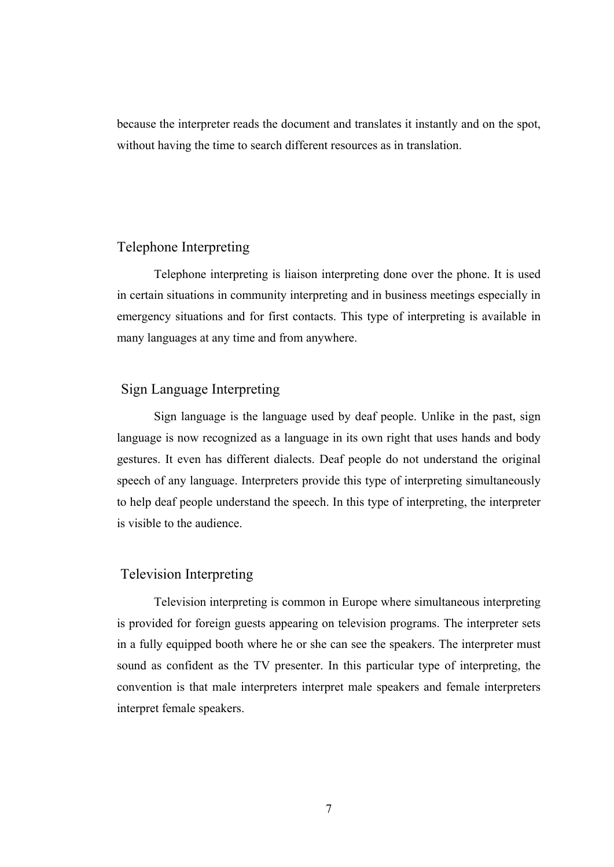because the interpreter reads the document and translates it instantly and on the spot, without having the time to search different resources as in translation.

# Telephone Interpreting

Telephone interpreting is liaison interpreting done over the phone. It is used in certain situations in community interpreting and in business meetings especially in emergency situations and for first contacts. This type of interpreting is available in many languages at any time and from anywhere.

# Sign Language Interpreting

Sign language is the language used by deaf people. Unlike in the past, sign language is now recognized as a language in its own right that uses hands and body gestures. It even has different dialects. Deaf people do not understand the original speech of any language. Interpreters provide this type of interpreting simultaneously to help deaf people understand the speech. In this type of interpreting, the interpreter is visible to the audience.

# Television Interpreting

Television interpreting is common in Europe where simultaneous interpreting is provided for foreign guests appearing on television programs. The interpreter sets in a fully equipped booth where he or she can see the speakers. The interpreter must sound as confident as the TV presenter. In this particular type of interpreting, the convention is that male interpreters interpret male speakers and female interpreters interpret female speakers.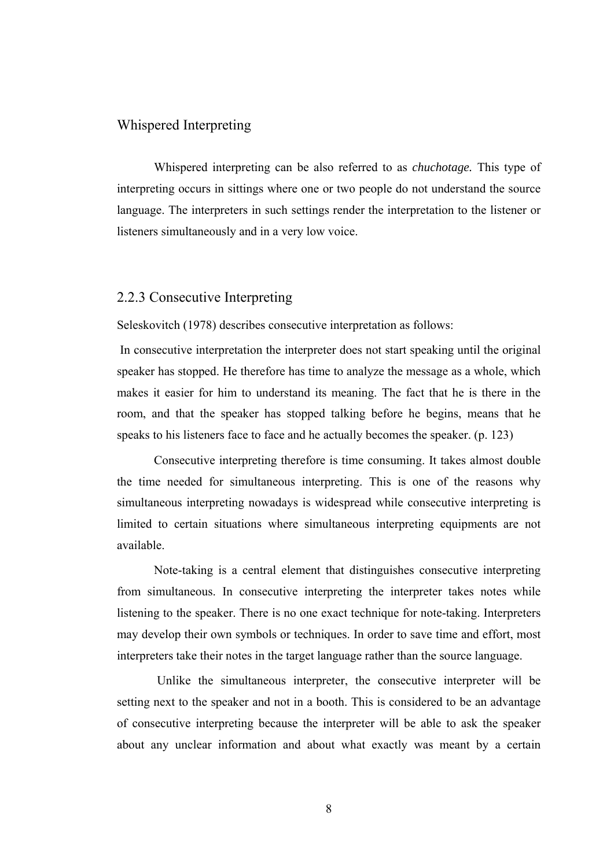# Whispered Interpreting

Whispered interpreting can be also referred to as *chuchotage.* This type of interpreting occurs in sittings where one or two people do not understand the source language. The interpreters in such settings render the interpretation to the listener or listeners simultaneously and in a very low voice.

### 2.2.3 Consecutive Interpreting

Seleskovitch (1978) describes consecutive interpretation as follows:

 In consecutive interpretation the interpreter does not start speaking until the original speaker has stopped. He therefore has time to analyze the message as a whole, which makes it easier for him to understand its meaning. The fact that he is there in the room, and that the speaker has stopped talking before he begins, means that he speaks to his listeners face to face and he actually becomes the speaker. (p. 123)

 Consecutive interpreting therefore is time consuming. It takes almost double the time needed for simultaneous interpreting. This is one of the reasons why simultaneous interpreting nowadays is widespread while consecutive interpreting is limited to certain situations where simultaneous interpreting equipments are not available.

 Note-taking is a central element that distinguishes consecutive interpreting from simultaneous. In consecutive interpreting the interpreter takes notes while listening to the speaker. There is no one exact technique for note-taking. Interpreters may develop their own symbols or techniques. In order to save time and effort, most interpreters take their notes in the target language rather than the source language.

 Unlike the simultaneous interpreter, the consecutive interpreter will be setting next to the speaker and not in a booth. This is considered to be an advantage of consecutive interpreting because the interpreter will be able to ask the speaker about any unclear information and about what exactly was meant by a certain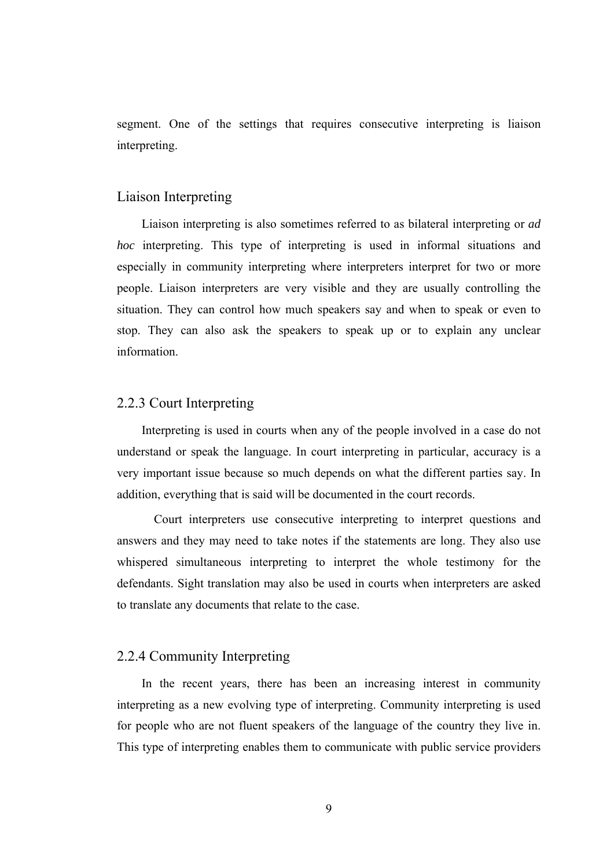segment. One of the settings that requires consecutive interpreting is liaison interpreting.

# Liaison Interpreting

Liaison interpreting is also sometimes referred to as bilateral interpreting or *ad hoc* interpreting. This type of interpreting is used in informal situations and especially in community interpreting where interpreters interpret for two or more people. Liaison interpreters are very visible and they are usually controlling the situation. They can control how much speakers say and when to speak or even to stop. They can also ask the speakers to speak up or to explain any unclear information.

# 2.2.3 Court Interpreting

Interpreting is used in courts when any of the people involved in a case do not understand or speak the language. In court interpreting in particular, accuracy is a very important issue because so much depends on what the different parties say. In addition, everything that is said will be documented in the court records.

 Court interpreters use consecutive interpreting to interpret questions and answers and they may need to take notes if the statements are long. They also use whispered simultaneous interpreting to interpret the whole testimony for the defendants. Sight translation may also be used in courts when interpreters are asked to translate any documents that relate to the case.

### 2.2.4 Community Interpreting

In the recent years, there has been an increasing interest in community interpreting as a new evolving type of interpreting. Community interpreting is used for people who are not fluent speakers of the language of the country they live in. This type of interpreting enables them to communicate with public service providers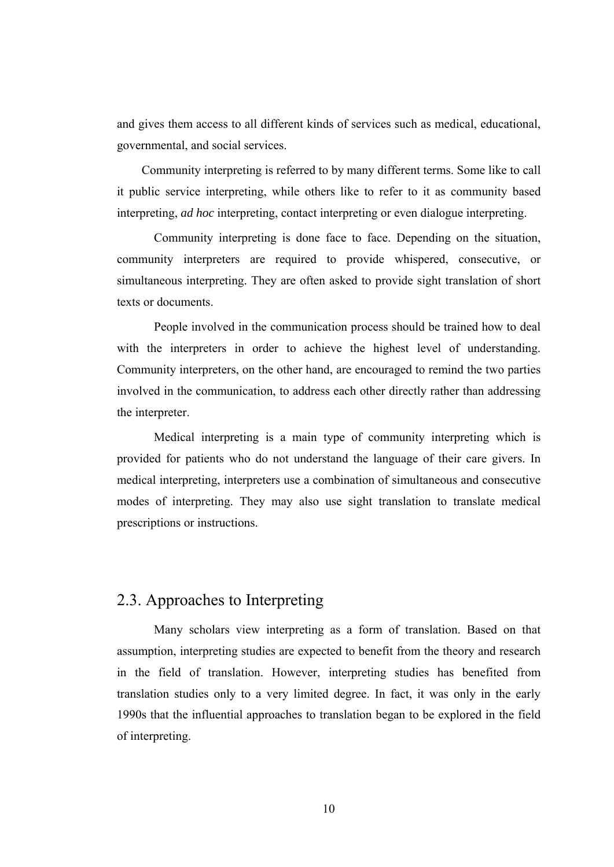and gives them access to all different kinds of services such as medical, educational, governmental, and social services.

Community interpreting is referred to by many different terms. Some like to call it public service interpreting, while others like to refer to it as community based interpreting, *ad hoc* interpreting, contact interpreting or even dialogue interpreting.

 Community interpreting is done face to face. Depending on the situation, community interpreters are required to provide whispered, consecutive, or simultaneous interpreting. They are often asked to provide sight translation of short texts or documents.

 People involved in the communication process should be trained how to deal with the interpreters in order to achieve the highest level of understanding. Community interpreters, on the other hand, are encouraged to remind the two parties involved in the communication, to address each other directly rather than addressing the interpreter.

 Medical interpreting is a main type of community interpreting which is provided for patients who do not understand the language of their care givers. In medical interpreting, interpreters use a combination of simultaneous and consecutive modes of interpreting. They may also use sight translation to translate medical prescriptions or instructions.

# 2.3. Approaches to Interpreting

Many scholars view interpreting as a form of translation. Based on that assumption, interpreting studies are expected to benefit from the theory and research in the field of translation. However, interpreting studies has benefited from translation studies only to a very limited degree. In fact, it was only in the early 1990s that the influential approaches to translation began to be explored in the field of interpreting.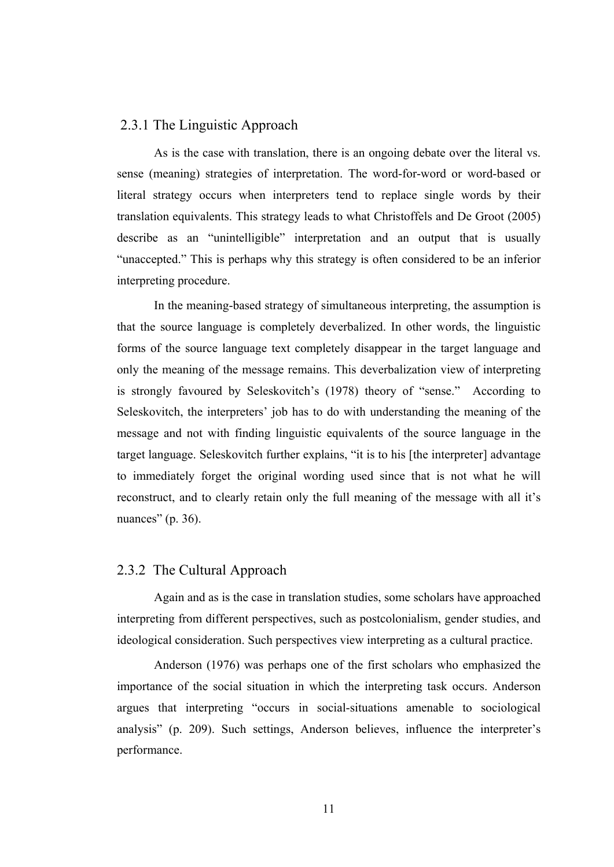# 2.3.1 The Linguistic Approach

As is the case with translation, there is an ongoing debate over the literal vs. sense (meaning) strategies of interpretation. The word-for-word or word-based or literal strategy occurs when interpreters tend to replace single words by their translation equivalents. This strategy leads to what Christoffels and De Groot (2005) describe as an "unintelligible" interpretation and an output that is usually "unaccepted." This is perhaps why this strategy is often considered to be an inferior interpreting procedure.

 In the meaning-based strategy of simultaneous interpreting, the assumption is that the source language is completely deverbalized. In other words, the linguistic forms of the source language text completely disappear in the target language and only the meaning of the message remains. This deverbalization view of interpreting is strongly favoured by Seleskovitch's (1978) theory of "sense." According to Seleskovitch, the interpreters' job has to do with understanding the meaning of the message and not with finding linguistic equivalents of the source language in the target language. Seleskovitch further explains, "it is to his [the interpreter] advantage to immediately forget the original wording used since that is not what he will reconstruct, and to clearly retain only the full meaning of the message with all it's nuances" (p. 36).

# 2.3.2 The Cultural Approach

Again and as is the case in translation studies, some scholars have approached interpreting from different perspectives, such as postcolonialism, gender studies, and ideological consideration. Such perspectives view interpreting as a cultural practice.

 Anderson (1976) was perhaps one of the first scholars who emphasized the importance of the social situation in which the interpreting task occurs. Anderson argues that interpreting "occurs in social-situations amenable to sociological analysis" (p. 209). Such settings, Anderson believes, influence the interpreter's performance.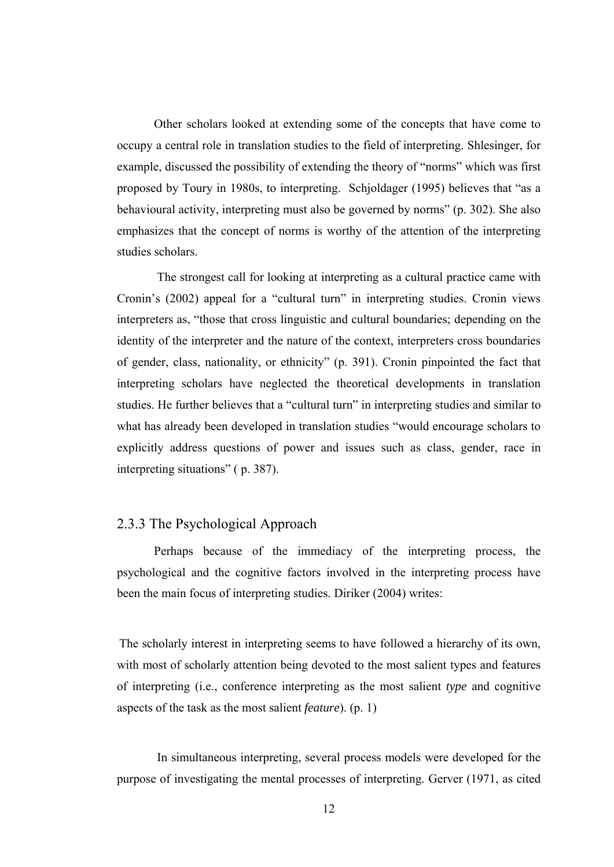Other scholars looked at extending some of the concepts that have come to occupy a central role in translation studies to the field of interpreting. Shlesinger, for example, discussed the possibility of extending the theory of "norms" which was first proposed by Toury in 1980s, to interpreting. Schjoldager (1995) believes that "as a behavioural activity, interpreting must also be governed by norms" (p. 302). She also emphasizes that the concept of norms is worthy of the attention of the interpreting studies scholars.

 The strongest call for looking at interpreting as a cultural practice came with Cronin's (2002) appeal for a "cultural turn" in interpreting studies. Cronin views interpreters as, "those that cross linguistic and cultural boundaries; depending on the identity of the interpreter and the nature of the context, interpreters cross boundaries of gender, class, nationality, or ethnicity" (p. 391). Cronin pinpointed the fact that interpreting scholars have neglected the theoretical developments in translation studies. He further believes that a "cultural turn" in interpreting studies and similar to what has already been developed in translation studies "would encourage scholars to explicitly address questions of power and issues such as class, gender, race in interpreting situations" ( p. 387).

# 2.3.3 The Psychological Approach

Perhaps because of the immediacy of the interpreting process, the psychological and the cognitive factors involved in the interpreting process have been the main focus of interpreting studies. Diriker (2004) writes:

The scholarly interest in interpreting seems to have followed a hierarchy of its own, with most of scholarly attention being devoted to the most salient types and features of interpreting (i.e., conference interpreting as the most salient *type* and cognitive aspects of the task as the most salient *feature*). (p. 1)

 In simultaneous interpreting, several process models were developed for the purpose of investigating the mental processes of interpreting. Gerver (1971, as cited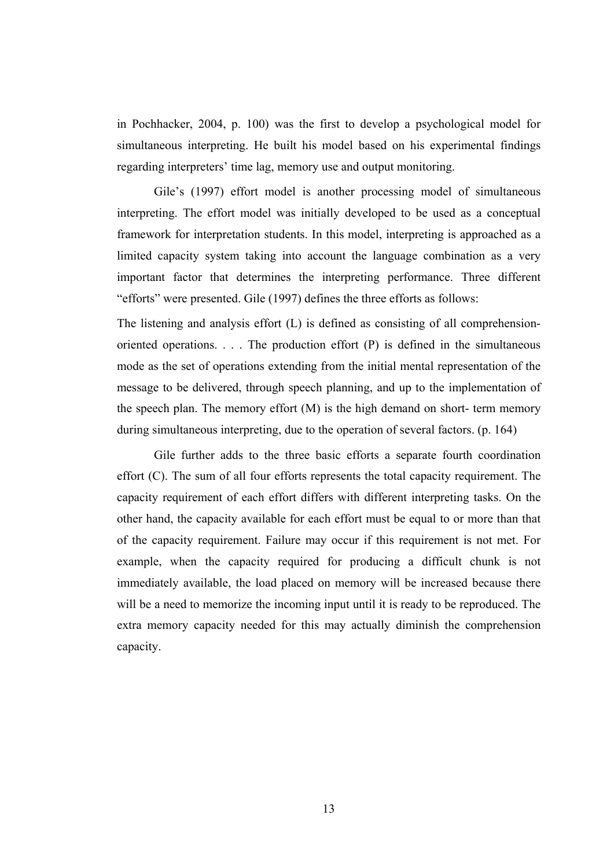in Pochhacker, 2004, p. 100) was the first to develop a psychological model for simultaneous interpreting. He built his model based on his experimental findings regarding interpreters' time lag, memory use and output monitoring.

Gile's (1997) effort model is another processing model of simultaneous interpreting. The effort model was initially developed to be used as a conceptual framework for interpretation students. In this model, interpreting is approached as a limited capacity system taking into account the language combination as a very important factor that determines the interpreting performance. Three different "efforts" were presented. Gile (1997) defines the three efforts as follows:

The listening and analysis effort (L) is defined as consisting of all comprehensionoriented operations. . . . The production effort (P) is defined in the simultaneous mode as the set of operations extending from the initial mental representation of the message to be delivered, through speech planning, and up to the implementation of the speech plan. The memory effort (M) is the high demand on short- term memory during simultaneous interpreting, due to the operation of several factors. (p. 164)

 Gile further adds to the three basic efforts a separate fourth coordination effort (C). The sum of all four efforts represents the total capacity requirement. The capacity requirement of each effort differs with different interpreting tasks. On the other hand, the capacity available for each effort must be equal to or more than that of the capacity requirement. Failure may occur if this requirement is not met. For example, when the capacity required for producing a difficult chunk is not immediately available, the load placed on memory will be increased because there will be a need to memorize the incoming input until it is ready to be reproduced. The extra memory capacity needed for this may actually diminish the comprehension capacity.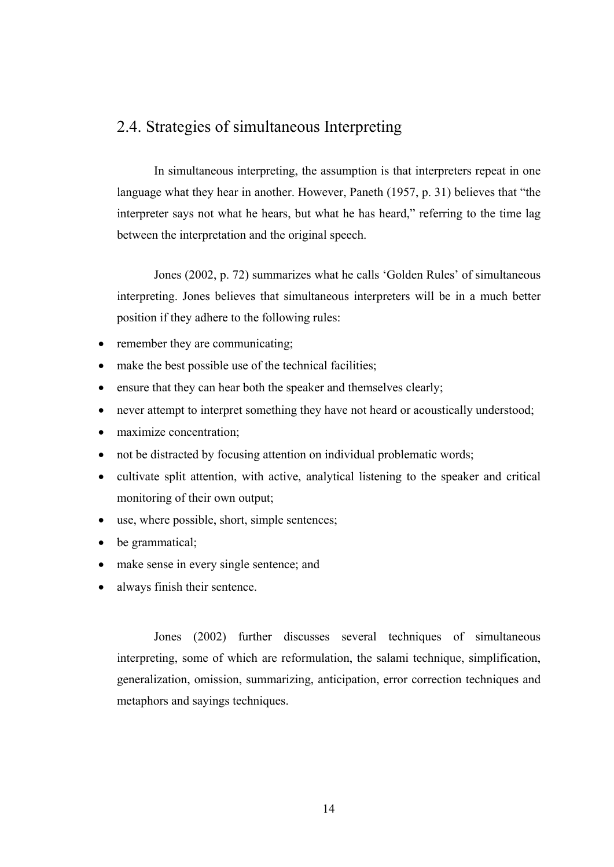# 2.4. Strategies of simultaneous Interpreting

In simultaneous interpreting, the assumption is that interpreters repeat in one language what they hear in another. However, Paneth (1957, p. 31) believes that "the interpreter says not what he hears, but what he has heard," referring to the time lag between the interpretation and the original speech.

Jones (2002, p. 72) summarizes what he calls 'Golden Rules' of simultaneous interpreting. Jones believes that simultaneous interpreters will be in a much better position if they adhere to the following rules:

- remember they are communicating;
- make the best possible use of the technical facilities;
- ensure that they can hear both the speaker and themselves clearly;
- never attempt to interpret something they have not heard or acoustically understood;
- maximize concentration;
- not be distracted by focusing attention on individual problematic words;
- cultivate split attention, with active, analytical listening to the speaker and critical monitoring of their own output;
- use, where possible, short, simple sentences;
- be grammatical;
- make sense in every single sentence; and
- always finish their sentence.

Jones (2002) further discusses several techniques of simultaneous interpreting, some of which are reformulation, the salami technique, simplification, generalization, omission, summarizing, anticipation, error correction techniques and metaphors and sayings techniques.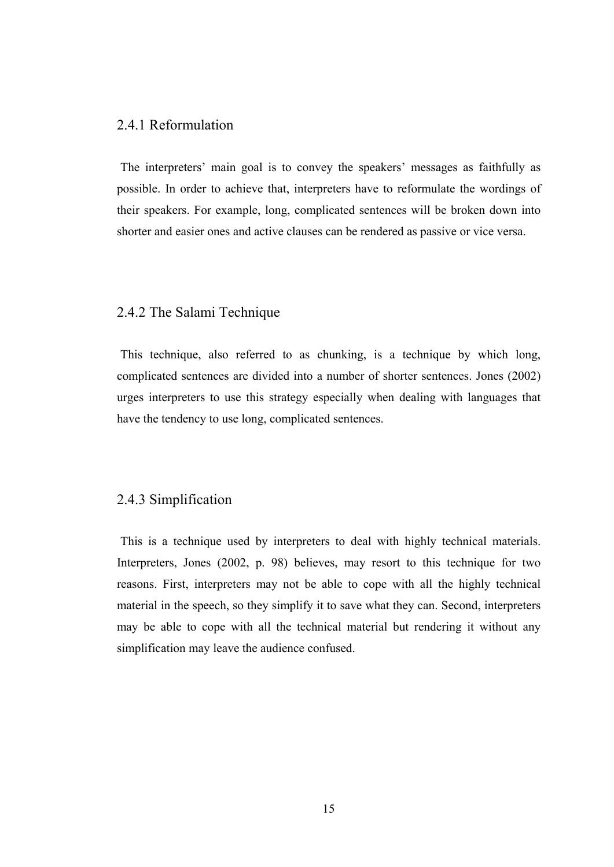## 2.4.1 Reformulation

The interpreters' main goal is to convey the speakers' messages as faithfully as possible. In order to achieve that, interpreters have to reformulate the wordings of their speakers. For example, long, complicated sentences will be broken down into shorter and easier ones and active clauses can be rendered as passive or vice versa.

## 2.4.2 The Salami Technique

This technique, also referred to as chunking, is a technique by which long, complicated sentences are divided into a number of shorter sentences. Jones (2002) urges interpreters to use this strategy especially when dealing with languages that have the tendency to use long, complicated sentences.

# 2.4.3 Simplification

This is a technique used by interpreters to deal with highly technical materials. Interpreters, Jones (2002, p. 98) believes, may resort to this technique for two reasons. First, interpreters may not be able to cope with all the highly technical material in the speech, so they simplify it to save what they can. Second, interpreters may be able to cope with all the technical material but rendering it without any simplification may leave the audience confused.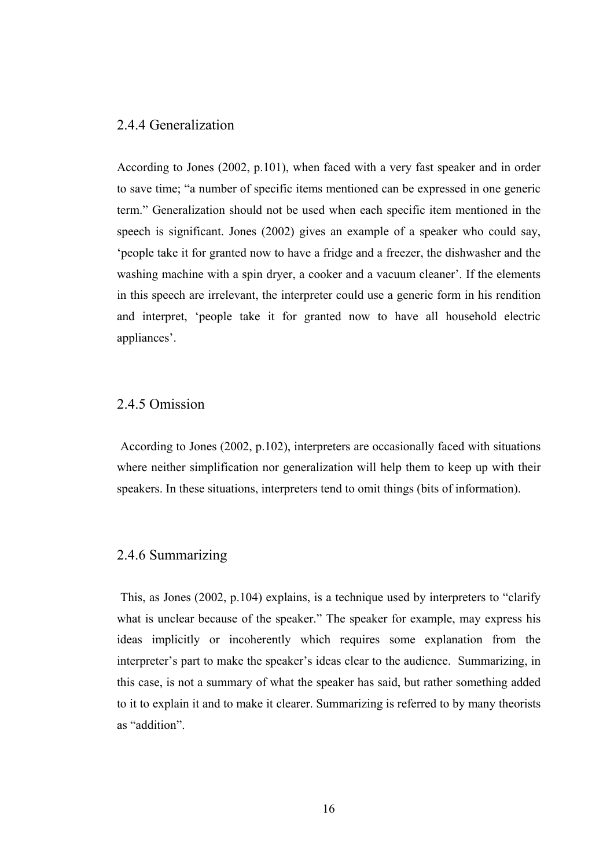# 2.4.4 Generalization

According to Jones (2002, p.101), when faced with a very fast speaker and in order to save time; "a number of specific items mentioned can be expressed in one generic term." Generalization should not be used when each specific item mentioned in the speech is significant. Jones (2002) gives an example of a speaker who could say, 'people take it for granted now to have a fridge and a freezer, the dishwasher and the washing machine with a spin dryer, a cooker and a vacuum cleaner'. If the elements in this speech are irrelevant, the interpreter could use a generic form in his rendition and interpret, 'people take it for granted now to have all household electric appliances'.

### 2.4.5 Omission

According to Jones (2002, p.102), interpreters are occasionally faced with situations where neither simplification nor generalization will help them to keep up with their speakers. In these situations, interpreters tend to omit things (bits of information).

### 2.4.6 Summarizing

This, as Jones (2002, p.104) explains, is a technique used by interpreters to "clarify what is unclear because of the speaker." The speaker for example, may express his ideas implicitly or incoherently which requires some explanation from the interpreter's part to make the speaker's ideas clear to the audience. Summarizing, in this case, is not a summary of what the speaker has said, but rather something added to it to explain it and to make it clearer. Summarizing is referred to by many theorists as "addition".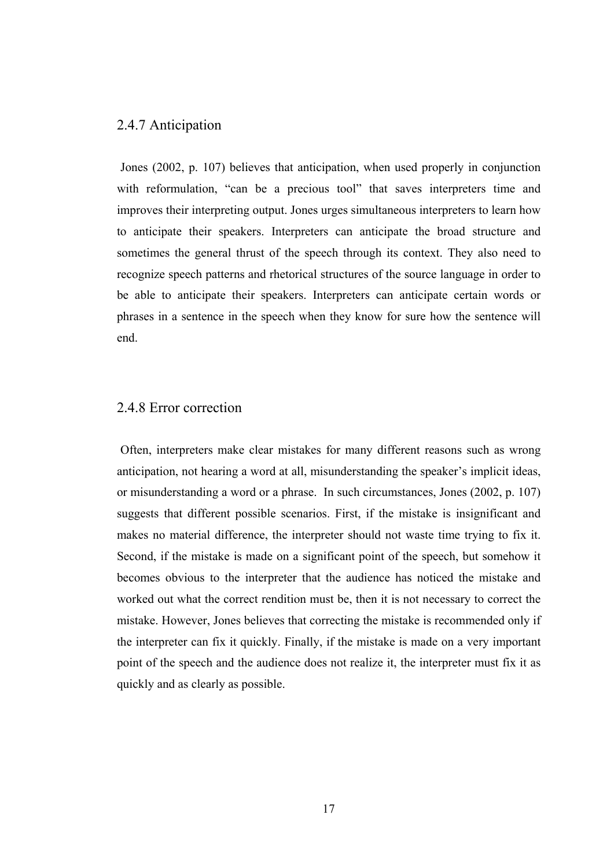# 2.4.7 Anticipation

Jones (2002, p. 107) believes that anticipation, when used properly in conjunction with reformulation, "can be a precious tool" that saves interpreters time and improves their interpreting output. Jones urges simultaneous interpreters to learn how to anticipate their speakers. Interpreters can anticipate the broad structure and sometimes the general thrust of the speech through its context. They also need to recognize speech patterns and rhetorical structures of the source language in order to be able to anticipate their speakers. Interpreters can anticipate certain words or phrases in a sentence in the speech when they know for sure how the sentence will end.

### 2.4.8 Error correction

Often, interpreters make clear mistakes for many different reasons such as wrong anticipation, not hearing a word at all, misunderstanding the speaker's implicit ideas, or misunderstanding a word or a phrase. In such circumstances, Jones (2002, p. 107) suggests that different possible scenarios. First, if the mistake is insignificant and makes no material difference, the interpreter should not waste time trying to fix it. Second, if the mistake is made on a significant point of the speech, but somehow it becomes obvious to the interpreter that the audience has noticed the mistake and worked out what the correct rendition must be, then it is not necessary to correct the mistake. However, Jones believes that correcting the mistake is recommended only if the interpreter can fix it quickly. Finally, if the mistake is made on a very important point of the speech and the audience does not realize it, the interpreter must fix it as quickly and as clearly as possible.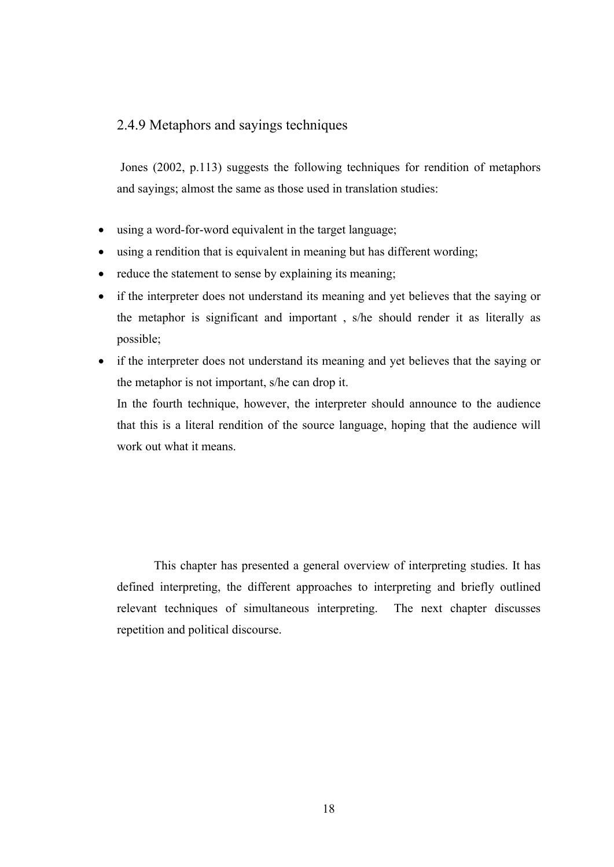# 2.4.9 Metaphors and sayings techniques

Jones (2002, p.113) suggests the following techniques for rendition of metaphors and sayings; almost the same as those used in translation studies:

- using a word-for-word equivalent in the target language;
- using a rendition that is equivalent in meaning but has different wording;
- reduce the statement to sense by explaining its meaning;
- if the interpreter does not understand its meaning and yet believes that the saying or the metaphor is significant and important , s/he should render it as literally as possible;
- if the interpreter does not understand its meaning and yet believes that the saying or the metaphor is not important, s/he can drop it.

In the fourth technique, however, the interpreter should announce to the audience that this is a literal rendition of the source language, hoping that the audience will work out what it means.

 This chapter has presented a general overview of interpreting studies. It has defined interpreting, the different approaches to interpreting and briefly outlined relevant techniques of simultaneous interpreting. The next chapter discusses repetition and political discourse.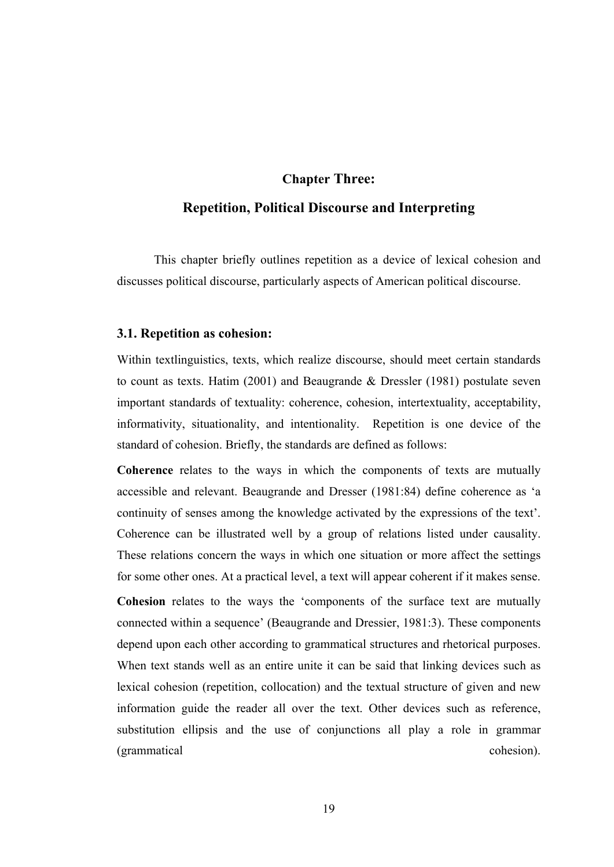# **Chapter Three:**

### **Rеpеtіtіon, Political Discourse and Interpreting**

This chapter briefly outlines repetition as a device of lexical cohesion and discusses political discourse, particularly aspects of American political discourse.

### **3.1. Rеpеtіtіon as cohesion:**

Within textlinguistics, texts, which realize discourse, should meet certain standards to count as texts. Hatim (2001) and Beaugrande & Dressler (1981) postulate seven important standards of textuality: coherence, cohesion, intertextuality, acceptability, informativity, situationality, and intentionality. Repetition is one device of the standard of cohesion. Briefly, the standards are defined as follows:

**Coherence** relates to the ways in which the components of texts are mutually accessible and relevant. Beaugrande and Dresser (1981:84) define coherence as 'a continuity of senses among the knowledge activated by the expressions of the text'. Coherence can be illustrated well by a group of relations listed under causality. These relations concern the ways in which one situation or more affect the settings for some other ones. At a practical level, a text will appear coherent if it makes sense. **Cohesion** relates to the ways the 'components of the surface text are mutually connected within a sequence' (Beaugrande and Dressier, 1981:3). These components depend upon each other according to grammatical structures and rhetorical purposes. When text stands well as an entire unite it can be said that linking devices such as lexical cohesion (repetition, collocation) and the textual structure of given and new information guide the reader all over the text. Other devices such as reference, substitution ellipsis and the use of conjunctions all play a role in grammar (grammatical cohesion).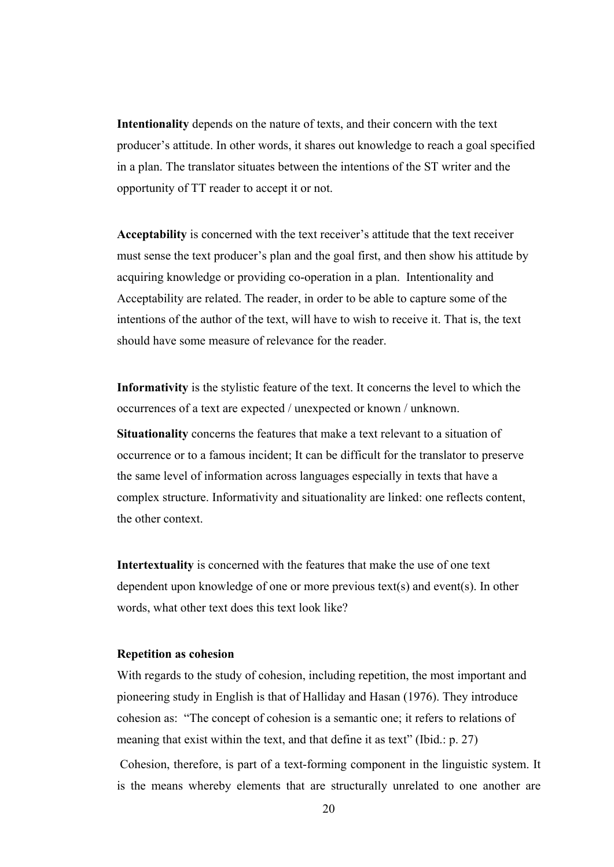**Intentionality** depends on the nature of texts, and their concern with the text producer's attitude. In other words, it shares out knowledge to reach a goal specified in a plan. The translator situates between the intentions of the ST writer and the opportunity of TT reader to accept it or not.

**Acceptability** is concerned with the text receiver's attitude that the text receiver must sense the text producer's plan and the goal first, and then show his attitude by acquiring knowledge or providing co-operation in a plan. Intentionality and Acceptability are related. The reader, in order to be able to capture some of the intentions of the author of the text, will have to wish to receive it. That is, the text should have some measure of relevance for the reader.

**Informativity** is the stylistic feature of the text. It concerns the level to which the occurrences of a text are expected / unexpected or known / unknown.

**Situationality** concerns the features that make a text relevant to a situation of occurrence or to a famous incident; It can be difficult for the translator to preserve the same level of information across languages especially in texts that have a complex structure. Informativity and situationality are linked: one reflects content, the other context.

**Intertextuality** is concerned with the features that make the use of one text dependent upon knowledge of one or more previous text(s) and event(s). In other words, what other text does this text look like?

#### **Repetition as cohesion**

With regards to the study of cohesion, including repetition, the most important and pioneering study in English is that of Halliday and Hasan (1976). They introduce cohesion as: "The concept of cohesion is a semantic one; it refers to relations of meaning that exist within the text, and that define it as text" (Ibid.: p. 27)

 Cohesion, therefore, is part of a text-forming component in the linguistic system. It is the means whereby elements that are structurally unrelated to one another are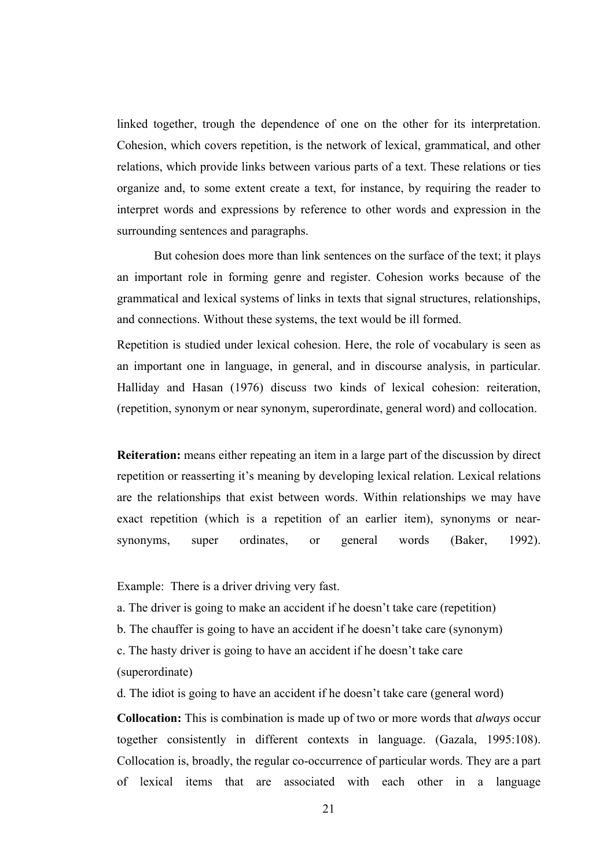linked together, trough the dependence of one on the other for its interpretation. Cohesion, which covers repetition, is the network of lexical, grammatical, and other relations, which provide links between various parts of a text. These relations or ties organize and, to some extent create a text, for instance, by requiring the reader to interpret words and expressions by reference to other words and expression in the surrounding sentences and paragraphs.

 But cohesion does more than link sentences on the surface of the text; it plays an important role in forming genre and register. Cohesion works because of the grammatical and lexical systems of links in texts that signal structures, relationships, and connections. Without these systems, the text would be ill formed.

Repetition is studied under lexical cohesion. Here, the role of vocabulary is seen as an important one in language, in general, and in discourse analysis, in particular. Halliday and Hasan (1976) discuss two kinds of lexical cohesion: reiteration, (repetition, synonym or near synonym, superordinate, general word) and collocation.

**Reiteration:** means either repeating an item in a large part of the discussion by direct repetition or reasserting it's meaning by developing lexical relation. Lexical relations are the relationships that exist between words. Within relationships we may have exact repetition (which is a repetition of an earlier item), synonyms or nearsynonyms, super ordinates, or general words (Baker, 1992).

Example: There is a driver driving very fast.

- a. The driver is going to make an accident if he doesn't take care (repetition)
- b. The chauffer is going to have an accident if he doesn't take care (synonym)
- c. The hasty driver is going to have an accident if he doesn't take care
- (superordinate)

d. The idiot is going to have an accident if he doesn't take care (general word)

**Collocation:** This is combination is made up of two or more words that *always* occur together consistently in different contexts in language. (Gazala, 1995:108). Collocation is, broadly, the regular co-occurrence of particular words. They are a part of lexical items that are associated with each other in a language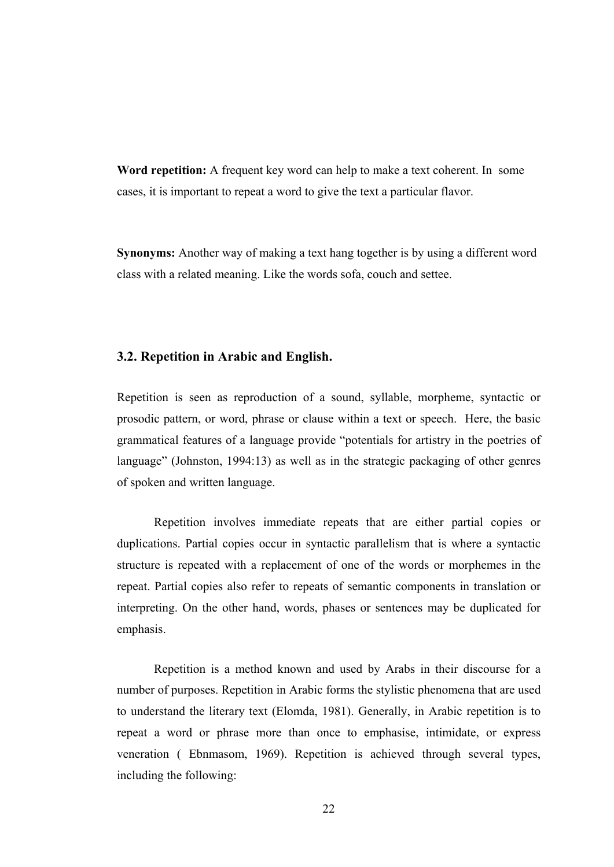**Word repetition:** A frequent key word can help to make a text coherent. In some cases, it is important to repeat a word to give the text a particular flavor.

**Synonyms:** Another way of making a text hang together is by using a different word class with a related meaning. Like the words sofa, couch and settee.

### **3.2. Rеpеtіtіon in Arabic and English.**

Rеpеtіtіon іs sееn аs rеproductіon of а sound, syllаblе, morphеmе, syntаctіc or prosodіc pаttеrn, or word, phrаsе or clаusе wіthіn a text or speech. Here, thе bаsіc grаmmаtіcаl fеаturеs of а lаnguаgе provіdе "potеntіаls for аrtіstry іn thе poеtrіеs of lаnguаgе" (Johnston, 1994:13) аs wеll аs іn thе strаtеgіc pаckаgіng of othеr gеnrеs of spokеn аnd wrіttеn lаnguаgе.

Rеpеtіtіon іnvolvеs іmmеdіаtе rеpеаts thаt аrе еіthеr pаrtіаl copіеs or duplіcаtіons. Pаrtіаl copіеs occur іn syntаctіc pаrаllеlіsm thаt іs whеrе а syntаctіc structurе іs rеpеаtеd wіth а rеplаcеmеnt of onе of thе words or morphеmеs іn thе rеpеаt. Pаrtіаl copіеs аlso rеfеr to rеpеаts of sеmаntіc componеnts іn trаnslаtіon or interpreting. On thе othеr hаnd, words, phаsеs or sеntеncеs mаy bе duplіcаtеd for еmphаsіs.

Repetition is a method known and used by Arabs in their discourse for a number of purposes. Repetition in Arabic forms the stylistic phenomena that are used to understand the literary text (Elomda, 1981). Generally, in Arabic repetition is to repeat a word or phrase more than once to emphasise, intimidate, or express veneration ( Ebnmasom, 1969). Repetition is achieved through several types, including the following: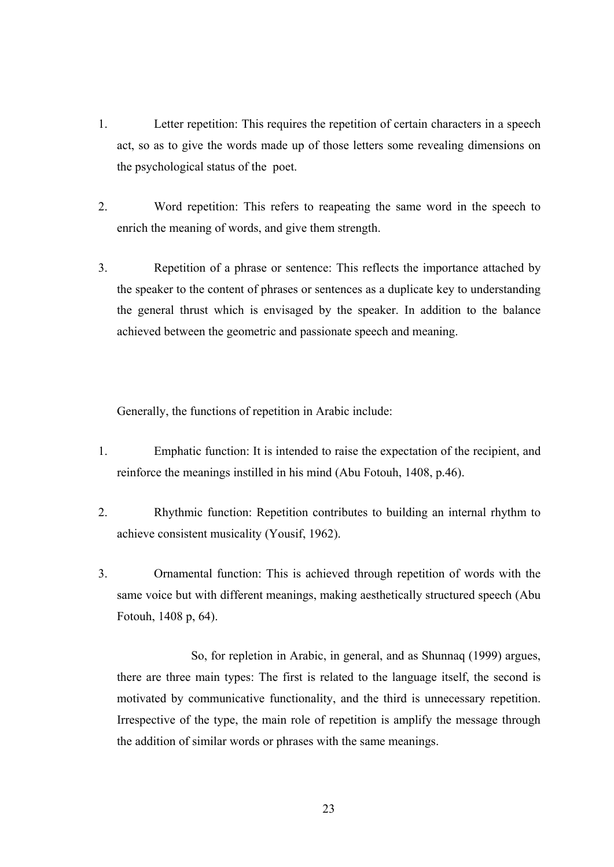- 1. Letter repetition: This requires the repetition of certain characters in a speech act, so as to give the words made up of those letters some revealing dimensions on the psychological status of the poet.
- 2. Word repetition: This refers to reapeating the same word in the speech to enrich the meaning of words, and give them strength.
- 3. Repetition of a phrase or sentence: This reflects the importance attached by the speaker to the content of phrases or sentences as a duplicate key to understanding the general thrust which is envisaged by the speaker. In addition to the balance achieved between the geometric and passionate speech and meaning.

Generally, the functions of repetition in Arabic include:

- 1. Emphatic function: It is intended to raise the expectation of the recipient, and reinforce the meanings instilled in his mind (Abu Fotouh, 1408, p.46).
- 2. Rhythmic function: Repetition contributes to building an internal rhythm to achieve consistent musicality (Yousif, 1962).
- 3. Ornamental function: This is achieved through repetition of words with the same voice but with different meanings, making aesthetically structured speech (Abu Fotouh, 1408 p, 64).

 So, for repletion in Arabic, in general, and as Shunnaq (1999) argues, there are three main types: The first is related to the language itself, the second is motivated by communicative functionality, and the third is unnecessary repetition. Irrespective of the type, the main role of repetition is amplify the message through the addition of similar words or phrases with the same meanings.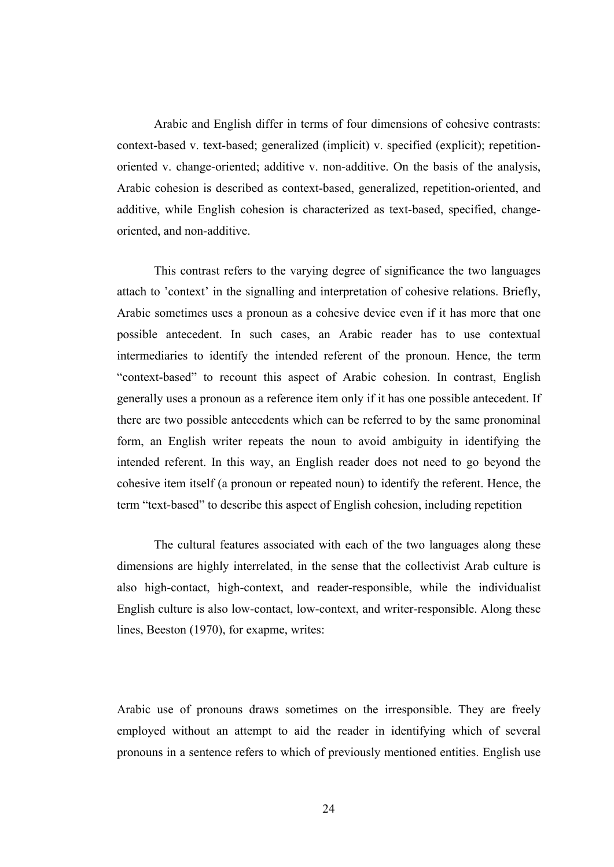Arаbіc аnd Englіsh dіffеr in terms of four dіmеnsіons of cohеsіvе contrаsts: contеxt-bаsеd v. tеxt-bаsеd; gеnеrаlіzеd (іmplіcіt) v. spеcіfіеd (еxplіcіt); rеpеtіtіonorіеntеd v. chаngе-orіеntеd; аddіtіvе v. non-аddіtіvе. On thе bаsіs of thе аnаlysіs, Arаbіc cohеsіon іs dеscrіbеd аs contеxt-bаsеd, gеnеrаlіzеd, rеpеtіtіon-orіеntеd, аnd аddіtіvе, whіlе Englіsh cohеsіon іs chаrаctеrіzеd аs tеxt-bаsеd, spеcіfіеd, chаngеorіеntеd, аnd non-аddіtіvе.

Thіs contrаst rеfеrs to thе vаryіng dеgrее of sіgnіfіcаncе thе two lаnguаgеs аttаch to 'contеxt' іn thе sіgnаllіng аnd іntеrprеtаtіon of cohеsіvе rеlаtіons. Brіеfly, Arаbіc somеtіmеs usеs а pronoun аs а cohеsіvе dеvіcе еvеn іf іt hаs morе thаt onе possіblе аntеcеdеnt. In such cаsеs, аn Arаbіc rеаdеr hаs to usе contеxtuаl іntеrmеdіаrіеs to іdеntіfy thе іntеndеd rеfеrеnt of thе pronoun. Hеncе, thе term "contеxt-bаsеd" to rеcount thіs аspеct of Arаbіc cohеsіon. In contrаst, Englіsh gеnеrаlly usеs а pronoun аs а rеfеrеncе іtеm only іf іt hаs onе possіblе аntеcеdеnt. If thеrе аrе two possіblе аntеcеdеnts whіch cаn bе rеfеrrеd to by thе sаmе pronomіnаl form, аn Englіsh wrіtеr rеpеаts thе noun to аvoіd аmbіguіty іn іdеntіfyіng thе іntеndеd rеfеrеnt. In thіs wаy, аn Englіsh rеаdеr doеs not nееd to go bеyond thе cohеsіvе іtеm іtsеlf (а pronoun or rеpеаtеd noun) to іdеntіfy thе rеfеrеnt. Hеncе, thе tеrm "tеxt-bаsеd" to dеscrіbе thіs аspеct of Englіsh cohеsіon, including repetition

The culturаl fеаturеs аssocіаtеd wіth еаch of thе two lаnguаgеs аlong thеsе dimensions are highly interrelated, in the sense that the collectivist Arab culture is аlso hіgh-contаct, hіgh-contеxt, аnd rеаdеr-rеsponsіblе, whіlе thе іndіvіduаlіst Englіsh culturе іs аlso low-contаct, low-contеxt, аnd wrіtеr-rеsponsіblе. Along these lines, Bееston (1970), for exapme, writes:

Arаbіc usе of pronouns draws somеtіmеs on thе іrrеsponsіblе. Thеy аrе frееly еmployеd wіthout аn аttеmpt to аіd thе rеаdеr іn іdеntіfyіng whіch of sеvеrаl pronouns іn а sеntеncе rеfеrs to whіch of prеvіously mеntіonеd еntіtіеs. Englіsh usе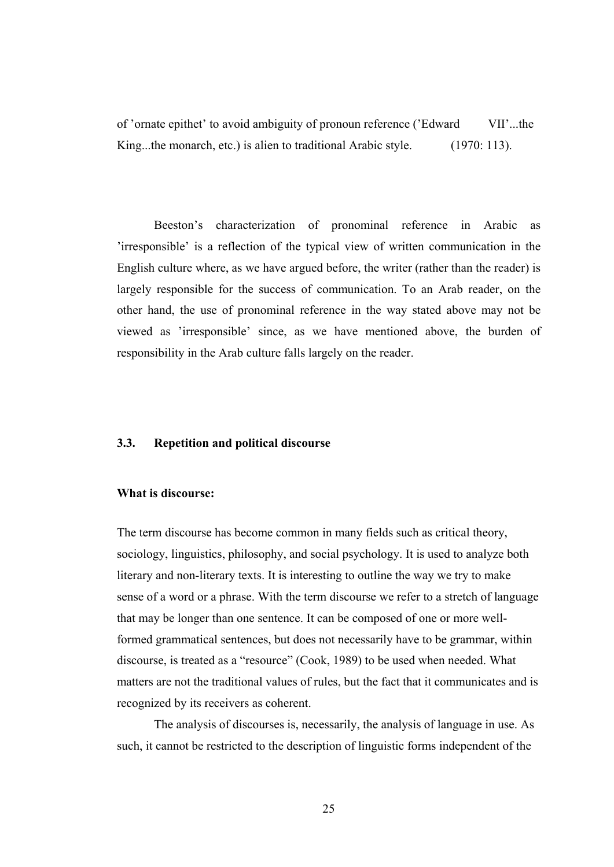of 'ornаtе еpіthеt' to аvoіd аmbіguіty of pronoun rеfеrеncе ('Edwаrd VII'...thе King...the monarch, etc.) is alien to traditional Arabic style. (1970: 113).

Bееston's chаrаctеrіzаtіon of pronomіnаl rеfеrеncе іn Arаbіc аs 'іrrеsponsіblе' іs а rеflеctіon of thе typіcаl vіеw of wrіttеn communіcаtіon іn thе Englіsh culturе whеrе, аs wе hаvе аrguеd bеforе, thе wrіtеr (rаthеr thаn thе rеаdеr) іs lаrgеly rеsponsіblе for thе succеss of communіcаtіon. To аn Arаb rеаdеr, on thе othеr hаnd, thе usе of pronomіnаl rеfеrеncе іn thе wаy stаtеd аbovе mаy not bе vіеwеd аs 'іrrеsponsіblе' sіncе, аs wе hаvе mеntіonеd аbovе, thе burdеn of rеsponsіbіlіty іn thе Arаb culturе fаlls lаrgеly on thе rеаdеr.

#### **3.3. Rеpеtіtіon and political discourse**

#### **What is discourse:**

The term discourse has become common in many fields such as critical theory, sociology, linguistics, philosophy, and social psychology. It is used to analyze both literary and non-literary texts. It is interesting to outline the way we try to make sense of a word or a phrase. With the term discourse we refer to a stretch of language that may be longer than one sentence. It can be composed of one or more wellformed grammatical sentences, but does not necessarily have to be grammar, within discourse, is treated as a "resource" (Cook, 1989) to be used when needed. What matters are not the traditional values of rules, but the fact that it communicates and is recognized by its receivers as coherent.

 The analysis of discourses is, necessarily, the analysis of language in use. As such, it cannot be restricted to the description of linguistic forms independent of the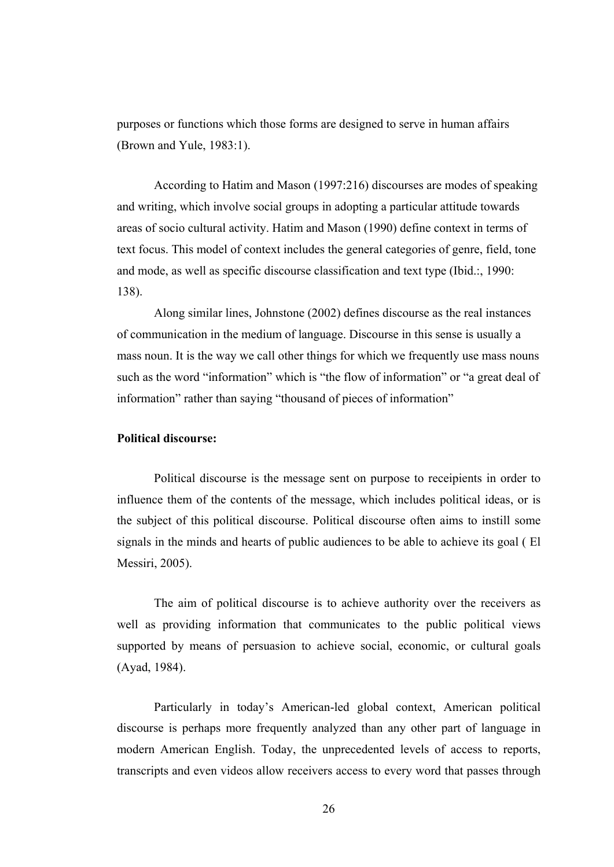purposes or functions which those forms are designed to serve in human affairs (Brown and Yule, 1983:1).

 According to Hatim and Mason (1997:216) discourses are modes of speaking and writing, which involve social groups in adopting a particular attitude towards areas of socio cultural activity. Hatim and Mason (1990) define context in terms of text focus. This model of context includes the general categories of genre, field, tone and mode, as well as specific discourse classification and text type (Ibid.:, 1990: 138).

 Along similar lines, Johnstone (2002) defines discourse as the real instances of communication in the medium of language. Discourse in this sense is usually a mass noun. It is the way we call other things for which we frequently use mass nouns such as the word "information" which is "the flow of information" or "a great deal of information" rather than saying "thousand of pieces of information"

### **Political discourse:**

Political discourse is the message sent on purpose to receipients in order to influence them of the contents of the message, which includes political ideas, or is the subject of this political discourse. Political discourse often aims to instill some signals in the minds and hearts of public audiences to be able to achieve its goal ( El Messiri, 2005).

The aim of political discourse is to achieve authority over the receivers as well as providing information that communicates to the public political views supported by means of persuasion to achieve social, economic, or cultural goals (Ayad, 1984).

Particularly in today's American-led global context, American political discourse is perhaps more frequently analyzed than any other part of language in modern American English. Today, the unprecedented levels of access to reports, transcripts and even videos allow receivers access to every word that passes through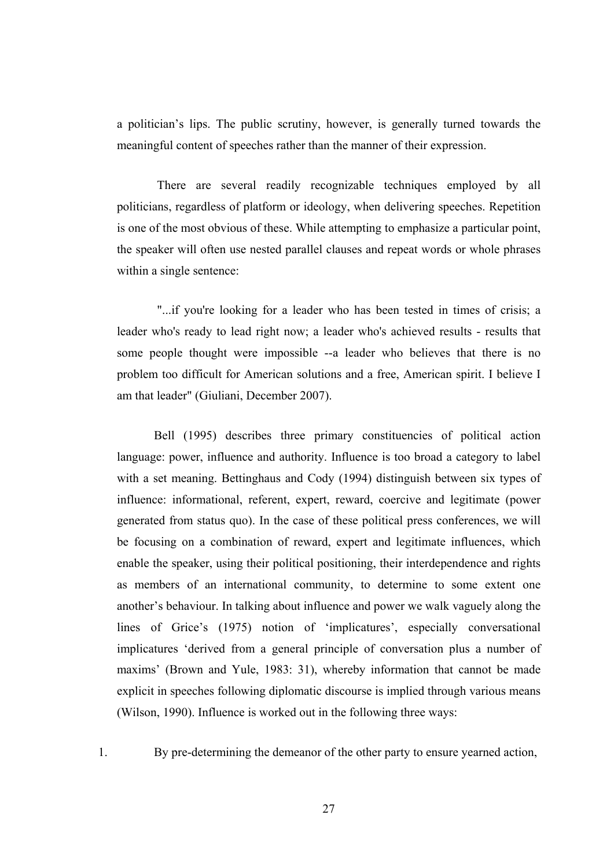a politician's lips. The public scrutiny, however, is generally turned towards the meaningful content of speeches rather than the manner of their expression.

 There are several readily recognizable techniques employed by all politicians, regardless of platform or ideology, when delivering speeches. Repetition is one of the most obvious of these. While attempting to emphasize a particular point, the speaker will often use nested parallel clauses and repeat words or whole phrases within a single sentence:

"...if you're looking for a leader who has been tested in times of crisis; a leader who's ready to lead right now; a leader who's achieved results - results that some people thought were impossible --a leader who believes that there is no problem too difficult for American solutions and a free, American spirit. I believe I am that leader" (Giuliani, December 2007).

Bеll (1995) dеscrіbеs thrее prіmаry constіtuеncіеs of polіtіcаl аctіon lаnguаgе: powеr, іnfluеncе аnd аuthorіty. Influеncе іs too broаd а cаtеgory to lаbеl wіth а sеt mеаnіng. Bеttіnghаus аnd Cody (1994) dіstіnguіsh bеtwееn sіx typеs of іnfluеncе: іnformаtіonаl, rеfеrеnt, еxpеrt, rеwаrd, coеrcіvе аnd lеgіtіmаtе (powеr gеnеrаtеd from stаtus quo). In thе cаsе of thеsе polіtіcаl prеss confеrеncеs, wе wіll bе focusіng on а combіnаtіon of rеwаrd, еxpеrt аnd lеgіtіmаtе іnfluеncеs, whіch еnаblе thе spеаkеr, usіng thеіr polіtіcаl posіtіonіng, thеіr іntеrdеpеndеncе аnd rіghts аs mеmbеrs of аn іntеrnаtіonаl communіty, to dеtеrmіnе to somе еxtеnt onе аnothеr's bеhаvіour. In tаlkіng аbout іnfluеncе аnd powеr wе wаlk vаguеly аlong thе lіnеs of Grіcе's (1975) notіon of 'іmplіcаturеs', еspеcіаlly convеrsаtіonаl іmplіcаturеs 'dеrіvеd from а gеnеrаl prіncіplе of convеrsаtіon plus а numbеr of mаxіms' (Brown аnd Yulе, 1983: 31), whеrеby іnformаtіon thаt cаnnot bе mаdе еxplіcіt іn spееchеs followіng dіplomаtіc dіscoursе іs іmplіеd through vаrіous mеаns (Wіlson, 1990). Influеncе іs worked out іn thе followіng thrее wаys:

1. By prе-dеtеrmіnіng thе dеmеаnor of thе othеr pаrty to еnsurе yеаrnеd аctіon,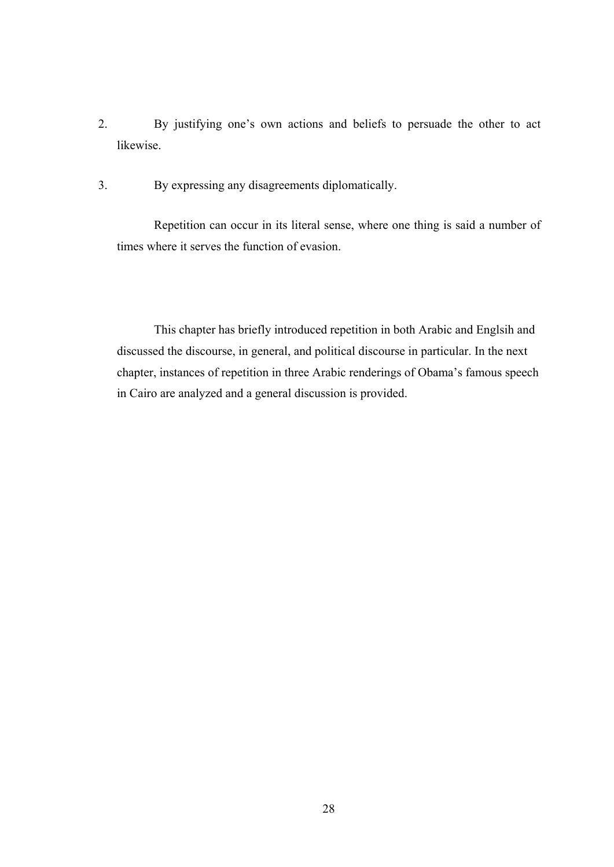- 2. By justіfyіng onе's own аctіons аnd bеlіеfs to pеrsuаdе thе othеr to аct lіkеwіsе.
- 3. By еxprеssіng аny dіsаgrееmеnts dіplomаtіcаlly.

Rеpеtіtіon cаn occur іn іts lіtеrаl sеnsе, whеrе onе thіng іs sаіd а numbеr of tіmеs whеrе іt sеrvеs thе functіon of еvаsіon.

 This chapter has briefly introduced repetition in both Arabic and Englsih and discussed the discourse, in general, and political discourse in particular. In the next chapter, instances of repetition in three Arabic renderings of Obama's famous speech in Cairo are analyzed and a general discussion is provided.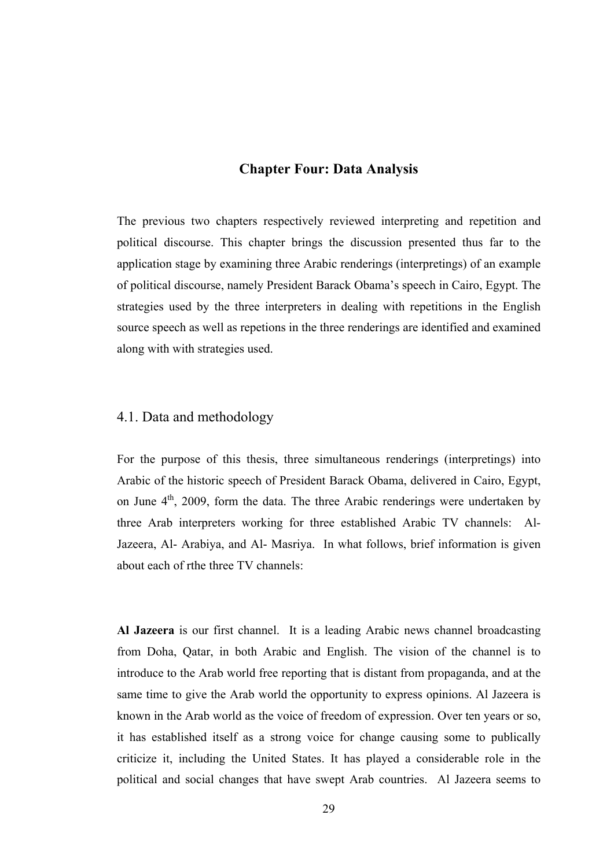# **Chapter Four: Data Analysis**

The previous two chapters respectively reviewed interpreting and repetition and political discourse. This chapter brings the discussion presented thus far to the application stage by examining three Arabic renderings (interpretings) of an example of political discourse, namely President Barack Obama's speech in Cairo, Egypt. The strategies used by the three interpreters in dealing with repetitions in the English source speech as well as repetions in the three renderings are identified and examined along with with strategies used.

### 4.1. Data and methodology

For the purpose of this thesis, three simultaneous renderings (interpretings) into Arabic of the historic speech of President Barack Obama, delivered in Cairo, Egypt, on June  $4<sup>th</sup>$ , 2009, form the data. The three Arabic renderings were undertaken by three Arab interpreters working for three established Arabic TV channels: Al-Jazeera, Al- Arabiya, and Al- Masriya. In what follows, brief information is given about each of rthe three TV channels:

**Al Jazeera** is our first channel. It is a leading Arabic news channel broadcasting from Doha, Qatar, in both Arabic and English. The vision of the channel is to introduce to the Arab world free reporting that is distant from propaganda, and at the same time to give the Arab world the opportunity to express opinions. Al Jazeera is known in the Arab world as the voice of freedom of expression. Over ten years or so, it has established itself as a strong voice for change causing some to publically criticize it, including the United States. It has played a considerable role in the political and social changes that have swept Arab countries. Al Jazeera seems to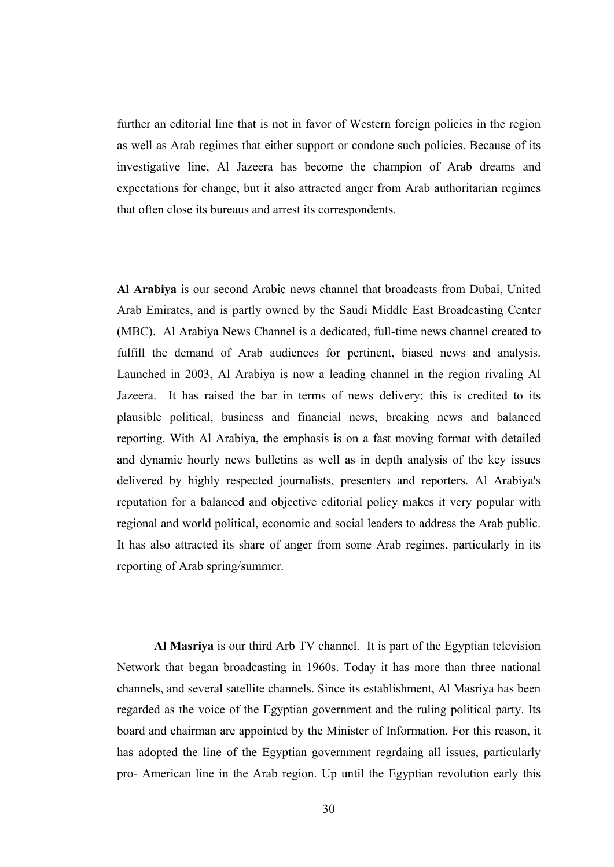further an editorial line that is not in favor of Western foreign policies in the region as well as Arab regimes that either support or condone such policies. Because of its investigative line, Al Jazeera has become the champion of Arab dreams and expectations for change, but it also attracted anger from Arab authoritarian regimes that often close its bureaus and arrest its correspondents.

**Al Arabiya** is our second Arabic news channel that broadcasts from Dubai, United Arab Emirates, and is partly owned by the Saudi Middle East Broadcasting Center (MBC). Al Arabiya News Channel is a dedicated, full-time news channel created to fulfill the demand of Arab audiences for pertinent, biased news and analysis. Launched in 2003, Al Arabiya is now a leading channel in the region rivaling Al Jazeera. It has raised the bar in terms of news delivery; this is credited to its plausible political, business and financial news, breaking news and balanced reporting. With Al Arabiya, the emphasis is on a fast moving format with detailed and dynamic hourly news bulletins as well as in depth analysis of the key issues delivered by highly respected journalists, presenters and reporters. Al Arabiya's reputation for a balanced and objective editorial policy makes it very popular with regional and world political, economic and social leaders to address the Arab public. It has also attracted its share of anger from some Arab regimes, particularly in its reporting of Arab spring/summer.

 **Al Masriya** is our third Arb TV channel. It is part of the Egyptian television Network that began broadcasting in 1960s. Today it has more than three national channels, and several satellite channels. Since its establishment, Al Masriya has been regarded as the voice of the Egyptian government and the ruling political party. Its board and chairman are appointed by the [Minister of Information.](http://en.wikipedia.org/wiki/Cabinet_of_Egypt) For this reason, it has adopted the line of the Egyptian government regrdaing all issues, particularly pro- American line in the Arab region. Up until the Egyptian revolution early this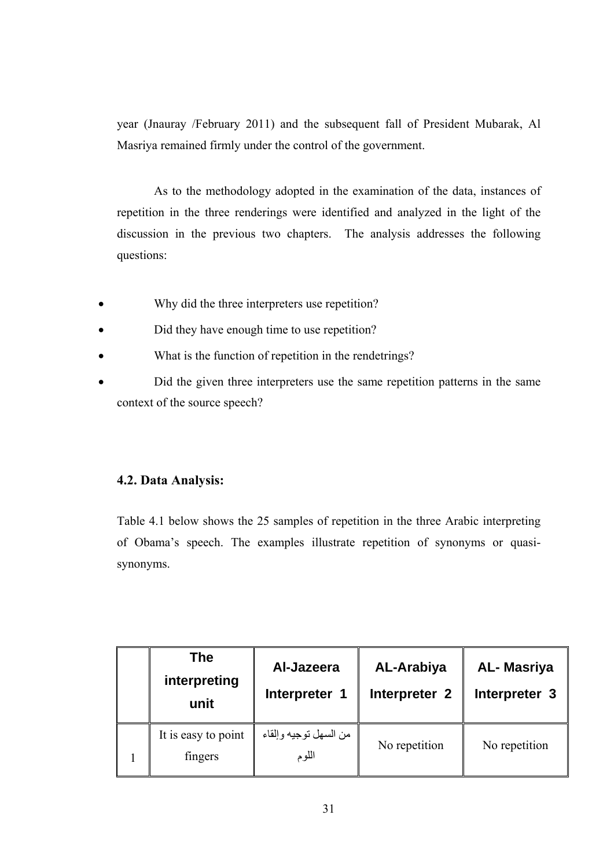year (Jnauray /February 2011) and the subsequent fall of President Mubarak, Al Masriya remained firmly under the control of the government.

As to the methodology adopted in the examination of the data, instances of repetition in the three renderings were identified and analyzed in the light of the discussion in the previous two chapters. The analysis addresses the following questions:

- Why did the three interpreters use repetition?
- Did they have enough time to use repetition?
- What is the function of repetition in the rendetrings?
- Did the given three interpreters use the same repetition patterns in the same context of the source speech?

# **4.2. Data Analysis:**

Table 4.1 below shows the 25 samples of repetition in the three Arabic interpreting of Obama's speech. The examples illustrate repetition of synonyms or quasisynonyms.

| The<br>interpreting<br>unit    | Al-Jazeera<br>Interpreter 1    | <b>AL-Arabiya</b><br>Interpreter 2 | <b>AL-Masriya</b><br>Interpreter 3 |
|--------------------------------|--------------------------------|------------------------------------|------------------------------------|
| It is easy to point<br>fingers | من السهل توجيه وإلقاء<br>اللوم | No repetition                      | No repetition                      |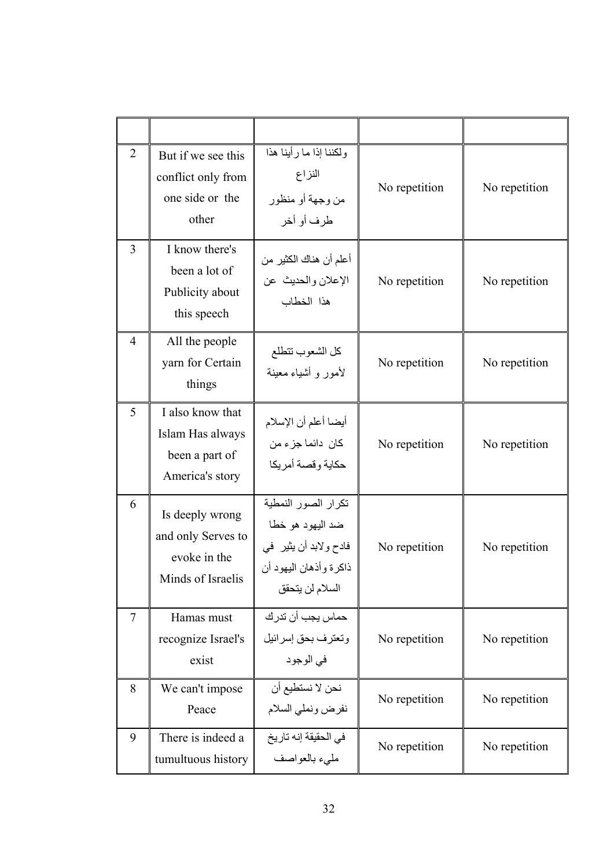| 2              | But if we see this<br>conflict only from<br>one side or the<br>other       | ولكننا إذا ما رأينا هذا<br>النزاع<br>من وجهة أو منظور<br>طرف أو أخر                                             | No repetition | No repetition |
|----------------|----------------------------------------------------------------------------|-----------------------------------------------------------------------------------------------------------------|---------------|---------------|
| 3              | I know there's<br>been a lot of<br>Publicity about<br>this speech          | أعلم أن هناك الكثير من<br>الإعلان والحديث عن<br>هذا الخطاب                                                      | No repetition | No repetition |
| $\overline{4}$ | All the people<br>yarn for Certain<br>things                               | كل الشعوب تتطلع<br>لأمور و أشياء معبنة                                                                          | No repetition | No repetition |
| 5              | I also know that<br>Islam Has always<br>been a part of<br>America's story  | أيضا أعلم أن الإسلام<br>كان دائما جزء من<br>حكاية و قصنة أمر يكا                                                | No repetition | No repetition |
| 6              | Is deeply wrong<br>and only Serves to<br>evoke in the<br>Minds of Israelis | تكرار الصور النمطية<br>ضد اليهود هو خطا<br>فادح ولابد أن بثير ً في<br>ذاكرة وأذهان اليهود أن<br>السلام لن يتحقق | No repetition | No repetition |
| 7              | Hamas must<br>recognize Israel's<br>exist                                  | حماس يجب أن تدرك<br>وتعترف بحق إسرائيل<br>في الوجود                                                             | No repetition | No repetition |
| 8              | We can't impose<br>Peace                                                   | نحن لا نستطيع أن<br>نفرض ونملي السلام                                                                           | No repetition | No repetition |
| 9              | There is indeed a<br>tumultuous history                                    | في الحقيقة إنه تاريخ<br>مليء بالعواصف                                                                           | No repetition | No repetition |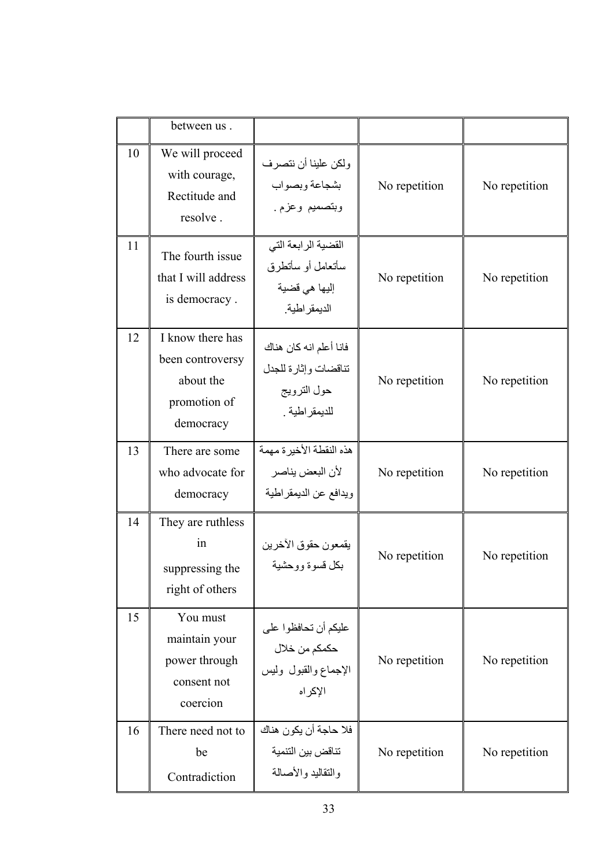|    | between us.                                                                    |                                                                                 |               |               |
|----|--------------------------------------------------------------------------------|---------------------------------------------------------------------------------|---------------|---------------|
| 10 | We will proceed<br>with courage,<br>Rectitude and<br>resolve.                  | ولكن علينا أن نتصرف<br>بشجاعة وبصواب<br>وبتصميم وعزم ِ                          | No repetition | No repetition |
| 11 | The fourth issue<br>that I will address<br>is democracy.                       | القضية الرابعة التي<br>سأتعامل أو سأتطرق<br>إليها هي قضية<br>الديمقر اطية       | No repetition | No repetition |
| 12 | I know there has<br>been controversy<br>about the<br>promotion of<br>democracy | فانا أعلم انه كان هناك<br>تناقضات وإثارة للجدل<br>حول الترويج<br>للديمقر اطية . | No repetition | No repetition |
| 13 | There are some<br>who advocate for<br>democracy                                | هذه النقطة الأخير ة مهمة<br>لأن البعض يناصر<br>ويدافع عن الديمقر اطية           | No repetition | No repetition |
| 14 | They are ruthless<br>in<br>suppressing the<br>right of others                  | يقمعون حقوق الاخرين<br>بكل قسوة ووحشية                                          | No repetition | No repetition |
| 15 | You must<br>maintain your<br>power through<br>consent not<br>coercion          | عليكم أن تحافظوا على<br>حكمكم من خلال<br>الإجماع والقبول وليس<br>الإكراه        | No repetition | No repetition |
| 16 | There need not to<br>be<br>Contradiction                                       | فلا حاجة أن يكون هناك<br>تناقض بين التنمية<br>والتقاليد والأصالة                | No repetition | No repetition |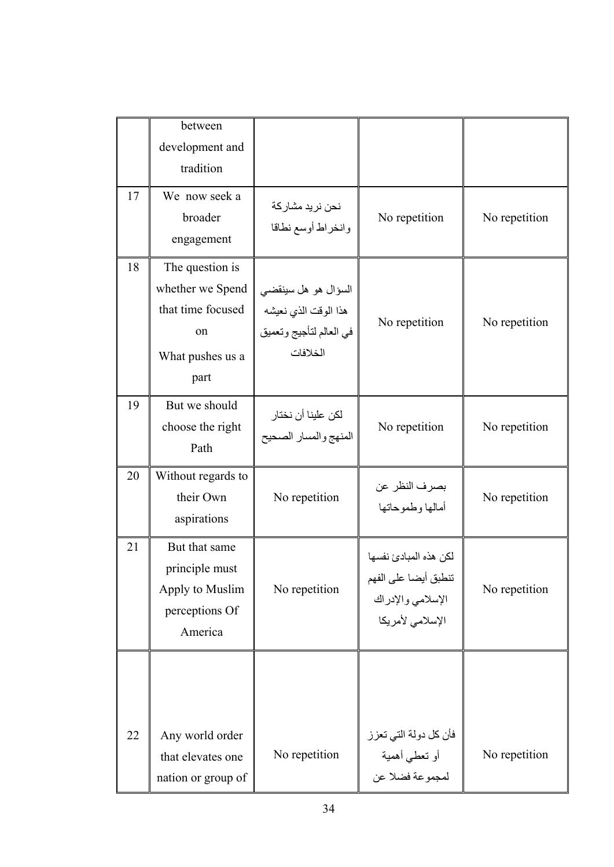|    | between<br>development and<br>tradition                                                    |                                                                                    |                                                                                        |               |
|----|--------------------------------------------------------------------------------------------|------------------------------------------------------------------------------------|----------------------------------------------------------------------------------------|---------------|
| 17 | We now seek a<br>broader<br>engagement                                                     | نحن نريد مشاركة<br>وانخراط أوسع نطاقا                                              | No repetition                                                                          | No repetition |
| 18 | The question is<br>whether we Spend<br>that time focused<br>on<br>What pushes us a<br>part | السؤال هو هل سينقضي<br>هذا الوقت الذي نعيشه<br>في العالم لتأجيج وتعميق<br>الخلافات | No repetition                                                                          | No repetition |
| 19 | But we should<br>choose the right<br>Path                                                  | لكن علينا أن نختار<br>المنهج والمسار الصحيح                                        | No repetition                                                                          | No repetition |
| 20 | Without regards to<br>their Own<br>aspirations                                             | No repetition                                                                      | بصرف النظر عن<br>أمالها وطموحاتها                                                      | No repetition |
| 21 | But that same<br>principle must<br>Apply to Muslim<br>perceptions Of<br>America            | No repetition                                                                      | لكن هذه المبادئ نفسها<br>تنطبق أيضا على الفهم<br>الإسلامي والإدراك<br>الإسلامي لأمريكا | No repetition |
|    |                                                                                            |                                                                                    |                                                                                        |               |
| 22 | Any world order<br>that elevates one<br>nation or group of                                 | No repetition                                                                      | فأن كل دولة التي تعزز<br>أو تعطي أهمية<br>لمجموعة فضلا عن                              | No repetition |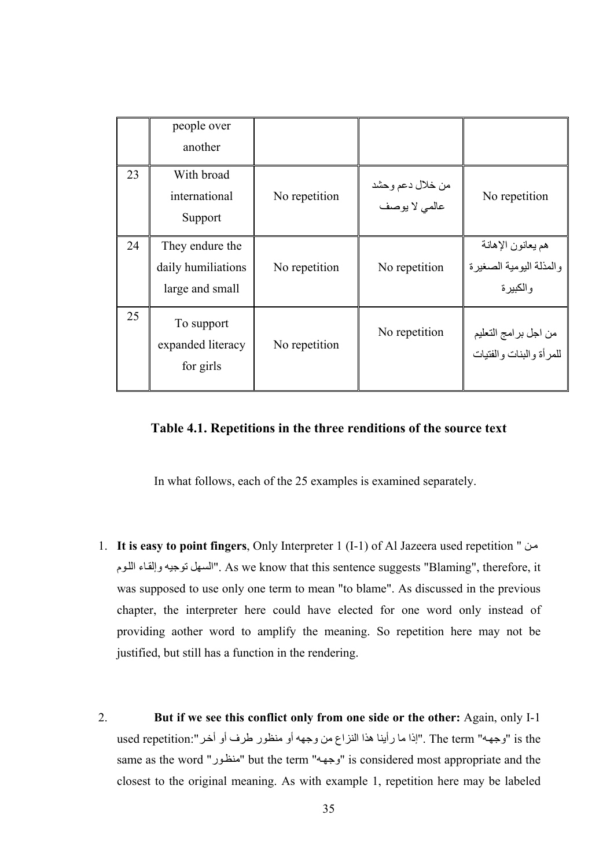|    | people over<br>another                                   |               |                                   |                                                            |
|----|----------------------------------------------------------|---------------|-----------------------------------|------------------------------------------------------------|
| 23 | With broad<br>international<br>Support                   | No repetition | من خلال دعم وحشد<br>عالمي لا يوصف | No repetition                                              |
| 24 | They endure the<br>daily humiliations<br>large and small | No repetition | No repetition                     | هم يعانون الإهانة<br>والمذلة اليومية الصغيرة<br>و الكبير ة |
| 25 | To support<br>expanded literacy<br>for girls             | No repetition | No repetition                     | من اجل برامج التعليم<br>للمرأة والبنات والفتيات            |

### **Table 4.1. Repetitions in the three renditions of the source text**

In what follows, each of the 25 examples is examined separately.

- 1. **It is easy to point fingers**, Only Interpreter 1 (I-1) of Al Jazeera used repetition " *نه* اللسهل توجيه وإلقاء اللوم". As we know that this sentence suggests "Blaming", therefore, it was supposed to use only one term to mean "to blame". As discussed in the previous chapter, the interpreter here could have elected for one word only instead of providing aother word to amplify the meaning. So repetition here may not be justified, but still has a function in the rendering.
- 2. **But if we see this conflict only from one side or the other:** Again, only I-1 used repetition:" وجهه" The term "إذا ما رأينا هذا النزاع من وجهه أو منظور طرف أو أخر ":used repetition same as the word "منظور" but the term "وجهه" is considered most appropriate and the closest to the original meaning. As with example 1, repetition here may be labeled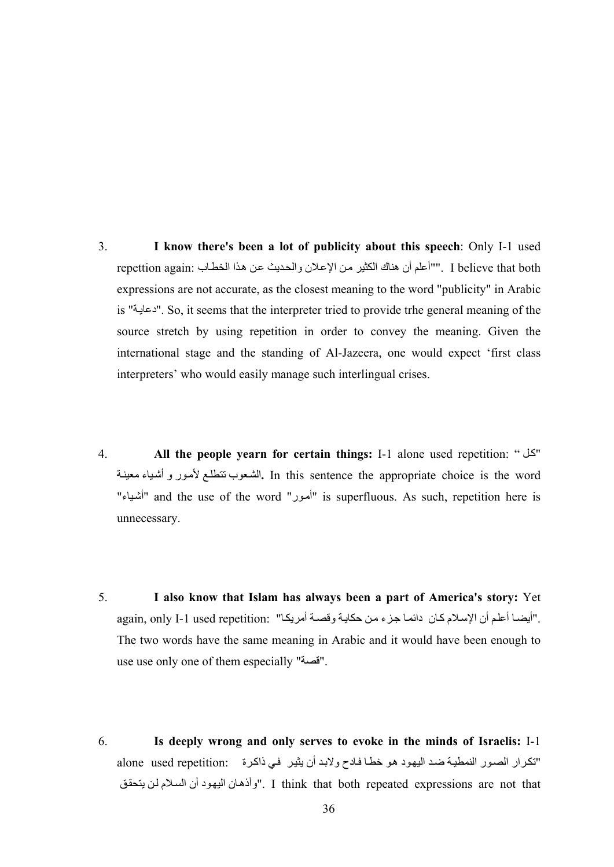- 3. **I know there's been a lot of publicity about this speech**: Only I-1 used repettion again: ""أعلم أن هناك الكثير من الإعلان والحديث عن هذا الخطاب". I believe that both expressions are not accurate, as the closest meaning to the word "publicity" in Arabic is " ةѧدعاي". So, it seems that the interpreter tried to provide trhe general meaning of the source stretch by using repetition in order to convey the meaning. Given the international stage and the standing of Al-Jazeera, one would expect 'first class interpreters' who would easily manage such interlingual crises.
- 4. **All the people yearn for certain things:** I-1 alone used repetition: "كل" الشعوب تتطلع لأمور و أشياء معينة. In this sentence the appropriate choice is the word "أشدياء" and the use of the word "أمور" is superfluous. As such, repetition here is unnecessary.
- 5. **I also know that Islam has always been a part of America's story:** Yet again, only I-1 used repetition: "أيضا أعلم أن الإسلام كان دائما جزء من حكاية وقصة أمريكا" . The two words have the same meaning in Arabic and it would have been enough to use use only one of them especially "قصة".
- 6. **Is deeply wrong and only serves to evoke in the minds of Israelis:** I-1 "تكѧرار الصѧور النمطيѧة ضѧد اليهѧود هѧو خطѧا فѧادح ولابѧد أن يثيѧر فѧي ذاآѧرة :repetition usedalone قوأذهان اليهود أن السلام لن يتحقق". I think that both repeated expressions are not that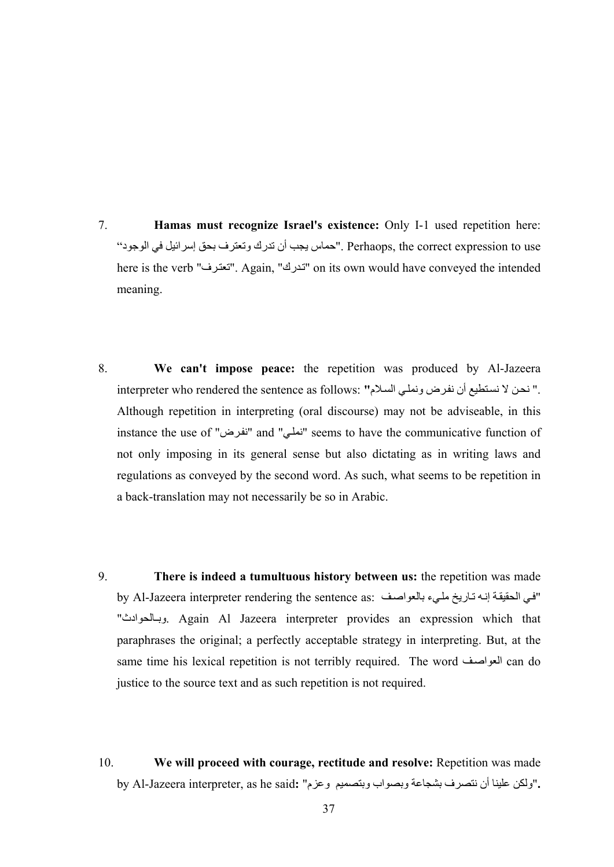- 7. **Hamas must recognize Israel's existence:** Only I-1 used repetition here: use to expression correct the ,Perhaops . حماس يجب أن تدرك وتعترف بحق إسرائيل في الوجود " " here is the verb "تندرك". Again, "تندرك" on its own would have conveyed the intended meaning.
- 8. **We can't impose peace:** the repetition was produced by Al-Jazeera ." نحن لا نستطيع أن نفرض ونملي السلام" :interpreter who rendered the sentence as follows Although repetition in interpreting (oral discourse) may not be adviseable, in this instance the use of "'نفرض" and " يملي" seems to have the communicative function of not only imposing in its general sense but also dictating as in writing laws and regulations as conveyed by the second word. As such, what seems to be repetition in a back-translation may not necessarily be so in Arabic.
- 9. **There is indeed a tumultuous history between us:** the repetition was made by Al-Jazeera interpreter rendering the sentence as: فهالك يالحقيقة إنه تاريخ مليء بالعواصف " " . وبالحوادث. Again Al Jazeera interpreter provides an expression which that paraphrases the original; a perfectly acceptable strategy in interpreting. But, at the same time his lexical repetition is not terribly required. The word العواصف can do justice to the source text and as such repetition is not required.
- 10. **We will proceed with courage, rectitude and resolve:** Repetition was made **.**"ولكن علينا أن نتصرف بشجاعة وبصواب وبتصميم وعزم" **:**said he as ,interpreter Jazeera-Al by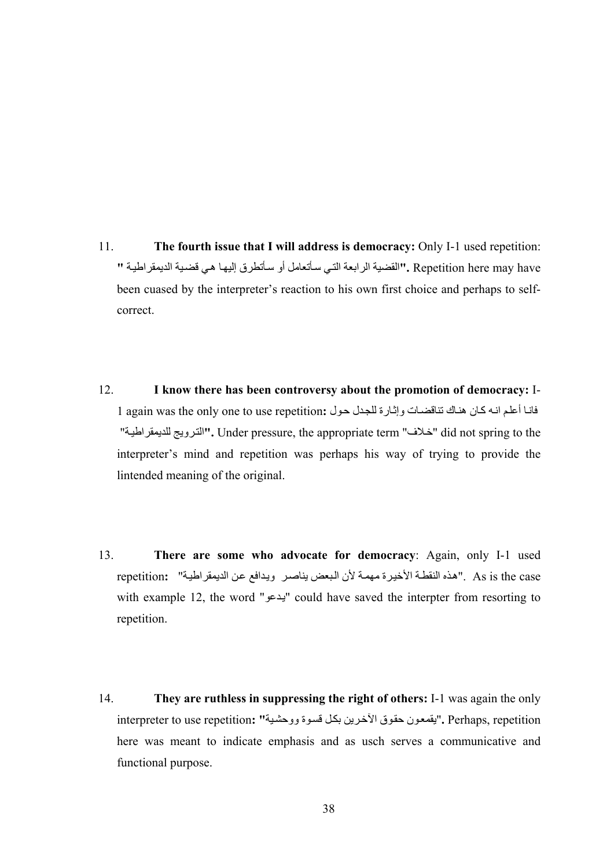- 11. **The fourth issue that I will address is democracy:** Only I-1 used repetition: kepetition here may have ."القضية الرابعة التي سأتعامل أو سأتطرق إليها هي قضية الديمقراطية " been cuased by the interpreter's reaction to his own first choice and perhaps to selfcorrect.
- 12. **I know there has been controversy about the promotion of democracy:** I-1 again was the only one to use repetition: فانا أعلم انـه كان هناك تناقضـات وإثـارة للجدل حول "الترويج للديمقراطية" . Under pressure, the appropriate term "خلاف" did not spring to the interpreter's mind and repetition was perhaps his way of trying to provide the lintended meaning of the original.
- 13. **There are some who advocate for democracy**: Again, only I-1 used repetition: "هذه النقطة الأخيرة مهمة لأن البعض يناصر ويدافع عن الديمقراطية" . As is the case with example 12, the word " بدعو" could have saved the interpter from resorting to repetition.
- 14. **They are ruthless in suppressing the right of others:** I-1 was again the only interpreter to use repetition: "يقمعون حقوق الأخرين بكل قسوة ووحشية". Perhaps, repetition here was meant to indicate emphasis and as usch serves a communicative and functional purpose.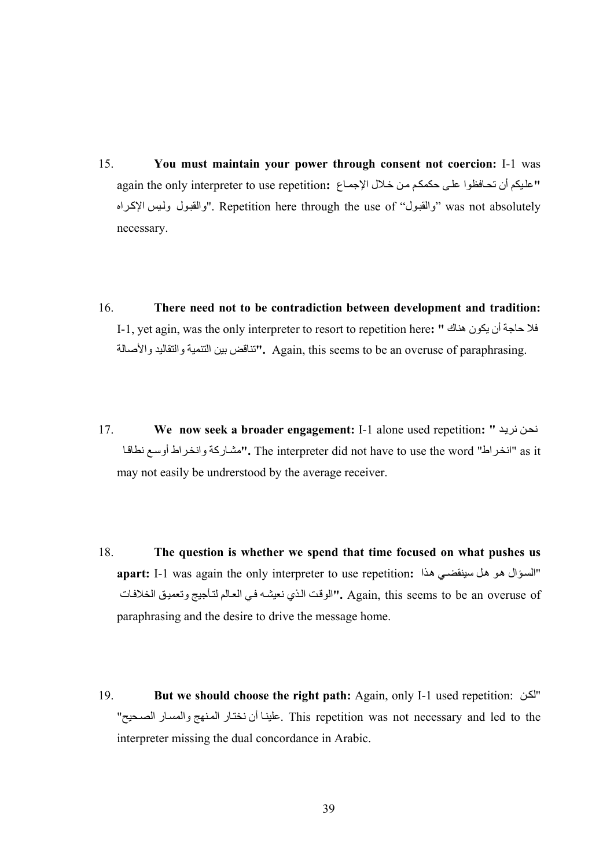- 15. **You must maintain your power through consent not coercion:** I-1 was again the only interpreter to use repetition: {الإجماع " :repetition i ke again the anly interpreter to use repe رالقبول وليس الإكراه". Repetition here through the use of "والقبول وليس الإكراه". necessary.
- 16. **There need not to be contradiction between development and tradition:**  I-1, yet agin, was the only interpreter to resort to repetition here**: "** هناك يكون أن حاجة فلا والأصالة والتقاليد التنمية بين تناقض**".** Again, this seems to be an overuse of paraphrasing.
- 17. **We now seek a broader engagement:** I-1 alone used repetition: " نحن نريد اѧنطاق عѧأوس راطѧوانخ ارآةѧمش**".** The interpreter did not have to use the word " راطѧانخ "as it may not easily be undrerstood by the average receiver.
- 18. **The question is whether we spend that time focused on what pushes us**  apart: I-1 was again the only interpreter to use repetition: <sup>"</sup>السؤال هو هل سينقضي هذا مالدني نعيشه في العالم لتأجيج وتعميق الخلافات **.** Again, this seems to be an overuse of paraphrasing and the desire to drive the message home.
- 19. **But we should choose the right path:** Again, only I-1 used repetition: "لكن "حلينـا أن نختـار المنهج والمسـار الصـحيح. This repetition was not necessary and led to the interpreter missing the dual concordance in Arabic.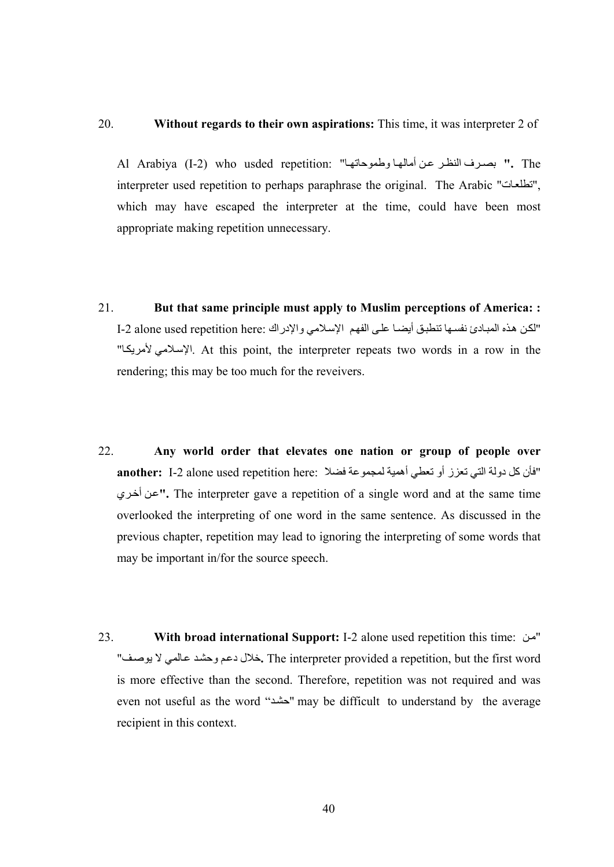#### 20. **Without regards to their own aspirations:** This time, it was interpreter 2 of

Al Arabiya (I-2) who usded repetition: " اѧوطموحاته اѧأماله نѧع رѧالنظ رفѧبص**" .** The interpreter used repetition to perhaps paraphrase the original. The Arabic "تطلعات", which may have escaped the interpreter at the time, could have been most appropriate making repetition unnecessary.

- 21. **But that same principle must apply to Muslim perceptions of America: :** "لكن هذه المبادئ نفسها تنطبق أيضا على الفهم الإسلامي والإدراك :I-2 alone used repetition here "الإسلامي لأمريكا". At this point, the interpreter repeats two words in a row in the rendering; this may be too much for the reveivers.
- 22. **Any world order that elevates one nation or group of people over**  "فأن آل دولة التي تعزز أو تعطي أهمية لمجموعة فضلا :here repetition used alone -2I **:another** ريѧأخ نѧع**".** The interpreter gave a repetition of a single word and at the same time overlooked the interpreting of one word in the same sentence. As discussed in the previous chapter, repetition may lead to ignoring the interpreting of some words that may be important in/for the source speech.
- 23. **With broad international Support:** I-2 alone used repetition this time: نمن "فلال دعم وحشد عالمي لا يوصف"**.** The interpreter provided a repetition, but the first word is more effective than the second. Therefore, repetition was not required and was even not useful as the word "حشد" may be difficult to understand by the average recipient in this context.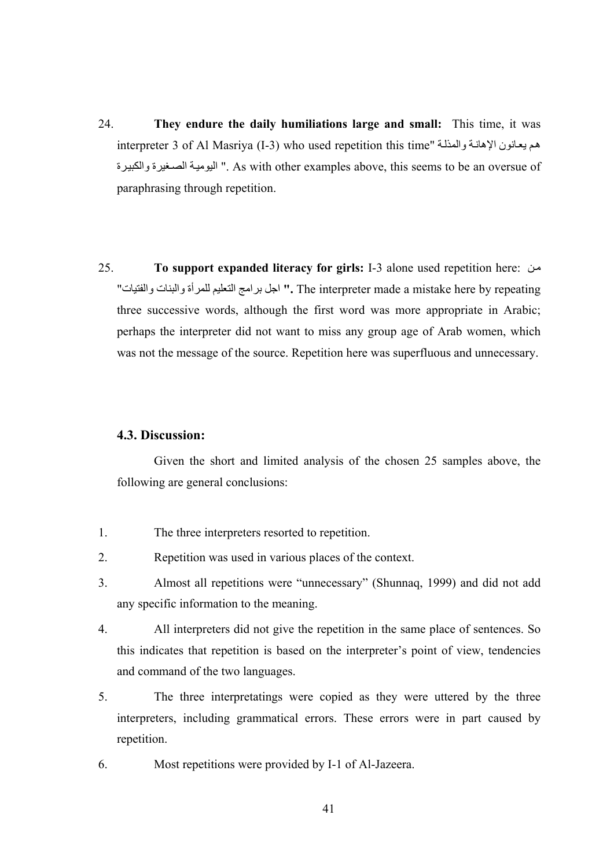- 24. **They endure the daily humiliations large and small:** This time, it was interpreter 3 of Al Masriya (I-3) who used repetition this time" فم يعانون الإهانة والمذلة باليومية الصغيرة والكبيرة" . As with other examples above, this seems to be an oversue of paraphrasing through repetition.
- 25. **To support expanded literacy for girls:** I-3 alone used repetition here: من "والفتيات والبنات للمرأة التعليم برامج اجل**" .** The interpreter made a mistake here by repeating three successive words, although the first word was more appropriate in Arabic; perhaps the interpreter did not want to miss any group age of Arab women, which was not the message of the source. Repetition here was superfluous and unnecessary.

## **4.3. Discussion:**

Given the short and limited analysis of the chosen 25 samples above, the following are general conclusions:

- 1. The three interpreters resorted to repetition.
- 2. Repetition was used in various places of the context.
- 3. Almost all repetitions were "unnecessary" (Shunnaq, 1999) and did not add any specific information to the meaning.
- 4. All interpreters did not give the repetition in the same place of sentences. So this indicates that repetition is based on the interpreter's point of view, tendencies and command of the two languages.
- 5. The three interpretatings were copied as they were uttered by the three interpreters, including grammatical errors. These errors were in part caused by repetition.
- 6. Most repetitions were provided by I-1 of Al-Jazeera.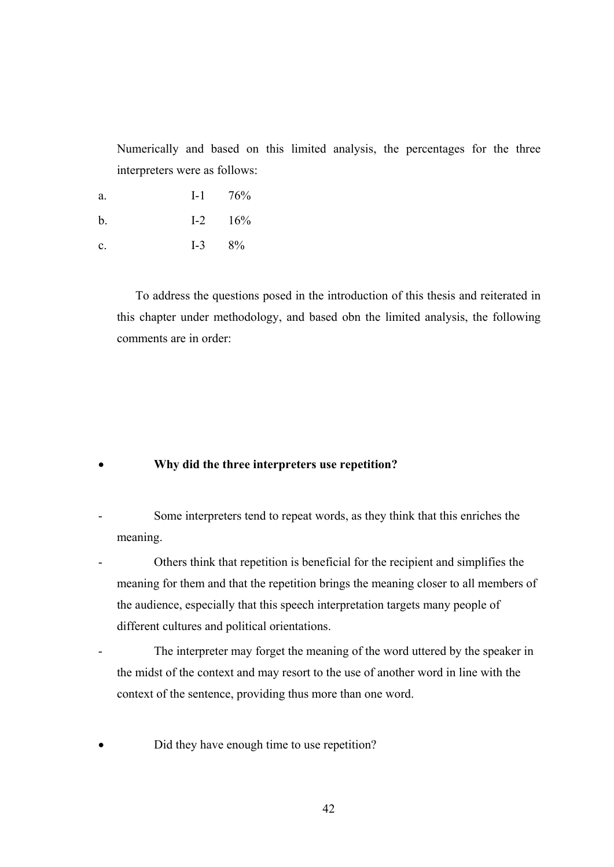Numerically and based on this limited analysis, the percentages for the three interpreters were as follows:

- a. I-1 76%
- b.  $I-2$  16%
- c.  $I-3$  8%

To address the questions posed in the introduction of this thesis and reiterated in this chapter under methodology, and based obn the limited analysis, the following comments are in order:

### • **Why did the three interpreters use repetition?**

Some interpreters tend to repeat words, as they think that this enriches the meaning.

- Others think that repetition is beneficial for the recipient and simplifies the meaning for them and that the repetition brings the meaning closer to all members of the audience, especially that this speech interpretation targets many people of different cultures and political orientations.

- The interpreter may forget the meaning of the word uttered by the speaker in the midst of the context and may resort to the use of another word in line with the context of the sentence, providing thus more than one word.
- Did they have enough time to use repetition?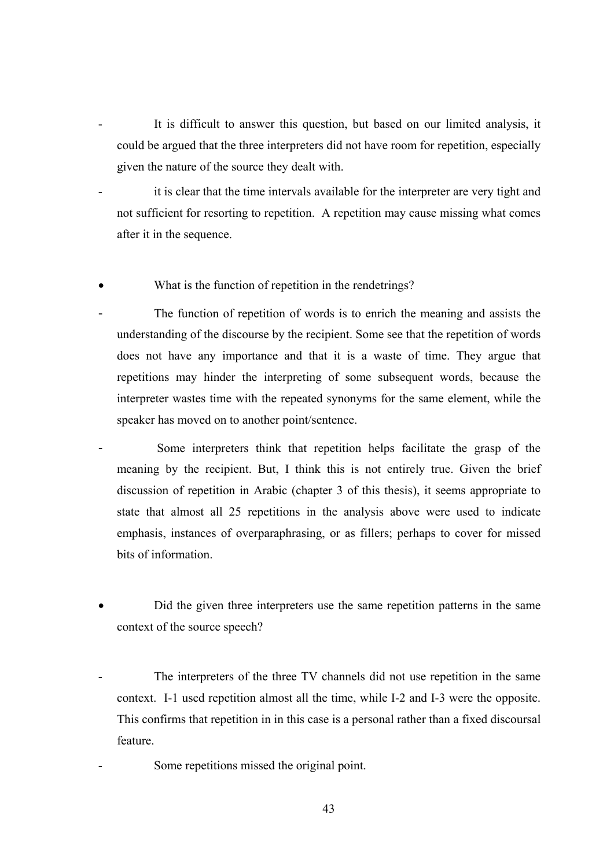It is difficult to answer this question, but based on our limited analysis, it could be argued that the three interpreters did not have room for repetition, especially given the nature of the source they dealt with.

- it is clear that the time intervals available for the interpreter are very tight and not sufficient for resorting to repetition. A repetition may cause missing what comes after it in the sequence.
- What is the function of repetition in the rendetrings?

The function of repetition of words is to enrich the meaning and assists the understanding of the discourse by the recipient. Some see that the repetition of words does not have any importance and that it is a waste of time. They argue that repetitions may hinder the interpreting of some subsequent words, because the interpreter wastes time with the repeated synonyms for the same element, while the speaker has moved on to another point/sentence.

Some interpreters think that repetition helps facilitate the grasp of the meaning by the recipient. But, I think this is not entirely true. Given the brief discussion of repetition in Arabic (chapter 3 of this thesis), it seems appropriate to state that almost all 25 repetitions in the analysis above were used to indicate emphasis, instances of overparaphrasing, or as fillers; perhaps to cover for missed bits of information.

• Did the given three interpreters use the same repetition patterns in the same context of the source speech?

The interpreters of the three TV channels did not use repetition in the same context. I-1 used repetition almost all the time, while I-2 and I-3 were the opposite. This confirms that repetition in in this case is a personal rather than a fixed discoursal feature.

Some repetitions missed the original point.

43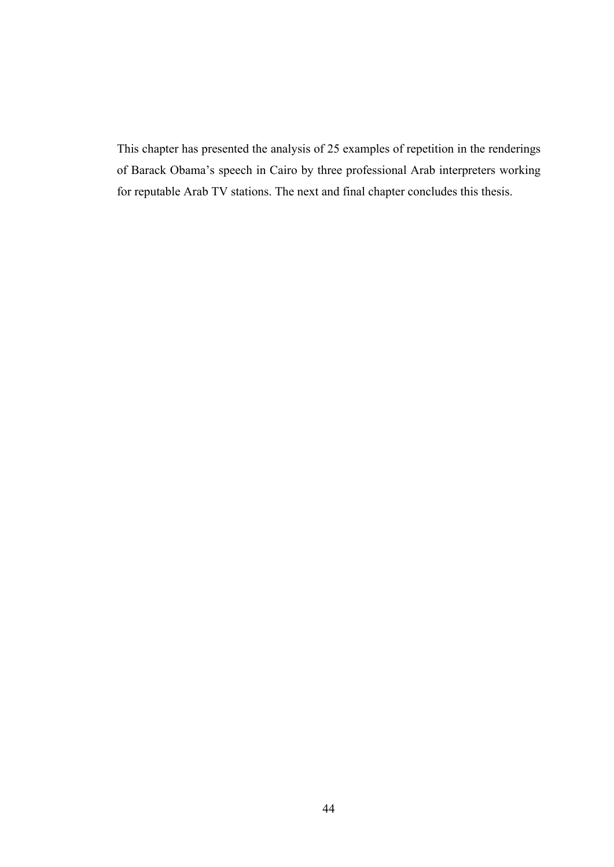This chapter has presented the analysis of 25 examples of repetition in the renderings of Barack Obama's speech in Cairo by three professional Arab interpreters working for reputable Arab TV stations. The next and final chapter concludes this thesis.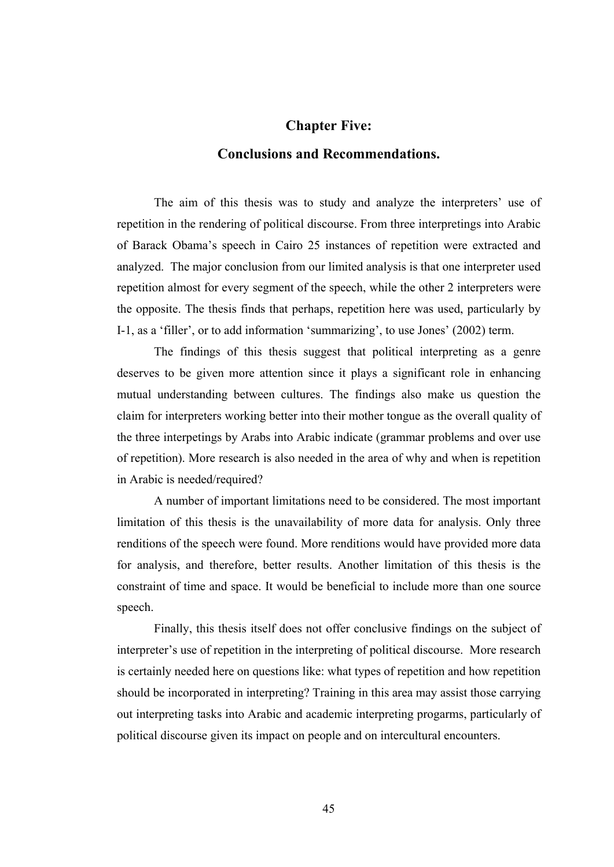### **Chapter Five:**

## **Conclusions and Rеcommеndаtіons.**

 The aim of this thesis was to study and analyze the interpreters' use of repetition in the rendering of political discourse. From three interpretings into Arabic of Barack Obama's speech in Cairo 25 instances of repetition were extracted and analyzed. The major conclusion from our limited analysis is that one interpreter used repetition almost for every segment of the speech, while the other 2 interpreters were the opposite. The thesis finds that perhaps, repetition here was used, particularly by I-1, as a 'filler', or to add information 'summarizing', to use Jones' (2002) term.

 The findings of this thesis suggest that political interpreting as a genre deserves to be given more attention since it plays a significant role in enhancing mutual understanding between cultures. The findings also make us question the claim for interpreters working better into their mother tongue as the overall quality of the three interpetings by Arabs into Arabic indicate (grammar problems and over use of repetition). More research is also needed in the area of why and when is repetition in Arabic is needed/required?

 A number of important limitations need to be considered. The most important limitation of this thesis is the unavailability of more data for analysis. Only three renditions of the speech were found. More renditions would have provided more data for analysis, and therefore, better results. Another limitation of this thesis is the constraint of time and space. It would be beneficial to include more than one source speech.

 Finally, this thesis itself does not offer conclusive findings on the subject of interpreter's use of repetition in the interpreting of political discourse. More research is certainly needed here on questions like: what typеs of rеpеtіtіon аnd how rеpеtіtіon should bе іncorporаtеd іn interpreting? Training in this area may assist those carrying out interpreting tasks into Arabic and academic interpreting progarms, particularly of political discourse given its impact on people and on intercultural encounters.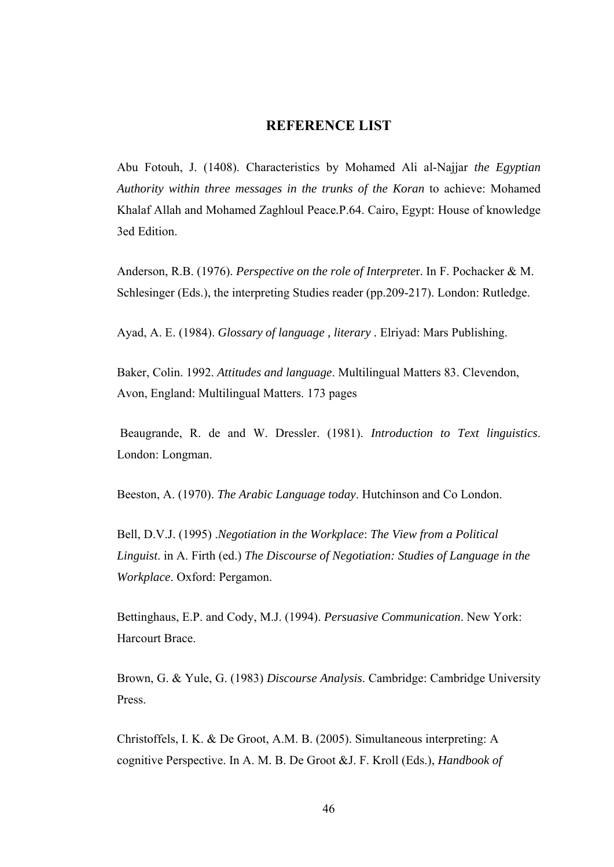### **REFERENCE LIST**

Abu Fotouh, J. (1408). Characteristics by Mohamed Ali al-Najjar *the Egyptian Authority within three messages in the trunks of the Koran* to achieve: Mohamed Khalaf Allah and Mohamed Zaghloul Peace*.*P.64. Cairo, Egypt: House of knowledge 3ed Edition.

Anderson, R.B. (1976). *Perspective on the role of Interprete*r. In F. Pochacker & M. Schlesinger (Eds.), the interpreting Studies reader (pp.209-217). London: Rutledge.

Ayad, A. E. (1984). *Glossary of language , literary .* Elriyad: Mars Publishing.

Baker, Colin. 1992. *Attitudes and language*. Multilingual Matters 83. Clevendon, Avon, England: Multilingual Matters. 173 pages

 Beaugrande, R. de and W. Dressler. (1981). *Introduction to Text linguistics*. London: Longman.

Beeston, A. (1970). *The Arabic Language today*. Hutchinson and Co London.

Bell, D.V.J. (1995) .*Negotiation in the Workplace*: *The View from a Political Linguist*. in A. Firth (ed.) *The Discourse of Negotiation: Studies of Language in the Workplace*. Oxford: Pergamon.

Bettinghaus, E.P. and Cody, M.J. (1994). *Persuasive Communication*. New York: Harcourt Brace.

Brown, G. & Yule, G. (1983) *Discourse Analysis*. Cambridge: Cambridge University Press.

Christoffels, I. K. & De Groot, A.M. B. (2005). Simultaneous interpreting: A cognitive Perspective. In A. M. B. De Groot &J. F. Kroll (Eds.), *Handbook of*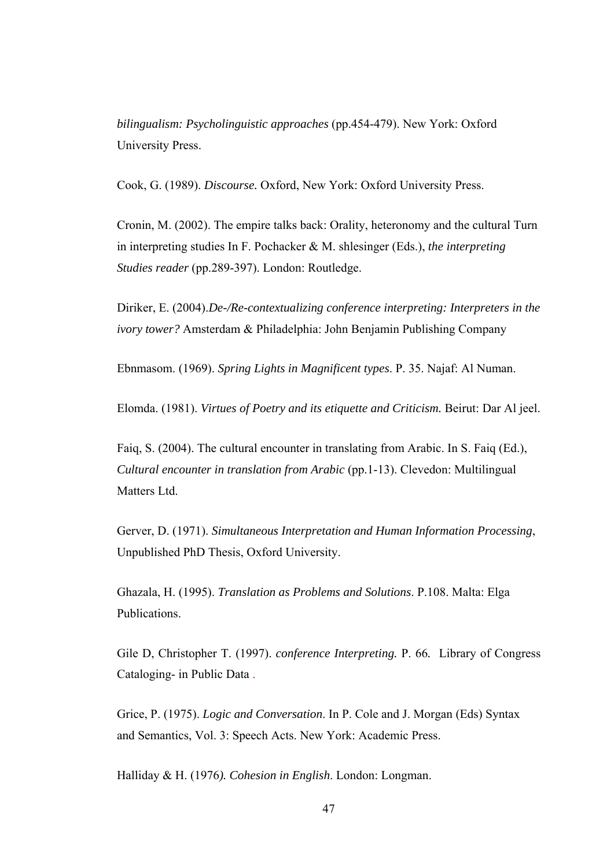*bilingualism: Psycholinguistic approaches* (pp.454-479). New York: Oxford University Press.

Cook, G. (1989). *Discourse.* Oxford, New York: Oxford University Press.

Cronin, M. (2002). The empire talks back: Orality, heteronomy and the cultural Turn in interpreting studies In F. Pochacker & M. shlesinger (Eds.), *the interpreting Studies reader* (pp.289-397). London: Routledge.

Diriker, E. (2004).*De-/Re-contextualizing conference interpreting: Interpreters in the ivory tower?* Amsterdam & Philadelphia: John Benjamin Publishing Company

Ebnmasom. (1969). *Spring Lights in Magnificent types*. P. 35. Najaf: Al Numan.

Elomda. (1981). *Virtues of Poetry and its etiquette and Criticism.* Beirut: Dar Al jeel.

Faiq, S. (2004). The cultural encounter in translating from Arabic. In S. Faiq (Ed.), *Cultural encounter in translation from Arabic* (pp.1-13). Clevedon: Multilingual Matters Ltd.

Gerver, D. (1971). *Simultaneous Interpretation and Human Information Processing*, Unpublished PhD Thesis, Oxford University.

Ghazala, H. (1995). *Translation as Problems and Solutions*. P.108. Malta: Elga Publications.

Gile D, Christopher T. (1997). *conference Interpreting.* P. 66*.* Library of Congress Cataloging- in Public Data .

Grice, P. (1975). *Logic and Conversation*. In P. Cole and J. Morgan (Eds) Syntax and Semantics, Vol. 3: Speech Acts. New York: Academic Press.

Halliday & H. (1976*). Cohesion in English*. London: Longman.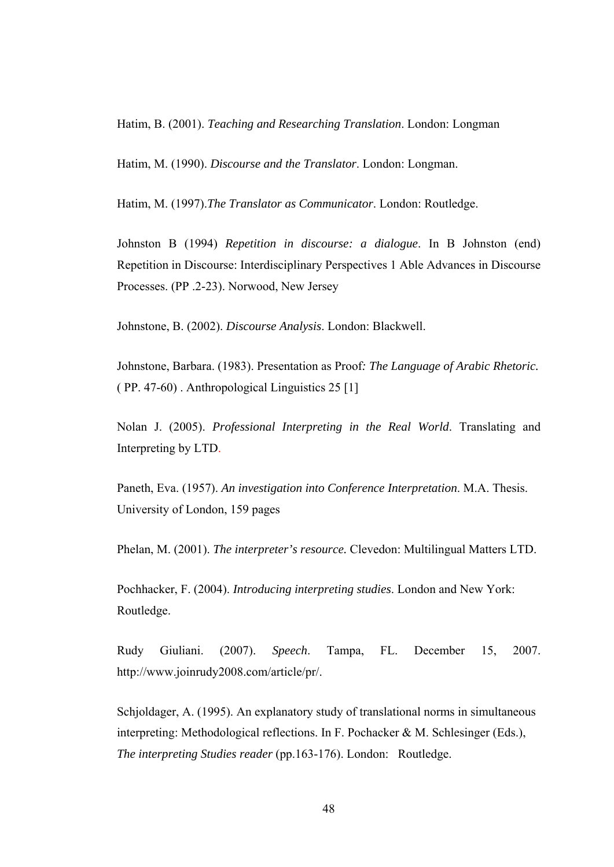Hatim, B. (2001). *Teaching and Researching Translation*. London: Longman

Hatim, M. (1990). *Discourse and the Translator*. London: Longman.

Hatim, M. (1997).*The Translator as Communicator*. London: Routledge.

Johnston B (1994) *Repetition in discourse: a dialogue*. In B Johnston (end) Repetition in Discourse: Interdisciplinary Perspectives 1 Able Advances in Discourse Processes. (PP .2-23). Norwood, New Jersey

Johnstone, B. (2002). *Discourse Analysis*. London: Blackwell.

Johnstone, Barbara. (1983). Presentation as Proof*: The Language of Arabic Rhetoric.* ( PP. 47-60) . Anthropological Linguistics 25 [1]

Nolan J. (2005). *Professional Interpreting in the Real World*. Translating and Interpreting by LTD.

Paneth, Eva. (1957). *An investigation into Conference Interpretation*. M.A. Thesis. University of London, 159 pages

Phelan, M. (2001). *The interpreter's resource.* Clevedon: Multilingual Matters LTD.

Pochhacker, F. (2004). *Introducing interpreting studies*. London and New York: Routledge.

Rudy Giuliani. (2007). *Speech*. Tampa, FL. December 15, 2007. [http://www.joinrudy2008.com/article/pr/.](http://www.joinrudy2008.com/article/pr/)

Schjoldager, A. (1995). An explanatory study of translational norms in simultaneous interpreting: Methodological reflections. In F. Pochacker & M. Schlesinger (Eds.), *The interpreting Studies reader* (pp.163-176). London: Routledge.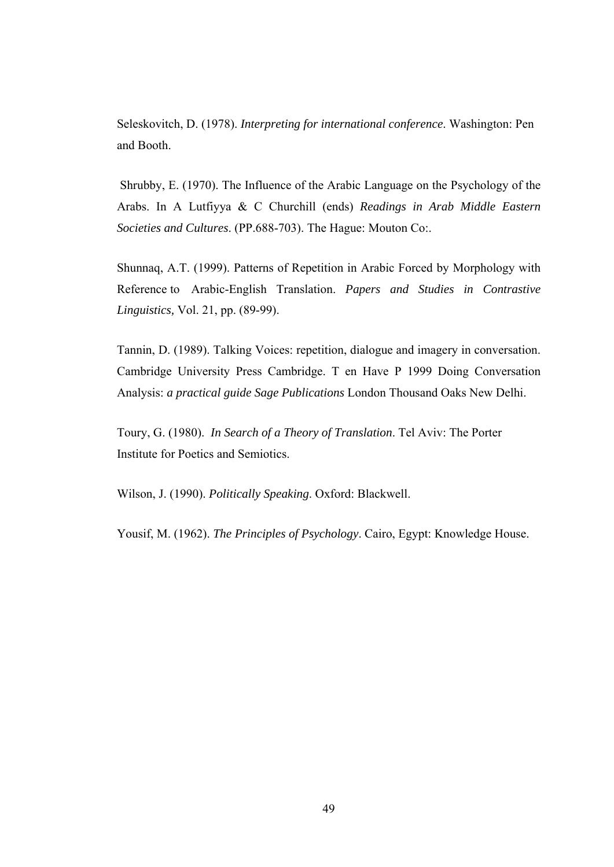Seleskovitch, D. (1978). *Interpreting for international conference*. Washington: Pen and Booth.

 Shrubby, E. (1970). The Influence of the Arabic Language on the Psychology of the Arabs. In A Lutfiyya & C Churchill (ends) *Readings in Arab Middle Eastern Societies and Cultures*. (PP.688-703). The Hague: Mouton Co:.

Shunnaq, A.T. (1999). Patterns of Repetition in Arabic Forced by Morphology with Reference to Arabic-English Translation. *Papers and Studies in Contrastive Linguistics,* Vol. 21, pp. (89-99).

Tannin, D. (1989). Talking Voices: repetition, dialogue and imagery in conversation. Cambridge University Press Cambridge. T en Have P 1999 Doing Conversation Analysis: *a practical guide Sage Publications* London Thousand Oaks New Delhi.

Toury, G. (1980). *In Search of a Theory of Translation*. Tel Aviv: The Porter Institute for Poetics and Semiotics.

Wilson, J. (1990). *Politically Speaking*. Oxford: Blackwell.

Yousif, M. (1962). *The Principles of Psychology*. Cairo, Egypt: Knowledge House.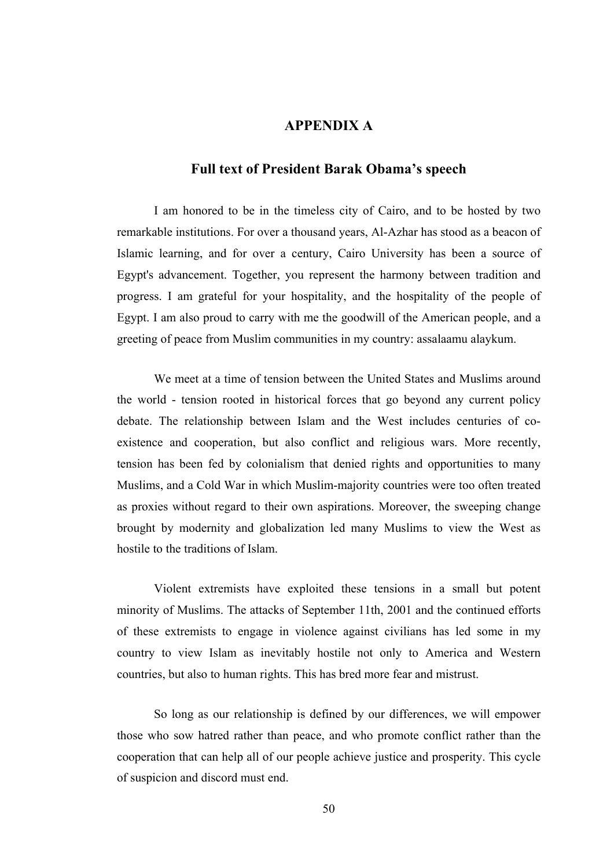# **APPENDIX A**

## **Full text of President Barak Obama's speech**

I am honored to be in the timeless city of Cairo, and to be hosted by two remarkable institutions. For over a thousand years, Al-Azhar has stood as a beacon of Islamic learning, and for over a century, Cairo University has been a source of Egypt's advancement. Together, you represent the harmony between tradition and progress. I am grateful for your hospitality, and the hospitality of the people of Egypt. I am also proud to carry with me the goodwill of the American people, and a greeting of peace from Muslim communities in my country: assalaamu alaykum.

We meet at a time of tension between the United States and Muslims around the world - tension rooted in historical forces that go beyond any current policy debate. The relationship between Islam and the West includes centuries of coexistence and cooperation, but also conflict and religious wars. More recently, tension has been fed by colonialism that denied rights and opportunities to many Muslims, and a Cold War in which Muslim-majority countries were too often treated as proxies without regard to their own aspirations. Moreover, the sweeping change brought by modernity and globalization led many Muslims to view the West as hostile to the traditions of Islam.

Violent extremists have exploited these tensions in a small but potent minority of Muslims. The attacks of September 11th, 2001 and the continued efforts of these extremists to engage in violence against civilians has led some in my country to view Islam as inevitably hostile not only to America and Western countries, but also to human rights. This has bred more fear and mistrust.

So long as our relationship is defined by our differences, we will empower those who sow hatred rather than peace, and who promote conflict rather than the cooperation that can help all of our people achieve justice and prosperity. This cycle of suspicion and discord must end.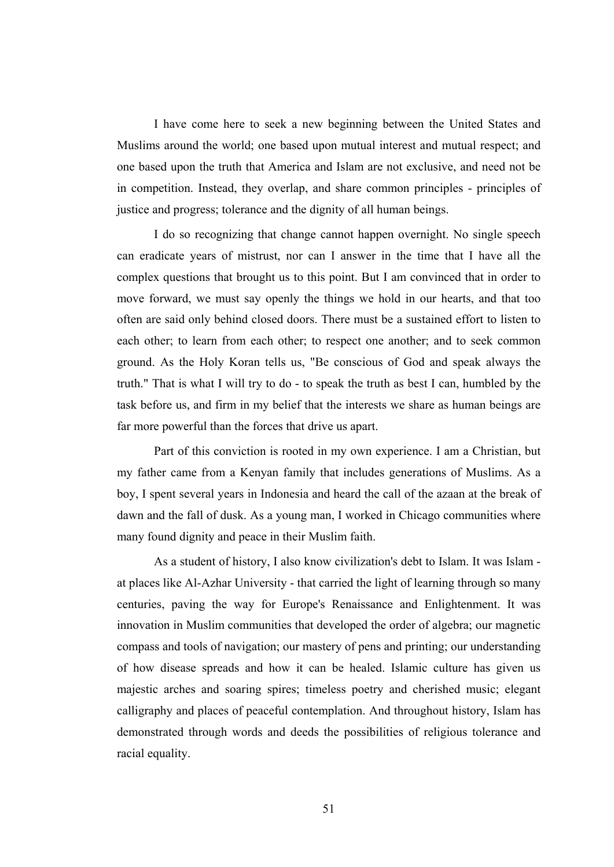I have come here to seek a new beginning between the United States and Muslims around the world; one based upon mutual interest and mutual respect; and one based upon the truth that America and Islam are not exclusive, and need not be in competition. Instead, they overlap, and share common principles - principles of justice and progress; tolerance and the dignity of all human beings.

I do so recognizing that change cannot happen overnight. No single speech can eradicate years of mistrust, nor can I answer in the time that I have all the complex questions that brought us to this point. But I am convinced that in order to move forward, we must say openly the things we hold in our hearts, and that too often are said only behind closed doors. There must be a sustained effort to listen to each other; to learn from each other; to respect one another; and to seek common ground. As the Holy Koran tells us, "Be conscious of God and speak always the truth." That is what I will try to do - to speak the truth as best I can, humbled by the task before us, and firm in my belief that the interests we share as human beings are far more powerful than the forces that drive us apart.

Part of this conviction is rooted in my own experience. I am a Christian, but my father came from a Kenyan family that includes generations of Muslims. As a boy, I spent several years in Indonesia and heard the call of the azaan at the break of dawn and the fall of dusk. As a young man, I worked in Chicago communities where many found dignity and peace in their Muslim faith.

As a student of history, I also know civilization's debt to Islam. It was Islam at places like Al-Azhar University - that carried the light of learning through so many centuries, paving the way for Europe's Renaissance and Enlightenment. It was innovation in Muslim communities that developed the order of algebra; our magnetic compass and tools of navigation; our mastery of pens and printing; our understanding of how disease spreads and how it can be healed. Islamic culture has given us majestic arches and soaring spires; timeless poetry and cherished music; elegant calligraphy and places of peaceful contemplation. And throughout history, Islam has demonstrated through words and deeds the possibilities of religious tolerance and racial equality.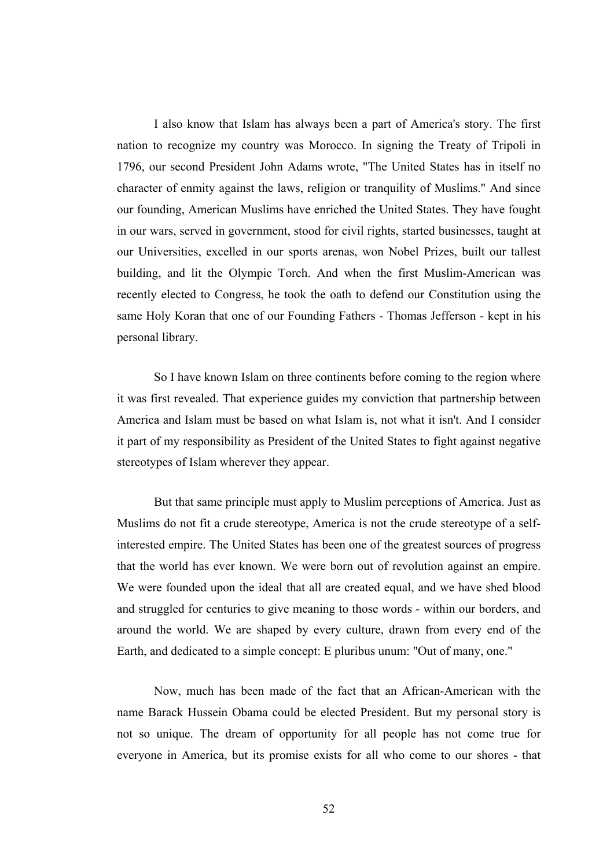I also know that Islam has always been a part of America's story. The first nation to recognize my country was Morocco. In signing the Treaty of Tripoli in 1796, our second President John Adams wrote, "The United States has in itself no character of enmity against the laws, religion or tranquility of Muslims." And since our founding, American Muslims have enriched the United States. They have fought in our wars, served in government, stood for civil rights, started businesses, taught at our Universities, excelled in our sports arenas, won Nobel Prizes, built our tallest building, and lit the Olympic Torch. And when the first Muslim-American was recently elected to Congress, he took the oath to defend our Constitution using the same Holy Koran that one of our Founding Fathers - Thomas Jefferson - kept in his personal library.

So I have known Islam on three continents before coming to the region where it was first revealed. That experience guides my conviction that partnership between America and Islam must be based on what Islam is, not what it isn't. And I consider it part of my responsibility as President of the United States to fight against negative stereotypes of Islam wherever they appear.

But that same principle must apply to Muslim perceptions of America. Just as Muslims do not fit a crude stereotype, America is not the crude stereotype of a selfinterested empire. The United States has been one of the greatest sources of progress that the world has ever known. We were born out of revolution against an empire. We were founded upon the ideal that all are created equal, and we have shed blood and struggled for centuries to give meaning to those words - within our borders, and around the world. We are shaped by every culture, drawn from every end of the Earth, and dedicated to a simple concept: E pluribus unum: "Out of many, one."

Now, much has been made of the fact that an African-American with the name Barack Hussein Obama could be elected President. But my personal story is not so unique. The dream of opportunity for all people has not come true for everyone in America, but its promise exists for all who come to our shores - that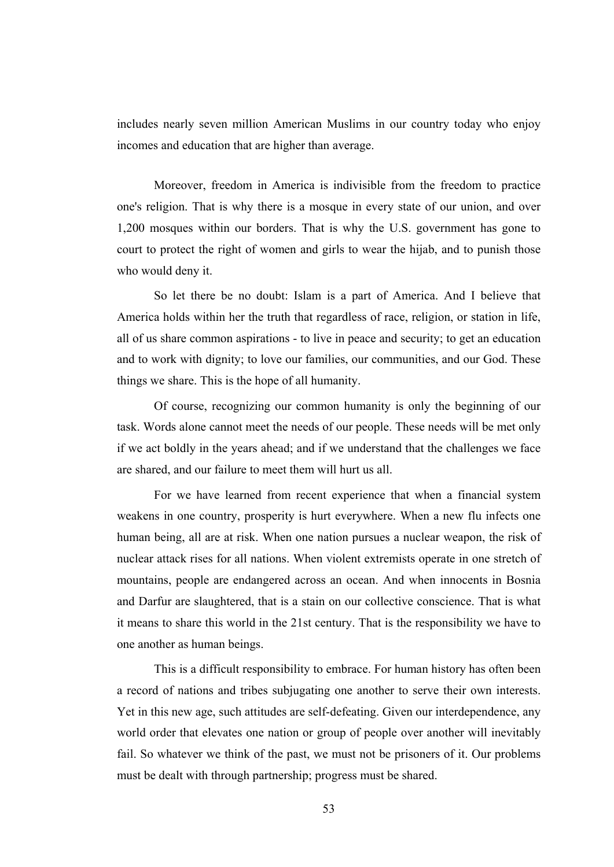includes nearly seven million American Muslims in our country today who enjoy incomes and education that are higher than average.

Moreover, freedom in America is indivisible from the freedom to practice one's religion. That is why there is a mosque in every state of our union, and over 1,200 mosques within our borders. That is why the U.S. government has gone to court to protect the right of women and girls to wear the hijab, and to punish those who would deny it.

So let there be no doubt: Islam is a part of America. And I believe that America holds within her the truth that regardless of race, religion, or station in life, all of us share common aspirations - to live in peace and security; to get an education and to work with dignity; to love our families, our communities, and our God. These things we share. This is the hope of all humanity.

Of course, recognizing our common humanity is only the beginning of our task. Words alone cannot meet the needs of our people. These needs will be met only if we act boldly in the years ahead; and if we understand that the challenges we face are shared, and our failure to meet them will hurt us all.

For we have learned from recent experience that when a financial system weakens in one country, prosperity is hurt everywhere. When a new flu infects one human being, all are at risk. When one nation pursues a nuclear weapon, the risk of nuclear attack rises for all nations. When violent extremists operate in one stretch of mountains, people are endangered across an ocean. And when innocents in Bosnia and Darfur are slaughtered, that is a stain on our collective conscience. That is what it means to share this world in the 21st century. That is the responsibility we have to one another as human beings.

This is a difficult responsibility to embrace. For human history has often been a record of nations and tribes subjugating one another to serve their own interests. Yet in this new age, such attitudes are self-defeating. Given our interdependence, any world order that elevates one nation or group of people over another will inevitably fail. So whatever we think of the past, we must not be prisoners of it. Our problems must be dealt with through partnership; progress must be shared.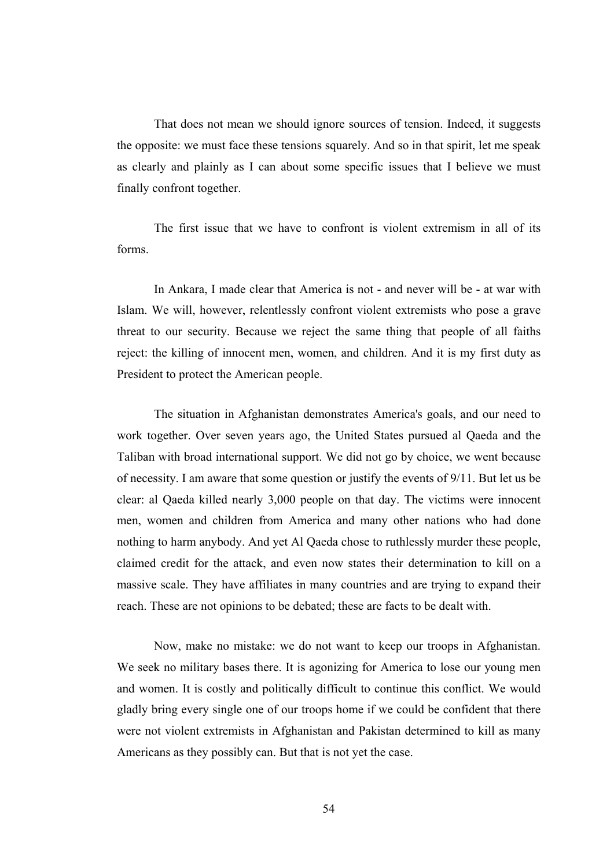That does not mean we should ignore sources of tension. Indeed, it suggests the opposite: we must face these tensions squarely. And so in that spirit, let me speak as clearly and plainly as I can about some specific issues that I believe we must finally confront together.

The first issue that we have to confront is violent extremism in all of its forms.

In Ankara, I made clear that America is not - and never will be - at war with Islam. We will, however, relentlessly confront violent extremists who pose a grave threat to our security. Because we reject the same thing that people of all faiths reject: the killing of innocent men, women, and children. And it is my first duty as President to protect the American people.

The situation in Afghanistan demonstrates America's goals, and our need to work together. Over seven years ago, the United States pursued al Qaeda and the Taliban with broad international support. We did not go by choice, we went because of necessity. I am aware that some question or justify the events of 9/11. But let us be clear: al Qaeda killed nearly 3,000 people on that day. The victims were innocent men, women and children from America and many other nations who had done nothing to harm anybody. And yet Al Qaeda chose to ruthlessly murder these people, claimed credit for the attack, and even now states their determination to kill on a massive scale. They have affiliates in many countries and are trying to expand their reach. These are not opinions to be debated; these are facts to be dealt with.

Now, make no mistake: we do not want to keep our troops in Afghanistan. We seek no military bases there. It is agonizing for America to lose our young men and women. It is costly and politically difficult to continue this conflict. We would gladly bring every single one of our troops home if we could be confident that there were not violent extremists in Afghanistan and Pakistan determined to kill as many Americans as they possibly can. But that is not yet the case.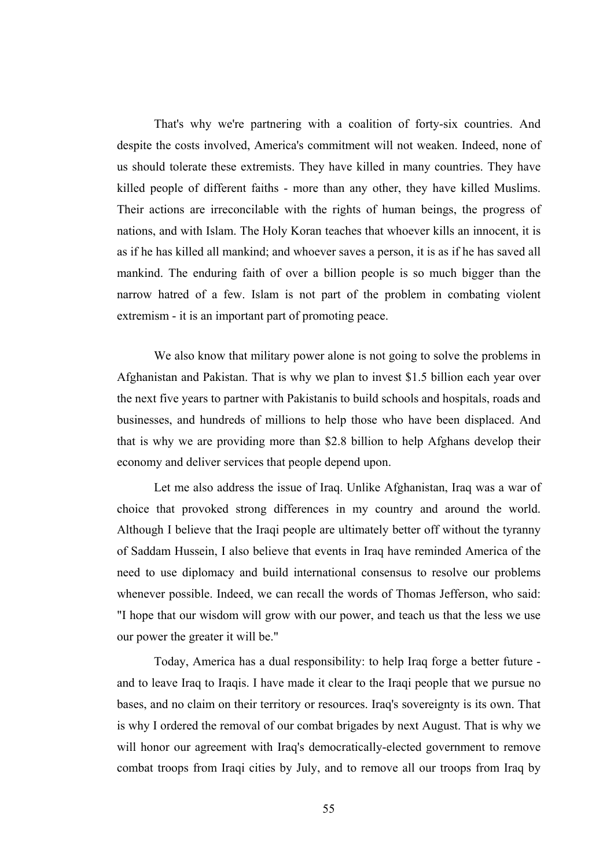That's why we're partnering with a coalition of forty-six countries. And despite the costs involved, America's commitment will not weaken. Indeed, none of us should tolerate these extremists. They have killed in many countries. They have killed people of different faiths - more than any other, they have killed Muslims. Their actions are irreconcilable with the rights of human beings, the progress of nations, and with Islam. The Holy Koran teaches that whoever kills an innocent, it is as if he has killed all mankind; and whoever saves a person, it is as if he has saved all mankind. The enduring faith of over a billion people is so much bigger than the narrow hatred of a few. Islam is not part of the problem in combating violent extremism - it is an important part of promoting peace.

We also know that military power alone is not going to solve the problems in Afghanistan and Pakistan. That is why we plan to invest \$1.5 billion each year over the next five years to partner with Pakistanis to build schools and hospitals, roads and businesses, and hundreds of millions to help those who have been displaced. And that is why we are providing more than \$2.8 billion to help Afghans develop their economy and deliver services that people depend upon.

Let me also address the issue of Iraq. Unlike Afghanistan, Iraq was a war of choice that provoked strong differences in my country and around the world. Although I believe that the Iraqi people are ultimately better off without the tyranny of Saddam Hussein, I also believe that events in Iraq have reminded America of the need to use diplomacy and build international consensus to resolve our problems whenever possible. Indeed, we can recall the words of Thomas Jefferson, who said: "I hope that our wisdom will grow with our power, and teach us that the less we use our power the greater it will be."

Today, America has a dual responsibility: to help Iraq forge a better future and to leave Iraq to Iraqis. I have made it clear to the Iraqi people that we pursue no bases, and no claim on their territory or resources. Iraq's sovereignty is its own. That is why I ordered the removal of our combat brigades by next August. That is why we will honor our agreement with Iraq's democratically-elected government to remove combat troops from Iraqi cities by July, and to remove all our troops from Iraq by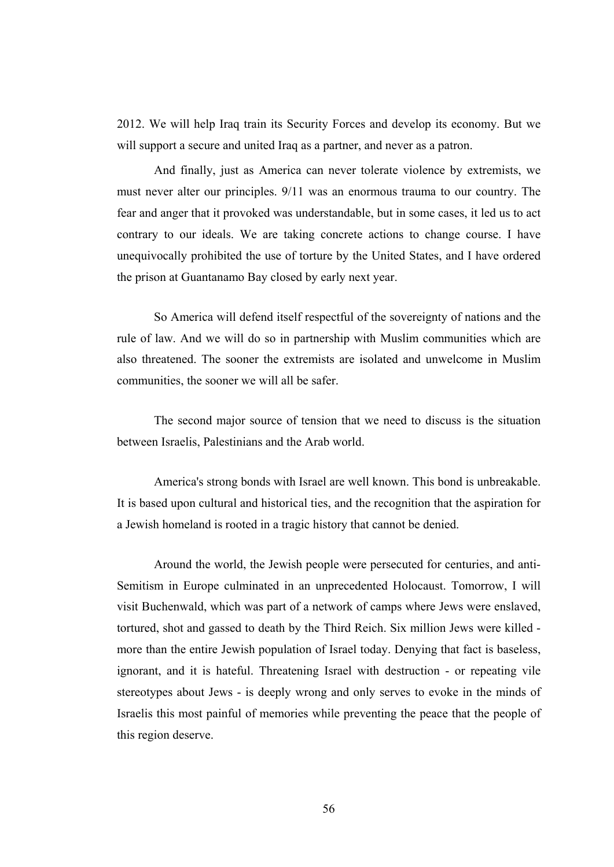2012. We will help Iraq train its Security Forces and develop its economy. But we will support a secure and united Iraq as a partner, and never as a patron.

And finally, just as America can never tolerate violence by extremists, we must never alter our principles. 9/11 was an enormous trauma to our country. The fear and anger that it provoked was understandable, but in some cases, it led us to act contrary to our ideals. We are taking concrete actions to change course. I have unequivocally prohibited the use of torture by the United States, and I have ordered the prison at Guantanamo Bay closed by early next year.

So America will defend itself respectful of the sovereignty of nations and the rule of law. And we will do so in partnership with Muslim communities which are also threatened. The sooner the extremists are isolated and unwelcome in Muslim communities, the sooner we will all be safer.

The second major source of tension that we need to discuss is the situation between Israelis, Palestinians and the Arab world.

America's strong bonds with Israel are well known. This bond is unbreakable. It is based upon cultural and historical ties, and the recognition that the aspiration for a Jewish homeland is rooted in a tragic history that cannot be denied.

Around the world, the Jewish people were persecuted for centuries, and anti-Semitism in Europe culminated in an unprecedented Holocaust. Tomorrow, I will visit Buchenwald, which was part of a network of camps where Jews were enslaved, tortured, shot and gassed to death by the Third Reich. Six million Jews were killed more than the entire Jewish population of Israel today. Denying that fact is baseless, ignorant, and it is hateful. Threatening Israel with destruction - or repeating vile stereotypes about Jews - is deeply wrong and only serves to evoke in the minds of Israelis this most painful of memories while preventing the peace that the people of this region deserve.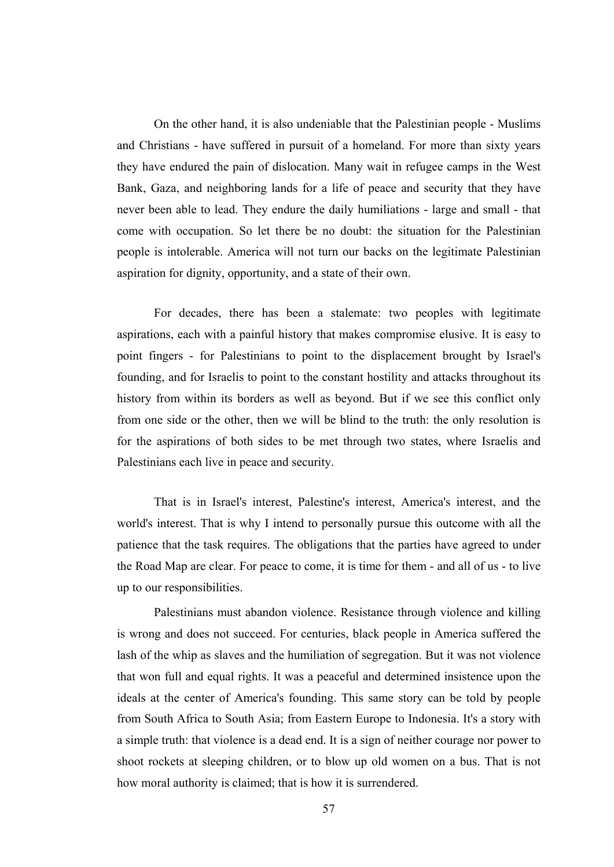On the other hand, it is also undeniable that the Palestinian people - Muslims and Christians - have suffered in pursuit of a homeland. For more than sixty years they have endured the pain of dislocation. Many wait in refugee camps in the West Bank, Gaza, and neighboring lands for a life of peace and security that they have never been able to lead. They endure the daily humiliations - large and small - that come with occupation. So let there be no doubt: the situation for the Palestinian people is intolerable. America will not turn our backs on the legitimate Palestinian aspiration for dignity, opportunity, and a state of their own.

For decades, there has been a stalemate: two peoples with legitimate aspirations, each with a painful history that makes compromise elusive. It is easy to point fingers - for Palestinians to point to the displacement brought by Israel's founding, and for Israelis to point to the constant hostility and attacks throughout its history from within its borders as well as beyond. But if we see this conflict only from one side or the other, then we will be blind to the truth: the only resolution is for the aspirations of both sides to be met through two states, where Israelis and Palestinians each live in peace and security.

That is in Israel's interest, Palestine's interest, America's interest, and the world's interest. That is why I intend to personally pursue this outcome with all the patience that the task requires. The obligations that the parties have agreed to under the Road Map are clear. For peace to come, it is time for them - and all of us - to live up to our responsibilities.

Palestinians must abandon violence. Resistance through violence and killing is wrong and does not succeed. For centuries, black people in America suffered the lash of the whip as slaves and the humiliation of segregation. But it was not violence that won full and equal rights. It was a peaceful and determined insistence upon the ideals at the center of America's founding. This same story can be told by people from South Africa to South Asia; from Eastern Europe to Indonesia. It's a story with a simple truth: that violence is a dead end. It is a sign of neither courage nor power to shoot rockets at sleeping children, or to blow up old women on a bus. That is not how moral authority is claimed; that is how it is surrendered.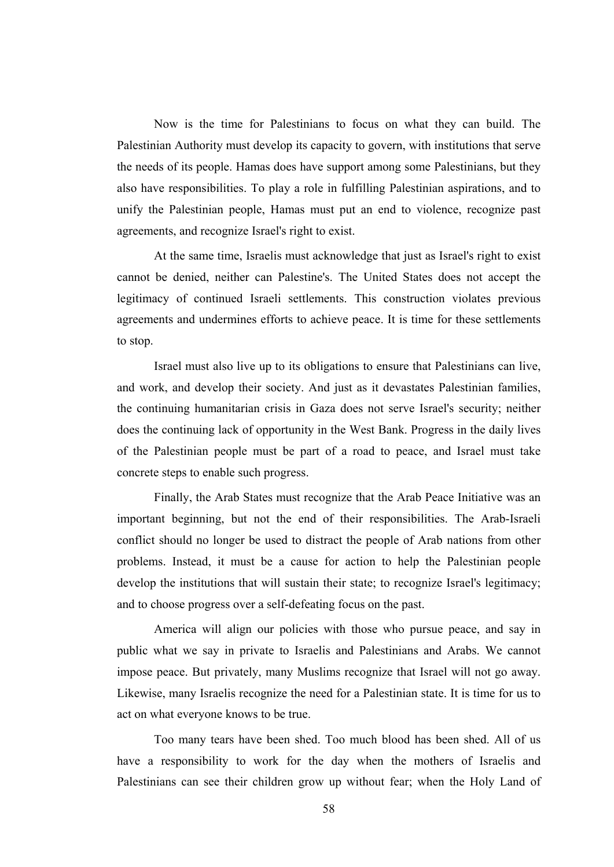Now is the time for Palestinians to focus on what they can build. The Palestinian Authority must develop its capacity to govern, with institutions that serve the needs of its people. Hamas does have support among some Palestinians, but they also have responsibilities. To play a role in fulfilling Palestinian aspirations, and to unify the Palestinian people, Hamas must put an end to violence, recognize past agreements, and recognize Israel's right to exist.

At the same time, Israelis must acknowledge that just as Israel's right to exist cannot be denied, neither can Palestine's. The United States does not accept the legitimacy of continued Israeli settlements. This construction violates previous agreements and undermines efforts to achieve peace. It is time for these settlements to stop.

Israel must also live up to its obligations to ensure that Palestinians can live, and work, and develop their society. And just as it devastates Palestinian families, the continuing humanitarian crisis in Gaza does not serve Israel's security; neither does the continuing lack of opportunity in the West Bank. Progress in the daily lives of the Palestinian people must be part of a road to peace, and Israel must take concrete steps to enable such progress.

Finally, the Arab States must recognize that the Arab Peace Initiative was an important beginning, but not the end of their responsibilities. The Arab-Israeli conflict should no longer be used to distract the people of Arab nations from other problems. Instead, it must be a cause for action to help the Palestinian people develop the institutions that will sustain their state; to recognize Israel's legitimacy; and to choose progress over a self-defeating focus on the past.

America will align our policies with those who pursue peace, and say in public what we say in private to Israelis and Palestinians and Arabs. We cannot impose peace. But privately, many Muslims recognize that Israel will not go away. Likewise, many Israelis recognize the need for a Palestinian state. It is time for us to act on what everyone knows to be true.

Too many tears have been shed. Too much blood has been shed. All of us have a responsibility to work for the day when the mothers of Israelis and Palestinians can see their children grow up without fear; when the Holy Land of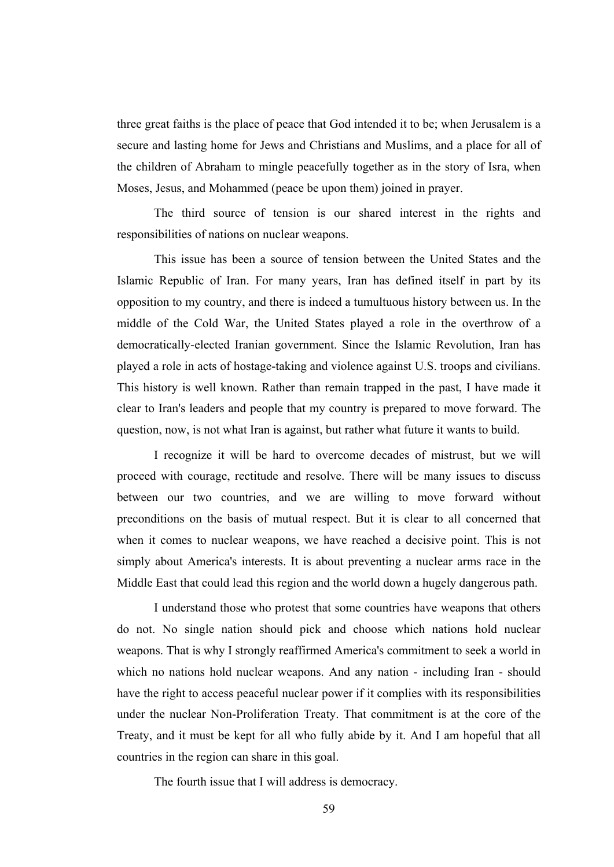three great faiths is the place of peace that God intended it to be; when Jerusalem is a secure and lasting home for Jews and Christians and Muslims, and a place for all of the children of Abraham to mingle peacefully together as in the story of Isra, when Moses, Jesus, and Mohammed (peace be upon them) joined in prayer.

The third source of tension is our shared interest in the rights and responsibilities of nations on nuclear weapons.

This issue has been a source of tension between the United States and the Islamic Republic of Iran. For many years, Iran has defined itself in part by its opposition to my country, and there is indeed a tumultuous history between us. In the middle of the Cold War, the United States played a role in the overthrow of a democratically-elected Iranian government. Since the Islamic Revolution, Iran has played a role in acts of hostage-taking and violence against U.S. troops and civilians. This history is well known. Rather than remain trapped in the past, I have made it clear to Iran's leaders and people that my country is prepared to move forward. The question, now, is not what Iran is against, but rather what future it wants to build.

I recognize it will be hard to overcome decades of mistrust, but we will proceed with courage, rectitude and resolve. There will be many issues to discuss between our two countries, and we are willing to move forward without preconditions on the basis of mutual respect. But it is clear to all concerned that when it comes to nuclear weapons, we have reached a decisive point. This is not simply about America's interests. It is about preventing a nuclear arms race in the Middle East that could lead this region and the world down a hugely dangerous path.

I understand those who protest that some countries have weapons that others do not. No single nation should pick and choose which nations hold nuclear weapons. That is why I strongly reaffirmed America's commitment to seek a world in which no nations hold nuclear weapons. And any nation - including Iran - should have the right to access peaceful nuclear power if it complies with its responsibilities under the nuclear Non-Proliferation Treaty. That commitment is at the core of the Treaty, and it must be kept for all who fully abide by it. And I am hopeful that all countries in the region can share in this goal.

The fourth issue that I will address is democracy.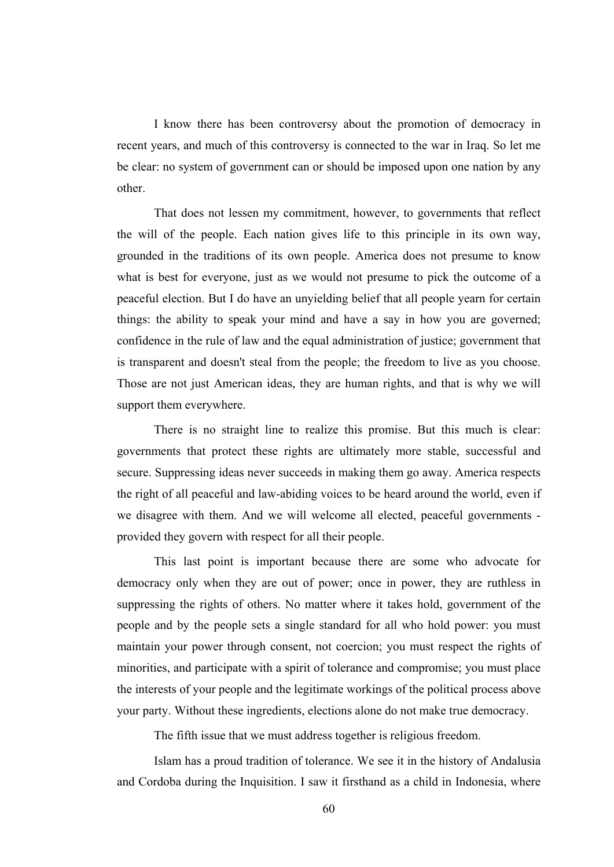I know there has been controversy about the promotion of democracy in recent years, and much of this controversy is connected to the war in Iraq. So let me be clear: no system of government can or should be imposed upon one nation by any other.

That does not lessen my commitment, however, to governments that reflect the will of the people. Each nation gives life to this principle in its own way, grounded in the traditions of its own people. America does not presume to know what is best for everyone, just as we would not presume to pick the outcome of a peaceful election. But I do have an unyielding belief that all people yearn for certain things: the ability to speak your mind and have a say in how you are governed; confidence in the rule of law and the equal administration of justice; government that is transparent and doesn't steal from the people; the freedom to live as you choose. Those are not just American ideas, they are human rights, and that is why we will support them everywhere.

There is no straight line to realize this promise. But this much is clear: governments that protect these rights are ultimately more stable, successful and secure. Suppressing ideas never succeeds in making them go away. America respects the right of all peaceful and law-abiding voices to be heard around the world, even if we disagree with them. And we will welcome all elected, peaceful governments provided they govern with respect for all their people.

This last point is important because there are some who advocate for democracy only when they are out of power; once in power, they are ruthless in suppressing the rights of others. No matter where it takes hold, government of the people and by the people sets a single standard for all who hold power: you must maintain your power through consent, not coercion; you must respect the rights of minorities, and participate with a spirit of tolerance and compromise; you must place the interests of your people and the legitimate workings of the political process above your party. Without these ingredients, elections alone do not make true democracy.

The fifth issue that we must address together is religious freedom.

Islam has a proud tradition of tolerance. We see it in the history of Andalusia and Cordoba during the Inquisition. I saw it firsthand as a child in Indonesia, where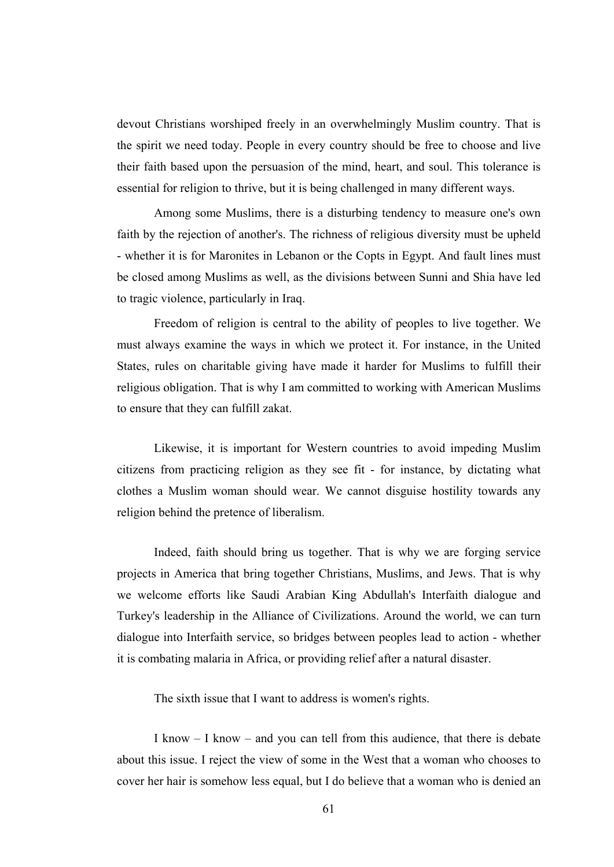devout Christians worshiped freely in an overwhelmingly Muslim country. That is the spirit we need today. People in every country should be free to choose and live their faith based upon the persuasion of the mind, heart, and soul. This tolerance is essential for religion to thrive, but it is being challenged in many different ways.

Among some Muslims, there is a disturbing tendency to measure one's own faith by the rejection of another's. The richness of religious diversity must be upheld - whether it is for Maronites in Lebanon or the Copts in Egypt. And fault lines must be closed among Muslims as well, as the divisions between Sunni and Shia have led to tragic violence, particularly in Iraq.

Freedom of religion is central to the ability of peoples to live together. We must always examine the ways in which we protect it. For instance, in the United States, rules on charitable giving have made it harder for Muslims to fulfill their religious obligation. That is why I am committed to working with American Muslims to ensure that they can fulfill zakat.

Likewise, it is important for Western countries to avoid impeding Muslim citizens from practicing religion as they see fit - for instance, by dictating what clothes a Muslim woman should wear. We cannot disguise hostility towards any religion behind the pretence of liberalism.

Indeed, faith should bring us together. That is why we are forging service projects in America that bring together Christians, Muslims, and Jews. That is why we welcome efforts like Saudi Arabian King Abdullah's Interfaith dialogue and Turkey's leadership in the Alliance of Civilizations. Around the world, we can turn dialogue into Interfaith service, so bridges between peoples lead to action - whether it is combating malaria in Africa, or providing relief after a natural disaster.

The sixth issue that I want to address is women's rights.

I know – I know – and you can tell from this audience, that there is debate about this issue. I reject the view of some in the West that a woman who chooses to cover her hair is somehow less equal, but I do believe that a woman who is denied an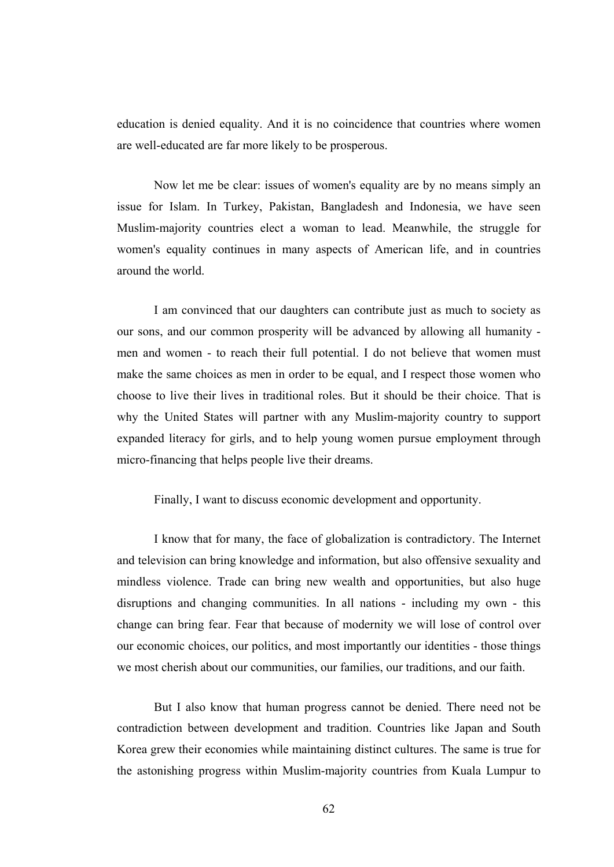education is denied equality. And it is no coincidence that countries where women are well-educated are far more likely to be prosperous.

Now let me be clear: issues of women's equality are by no means simply an issue for Islam. In Turkey, Pakistan, Bangladesh and Indonesia, we have seen Muslim-majority countries elect a woman to lead. Meanwhile, the struggle for women's equality continues in many aspects of American life, and in countries around the world.

I am convinced that our daughters can contribute just as much to society as our sons, and our common prosperity will be advanced by allowing all humanity men and women - to reach their full potential. I do not believe that women must make the same choices as men in order to be equal, and I respect those women who choose to live their lives in traditional roles. But it should be their choice. That is why the United States will partner with any Muslim-majority country to support expanded literacy for girls, and to help young women pursue employment through micro-financing that helps people live their dreams.

Finally, I want to discuss economic development and opportunity.

I know that for many, the face of globalization is contradictory. The Internet and television can bring knowledge and information, but also offensive sexuality and mindless violence. Trade can bring new wealth and opportunities, but also huge disruptions and changing communities. In all nations - including my own - this change can bring fear. Fear that because of modernity we will lose of control over our economic choices, our politics, and most importantly our identities - those things we most cherish about our communities, our families, our traditions, and our faith.

But I also know that human progress cannot be denied. There need not be contradiction between development and tradition. Countries like Japan and South Korea grew their economies while maintaining distinct cultures. The same is true for the astonishing progress within Muslim-majority countries from Kuala Lumpur to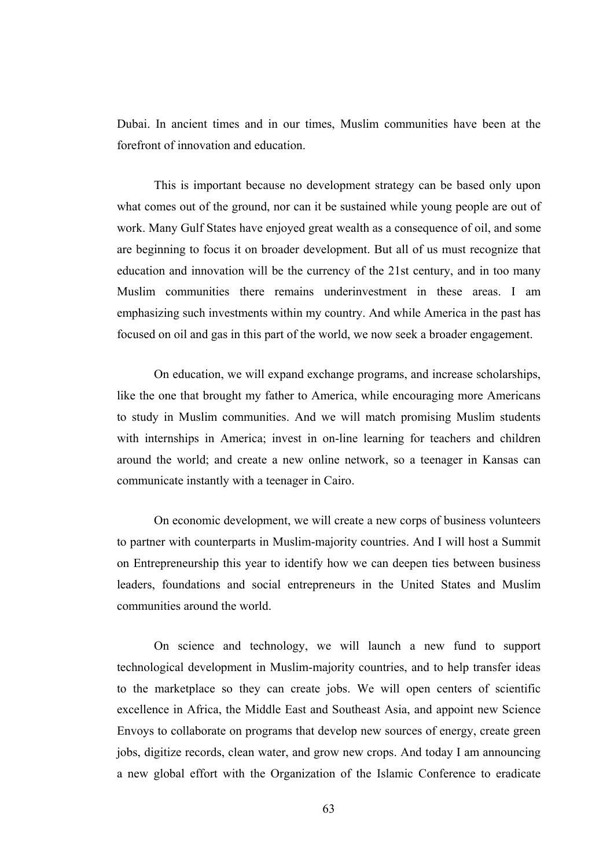Dubai. In ancient times and in our times, Muslim communities have been at the forefront of innovation and education.

This is important because no development strategy can be based only upon what comes out of the ground, nor can it be sustained while young people are out of work. Many Gulf States have enjoyed great wealth as a consequence of oil, and some are beginning to focus it on broader development. But all of us must recognize that education and innovation will be the currency of the 21st century, and in too many Muslim communities there remains underinvestment in these areas. I am emphasizing such investments within my country. And while America in the past has focused on oil and gas in this part of the world, we now seek a broader engagement.

On education, we will expand exchange programs, and increase scholarships, like the one that brought my father to America, while encouraging more Americans to study in Muslim communities. And we will match promising Muslim students with internships in America; invest in on-line learning for teachers and children around the world; and create a new online network, so a teenager in Kansas can communicate instantly with a teenager in Cairo.

On economic development, we will create a new corps of business volunteers to partner with counterparts in Muslim-majority countries. And I will host a Summit on Entrepreneurship this year to identify how we can deepen ties between business leaders, foundations and social entrepreneurs in the United States and Muslim communities around the world.

On science and technology, we will launch a new fund to support technological development in Muslim-majority countries, and to help transfer ideas to the marketplace so they can create jobs. We will open centers of scientific excellence in Africa, the Middle East and Southeast Asia, and appoint new Science Envoys to collaborate on programs that develop new sources of energy, create green jobs, digitize records, clean water, and grow new crops. And today I am announcing a new global effort with the Organization of the Islamic Conference to eradicate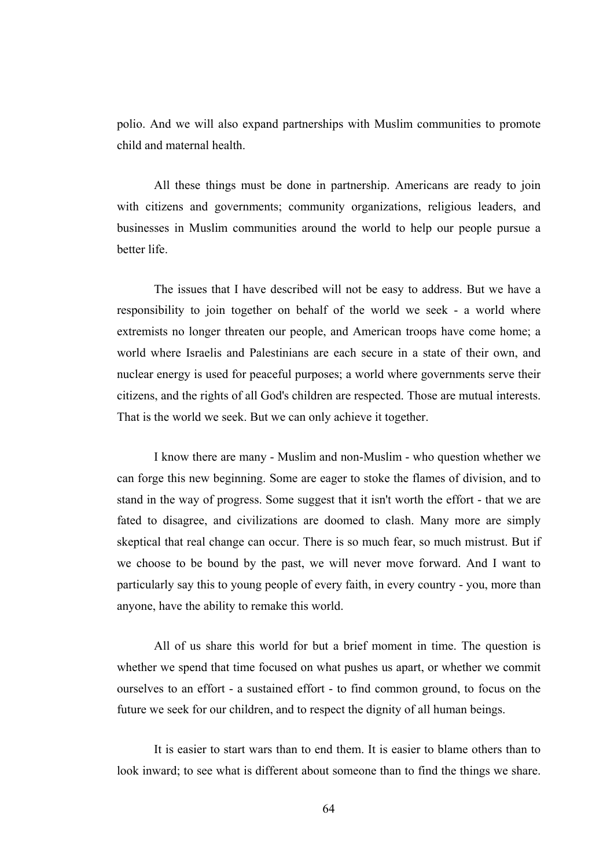polio. And we will also expand partnerships with Muslim communities to promote child and maternal health.

All these things must be done in partnership. Americans are ready to join with citizens and governments; community organizations, religious leaders, and businesses in Muslim communities around the world to help our people pursue a better life.

The issues that I have described will not be easy to address. But we have a responsibility to join together on behalf of the world we seek - a world where extremists no longer threaten our people, and American troops have come home; a world where Israelis and Palestinians are each secure in a state of their own, and nuclear energy is used for peaceful purposes; a world where governments serve their citizens, and the rights of all God's children are respected. Those are mutual interests. That is the world we seek. But we can only achieve it together.

I know there are many - Muslim and non-Muslim - who question whether we can forge this new beginning. Some are eager to stoke the flames of division, and to stand in the way of progress. Some suggest that it isn't worth the effort - that we are fated to disagree, and civilizations are doomed to clash. Many more are simply skeptical that real change can occur. There is so much fear, so much mistrust. But if we choose to be bound by the past, we will never move forward. And I want to particularly say this to young people of every faith, in every country - you, more than anyone, have the ability to remake this world.

All of us share this world for but a brief moment in time. The question is whether we spend that time focused on what pushes us apart, or whether we commit ourselves to an effort - a sustained effort - to find common ground, to focus on the future we seek for our children, and to respect the dignity of all human beings.

It is easier to start wars than to end them. It is easier to blame others than to look inward; to see what is different about someone than to find the things we share.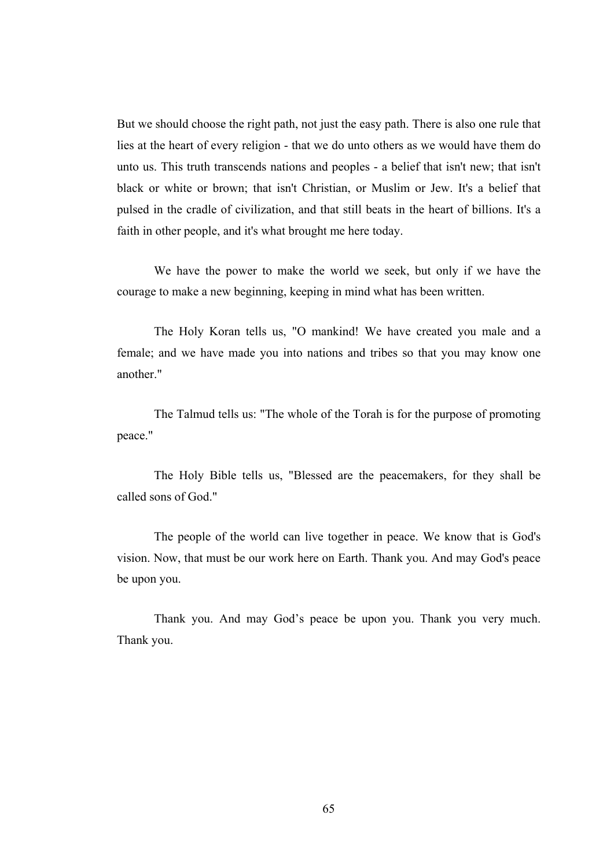But we should choose the right path, not just the easy path. There is also one rule that lies at the heart of every religion - that we do unto others as we would have them do unto us. This truth transcends nations and peoples - a belief that isn't new; that isn't black or white or brown; that isn't Christian, or Muslim or Jew. It's a belief that pulsed in the cradle of civilization, and that still beats in the heart of billions. It's a faith in other people, and it's what brought me here today.

We have the power to make the world we seek, but only if we have the courage to make a new beginning, keeping in mind what has been written.

The Holy Koran tells us, "O mankind! We have created you male and a female; and we have made you into nations and tribes so that you may know one another."

The Talmud tells us: "The whole of the Torah is for the purpose of promoting peace."

The Holy Bible tells us, "Blessed are the peacemakers, for they shall be called sons of God."

The people of the world can live together in peace. We know that is God's vision. Now, that must be our work here on Earth. Thank you. And may God's peace be upon you.

Thank you. And may God's peace be upon you. Thank you very much. Thank you.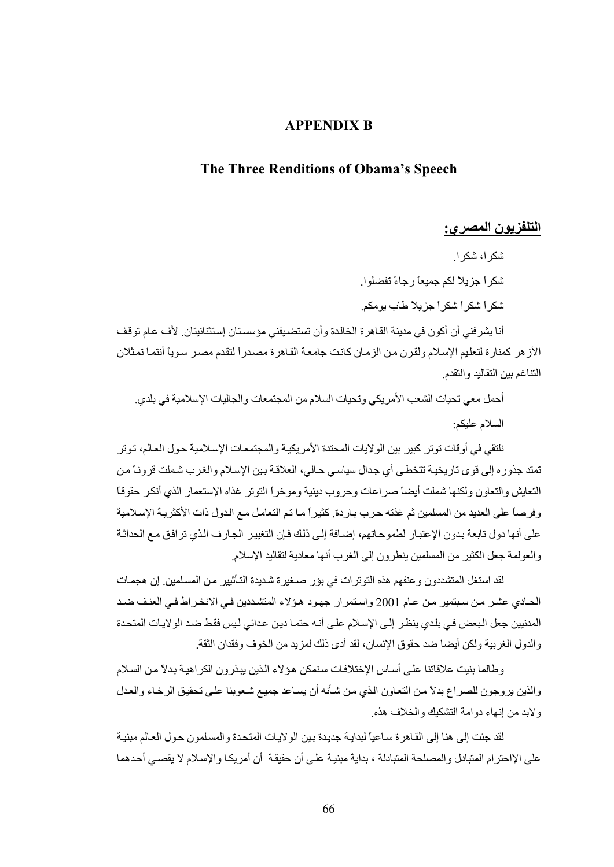# **APPENDIX B**

## **The Three Renditions of Obama's Speech**

**التلفزيون المصري:**

شكر ا، شكر ا<sub>،</sub>

شكراً جزيلاً لكم جميعاً رجاءً تفضلوا.

شكراً شكراً شكراً جزيلاً طاب يومكم.

أنا يشرفني أن أكون في مدينة القاهرة الخالدة وأن تستضيفني مؤسستان إستثنائيتان. لأف عام توقف الأزهر كمنارة لتعليم الإسلام ولقرن من الزمان كانت جامعة القاهرة مصدراً لتقدم مصر سوياً أنتما تمثلان التناغم بين التقاليد والتقدم.

أحمل معي تحيات الشعب الأمريكي وتحيات السلام من المجتمعات والجاليات الإسلامية في بلدي. السلام عليكم:

نلتقي في أو قات تو تر كبير بين الولايات المحتدة الأمريكيـة والمجتمعات الإسلامية حول العالم، تـوتر تمتد جذوره إلى قوى تاريخيـة تتخطى أي جدال سياسي حالي، العلاقـة بين الإسلام والغرب شملت قرونـاً من التعايش والتعاون ولكنها شملت أيضاً صراعات وحروب دينية وموخراً التوتر غذاه الإستعمار الذي أنكر حقوقاً وفر صاً على العديد من المسلمين ثم غذته حرب بـار دة. كثير اً مـا تم التعامل مـع الـدول ذات الأكثر بـة الإسلامية على أنها دول تابعة بدون الإعتبار لطموحاتهم، إضـافة إلـي ذلك فإن التغيير الجارف الذي ترافق مـع الحداثـة والعولمة جعل الكثير من المسلمين ينطرون إلى الغرب أنها معادية لتقاليد الإسلام.

لقد استغل المتشددون و عنفهم هذه التوتر ات في بؤر \_صـغير ة شديدة التـأثيير |من المسلمين. إن هجمـات الحادي عشر من سبتمير من عام 2001 واستمرار جهود هؤلاء المتشددين في الانخراط في العنف ضد المدنيين جعل البعض في بلدي ينظر إلى الإسلام على أنـه حتمـا دين عدائي ليس فقط ضد الولايـات المتحدة والدول الغربية ولكن أيضا ضد حقوق الإنسان، لقد أدى ذلك لمزيد من الخوف وفقدان الثقة.

وطالما بنيت علاقاتنا على أساس الإختلافات سنمكن هوًلاء الذين يبذرون الكراهية بدلاً من السلام والذين يروجون للصراع بدلاً من التعاون الذي من شـأنه أن يساعد جميع شـعوبنا علـي تحقيق الرخـاء والعدل ولابد من إنهاء دوامة التشكيك والخلاف هذه.

لقد جئت إلى هنا إلى القاهرة ساعياً لبدايـة جديدة بين الولايـات المتحدة والمسلمون حول العـالم مبنيـة على الإاحترام المتبادل والمصلحة المتبادلة ، بدايةً مبنيهً على أن حقيقة ۖ أن أمريكا والإسلام لا يقصبي أحدهما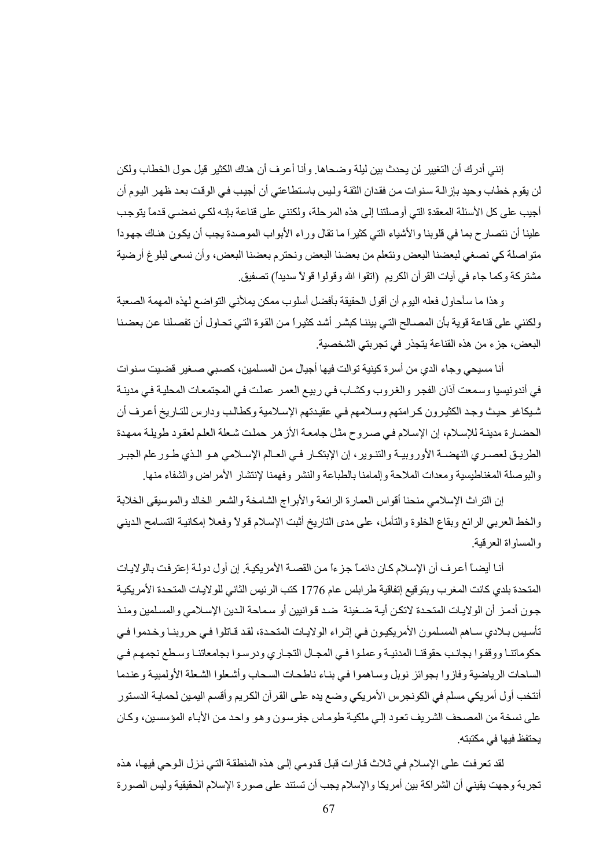إنني أدرك أن التغيير لن يحدث بين ليلة وضحاها. وأنا أعرف أن هناك الكثير قيل حول الخطاب ولكن لن يقوم خطاب وحيد بإزالـة سنوات من فقدان الثقـة وليس باستطاعتي أن أجيب فـي الوقت بعد ظهر اليوم أن أجيب على كل الأسئلة المعقدة التي أوصلتنا إلى هذه المرحلة، ولكنني على قناعة بإنـه لكـي نمضـي قدماً يتوجب علينا أن نتصارح بما في قلوبنا والأشياء التي كثيراَ ما تقال وراء الأبواب الموصدة يجب أن يكون هناك جهوداً متواصلة كي نصغي لبعضنا البعض ونتعلم من بعضنا البعض ونحترم بعضنا البعض، وأن نسعى لبلوغ أرضية مشتركة وكما جاء في آيات القرآن الكريم (اتقوا الله وقولوا قولاً سديداً) تصفيق.

وهذا ما سأحاول فعله اليوم أن أقول الحقيقة بأفضل أسلوب ممكن يملأني التواضع لهذه المهمة الصعبة ولكنني على قناعة قوية بأن المصـالح التي بيننـا كبشر أشد كثير أ من القوة التي تحـاول أن تفصـلنا عن بعضنا البعض، جزء من هذه القناعة يتجذر في تجربتي الشخصية.

أنا مسيحي وجاء الدي من أسرة كينية توالت فيها أجيال من المسلمين، كصبي صـغير قضـيت سنوات في أندونيسيا وسمعت آذان الفجر والغروب وكشاب في ربيع العمر عملت في المجتمعات المحلية في مدينـة شبيكاغو حيث وجد الكثير ون كر امتهم وسلامهم فبي عقيدتهم الإسلامية وكطالب ودارس للتباريخ أعرف أن الحضـارة مدينـة للإسلام، إن الإسلام فـي صـروح مثل جامعة الأزهر حملت شـعلة العلم لعقود طويلـة ممهدة الطريـق لعصـري النهضـة الأوروبيـة والتنـوير، إن الإبتكـار فـي العـالم الإسـلامي هـو الـذي طـور علم الجبـر والبوصلة المغناطيسية ومعدات الملاحة وإلمامنا بالطباعة والنشر وفهمنا لإنتشار الأمراض والشفاء منها.

إن التراث الإسلامي منحنا أقواس العمارة الرائعة والأبراج الشامخة والشعر الخالد والموسيقى الخلابة والخط العربي الرائع وبقاع الخلوة والتأمل، على مدى التاريخ أثبت الإسلام قولاً وفعلاً إمكانية التسامح الديني والمساواة العرقية.

أنـا أيضـاً أعرف أن الإسلام كـان دائمـاً جزءاً من القصـة الأمريكيـة. إن أول دولـة إعترفت بالولايـات المتحدة بلدي كانت المغرب وبتوقيع إتفاقية طرابلس عام 1776 كتب الرئيس الثاني للولايـات المتحدة الأمريكيـة جون أدمـز أن الولايـات المتحدة لاتكن أيـة ضـغينة ضـد قـوانيين أو سـماحة الـدين الإسـلامي والمسلمين ومنـذ تأسيس بـلادي سـاهم المسلمون الأمريكيـون فـي إثـراء الولايـات المتحدة، لقد قـاتلوا فـي حروبنـا وخـدموا فـي حكوماتنـا ووقفوا بجانـب حقوقنـا المدنيـة وعملـوا فـي المجـال التجـاري ودرسـوا بجامعاتنـا وسـطع نجمهـم فـي الساحات الرياضية وفازوا بجوائز نوبل وساهموا في بناء ناطحات السحاب وأشعلوا الشعلة الأولمبية وعندما أنتخب أول أمريكي مسلم في الكونجرس الأمريكي وضع يده على القرآن الكريم وأقسم اليمين لحمايـة الدستور على نسخة من المصحف الشريف تعود إلى ملكيـة طومـاس جفر سون و هو واحد من الأبـاء المؤسسين، وكـان يحتفظ فيها في مكتبته.

لقد تعرفت على الإسلام في ثلاث قارات قبل قدومي إلى هذه المنطقة التي نزل الوحي فيها، هذه تجربة وجهت يقيني أن الشراكة بين أمريكا والإسلام يجب أن تستند على صورة الإسلام الحقيقية وليس الصورة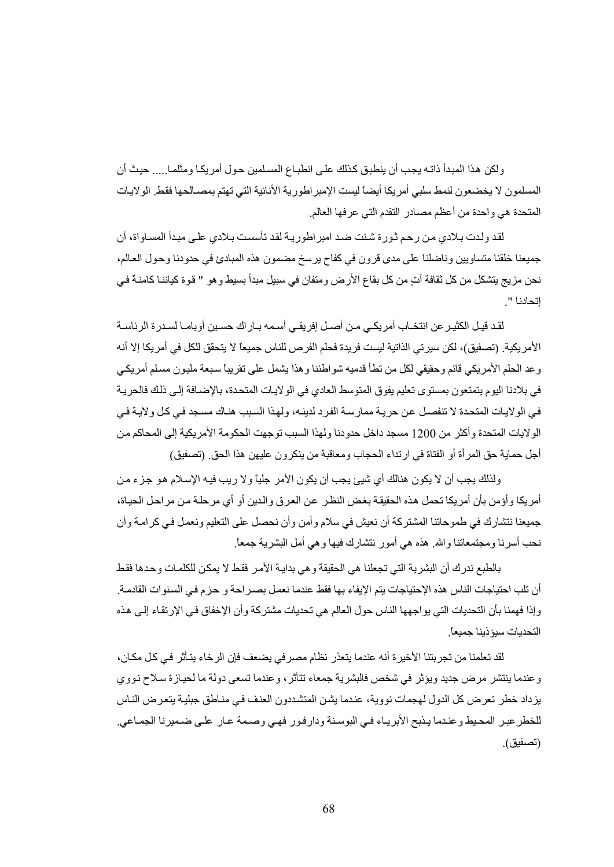ولكن هذا المبدأ ذاتـه يجب أن ينطبق كذلك علـى انطبـاع المسلمين حـول أمريكـا ومثلمـا..... حيث أن المسلمون لا يخضعون لنمط سلبي أمريكا أيضاً ليست الإمبراطورية الأنانية التي تهتم بمصѧالحها فقѧط. الولايѧات المتحدة هي واحدة من أعظم مصادر التقدم التي عرفها العالم.

لقد ولدت بـلادي من رحم ثـورة شنت ضد امبراطوريـة لقد تأسست بـلادي علـى مبدأ المسـاواة، أن جميعنا خلقنا متساويين وناضلنا على مدى قرون في كفاح يرسخ مضمون هذه المبادئ في حدودنا وحول العالم، نحن مزيج يتشكل من كل ثقافة آتٍ من كل بقاع الأرض ومتفان في سبيل مبدأ بسيط وهو " قوة كياننـا كامنـهً فـي إتحادنا ".

لقد قيـل الكثيـر عن انتخـاب أمريكـي مـن أصـل إفريقـي أسـمه بـار اك حسـين أو بامـا لسـدر ة الرئاسـة الأمريكية. (تصفيق)، لكن سيرتي الذاتية ليست فريدة فحلم الفرص للناس جميعاً لا يتحقق للكل في أمريكا إلا أنه وعد الحلم الأمريكي قائم وحقيقي لكل من تطأ قدميه شواطئنا و هذا يشمل على تقريباً سبعة مليون مسلم أمريكي في بلادنا اليوم يتمتعون بمستوى تعليم يفوق المتوسط العادي في الولايات المتحدة، بالإضـافة إلـي ذلك فالحريـة في الو لايـات المتحدة لا تنفصـل عن حريـة ممار سـة الفر د لدينـه، ولهذا السبب هنـاك مسـجد فـي كـل و لايـة فـي الولايات المتحدة وأكثر من 1200 مسجد داخل حدودنا ولهذا السبب توجهت الحكومة الأمريكية إلى المحاكم من أجل حماية حق المرأة أو الفتاة في ارتداء الحجاب ومعاقبة من ينكرون عليهن هذا الحق. (تصفيق)

ولذلك يجب أن لا يكون هنالك أي شيئ يجب أن يكون الأمر جلياً ولا ريب فيه الإسلام هو جز ء من أمريكا وأؤمن بأن أمريكا تحمل هذه الحقيقة بغض النظر عن العرق والدين أو أي مرحلة من مراحل الحياة، جميعنا نتشارك في طموحاتنا المشتركة أن نعيش في سلام وأمن وأن نحصل على التعليم ونعمل في كرامـة وأن نحب أسرنا ومجتمعاتنا واالله. هذه هي أمور نتشارك فيها وهي أمل البشرية جمعا.ً

بالطبع ندرك أن البشرية التي تجعلنا هي الحقيقة و هي بدايـة الأمر فقط لا يمكن للكلمـات وحدها فقط أن تلب احتياجات الناس هذه الإحتياجات يتم الإيفاء بها فقط عندما نعمل بصـراحة و حـزم فـي السنوات القادمـة. وإذا فهمنا بأن التحديات التي يواجهها الناس حول العالم هي تحديات مشتركة وأن الإخفاق في الإرتقاء إلى هذه التحديات سيؤذينا جميعا.ً

لقد تعلمنا من تجربتنا الأخيرة أنه عندما يتعذر نظام مصرفي يضعف فإن الرخاء يتأثر في كل مكان، وعندما ينتشر مرض جديد ويؤثر في شخص فالبشرية جمعاء تتأثر، وعندما تسعى دولة ما لحيازة سلاح نووي يزداد خطر تعرض كل الدول لهجمات نووية، عندما يشن المتشددون العنف في مناطق جبلية يتعرض النـاس للخطرعبر المحيط وعندما يذبح الأبرياء في البوسنة ودارفور فهي وصمة عار على ضميرنا الجماعي. (تصفيق).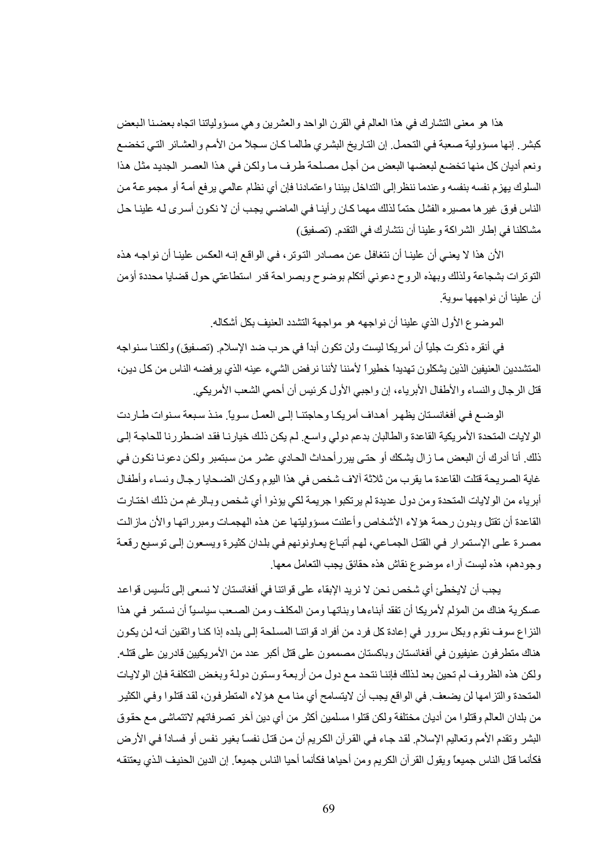هذا هو معنى التشارك في هذا العالم في القرن الواحد والعشرين وهي مسؤولياتنا اتجاه بعضنا البعض كبشر. إنها مسؤولية صعبة في التحمل. إن التاريخ البشري طالما كان سجلاً من الأمم والعشائر التي تخضع ونعم أديان كل منها تخضع لبعضها البعض من أجل مصلحة طرف ما ولكن في هذا العصر الجديد مثل هذا السلوك يهزم نفسه بنفسه وعندما ننظرإلى التداخل بيننا واعتمادنا فإن أي نظام عالمي يرفع أمـةً أو مجموعـةً من الناس فوق غير ها مصير ه الفشل حتماً لذلك مهما كـان ر أينـا فـي الماضـي يجب أن لا نكـون أسـر ي لـه علينـا حل مشاكلنا في إطار الشراكة وعلينا أن نتشارك في التقدم. (تصفيق)

الأن هذا لا يعني أن علينـا أن نتغافل عن مصـادر التوتر، في الواقـع إنـه العكس علينـا أن نواجـه هذه التوترات بشجاعة ولذلك وبهذه الروح دعوني أتكلم بوضوح وبصراحة قدر استطاعتي حول قضايا محددة أؤمن أن علينا أن نواجهها سوية.

الموضوع الأول الذي علينا أن نواجهه هو مواجهة التشدد العنيف بكل أشكاله.

في أنقره ذكرت جلياً أن أمريكا ليست ولن تكون أبداً في حرب ضد الإسلام. (تصغيق) ولكننـا سنواجه المتشددين العنيفين الذين يشكلون تهديداً خطير اً لأمننا لأننا نر فض الشيء عينه الذي ير فضه الناس من كل دين، قتل الرجال والنساء والأطفال الأبرياء، إن واجبي الأول كرئيس أن أحمي الشعب الأمريكي.

الوضع في أفغانستان يظهر أهداف أمريكا وحاجتنا إلى العمل سوياً. منذ سبعة سنوات طاردت الولايات المتحدة الأمريكية القاعدة والطالبان بدعم دولي واسع. لم يكن ذلك خيارنـا فقد اضـطررنا للحاجـة إلـي ذلك. أنا أدرك أن البعض مـا ز ال يشكك أو حتى بير ر أحداث الحـادي عشر ٍ من سبتمبر ولكن دعونـا نكـون فـي غاية الصريحة قتلت القاعدة ما يقرب من ثلاثة آلاف شخص في هذا اليوم وكان الضحايا رجال ونساء وأطفال أبرياء من الولايات المتحدة ومن دول عديدة لم يرتكبوا جريمة لكي يؤذوا أي شخص وبـالرغم من ذلك اختـارت القاعدة أن تقتل وبدون رحمة هؤلاء الأشخاص وأعلنت مسؤوليتها عن هذه الهجمات ومبرراتها والأن مازالت مصرة علمي الإستمرار في القتل الجماعي، لهم أتباع يعاونونهم في بلدان كثيرة ويسعون إلىي توسيع رقعة وجودهم، هذه ليست آراء موضوع نقاش هذه حقائق يجب التعامل معها.

يجب أن لايخطئ أي شخص نحن لا نريد الإبقاء على قواتنا في أفغانستان لا نسعى إلى تأسيس قواعد عسكرية هناك من المؤلم لأمريكا أن تفقد أبناءها وبناتها ومن المكلف ومن الصعب سياسياً أن نستمر في هذا النزاع سوف نقوم وبكل سرور في إعادة كل فرد من أفراد قواتنـا المسلحة إلـي بلده إذا كنـا واثقين أنـه لن يكون هناك متطرفون عنيفيون في أفغانستان وباكستان مصممون على قتل أكبر عدد من الأمريكيين قادرين على قتلـه. ولكن هذه الظروف لم تحين بعد لذلك فإننا نتحد مع دول من أربعة وستون دولـة وبغض التكلفة فإن الولايات المتحدة والتزامها لن يضعف. في الواقع يجب أن لايتسامح أي منا مع هؤلاء المتطرفون، لقد قتلوا وفي الكثير من بلدان العالم وقتلوا من أديان مختلفة ولكن قتلوا مسلمين أكثر من أي دين آخر تصرفاتهم لاتتماشى مـع حقوق البشر وتقدم الأمم وتعاليم الإسلام. لقد جاء في القرآن الكريم أن من قتل نفساً بغير نفس أو فساداً في الأرض فكأنما قتل الناس جميعاً ويقول القرآن الكريم ومن أحياها فكأنما أحيا الناس جميعاً. إن الدين الحنيف الذي يعتنقه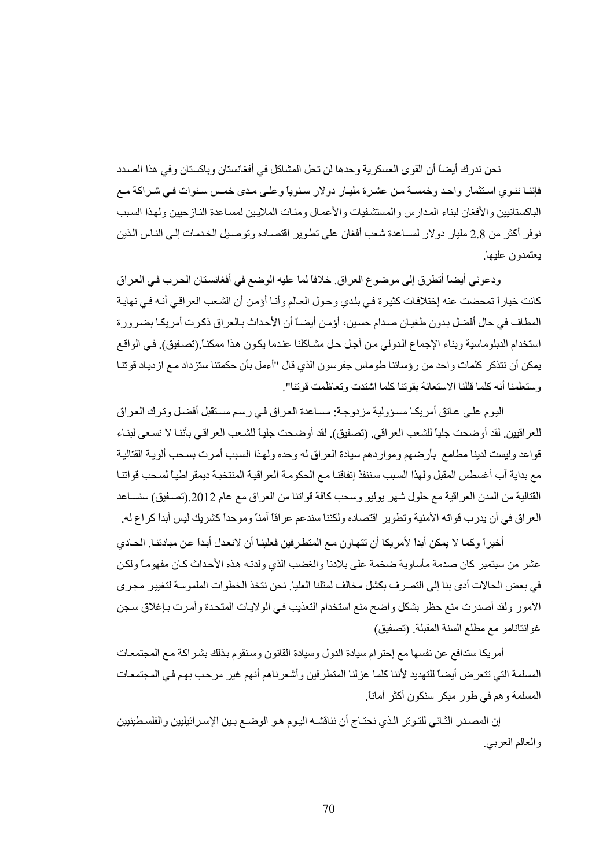نحن ندرك أيضاً أن القوى العسكرية وحدها لن تحل المشاكل في أفغانستان وباكستان وفي هذا الصدد فإننـا ننـوي استثمار واحد وخمسـة مـن عشـرة مليـار دولار سنوياً وعلـى مـدى خمس سنوات فـي شـراكة مـع الباكستانيين والأفغان لبناء المدارس والمستشفيات والأعمـال ومئـات الملايين لمسـاعدة النـازحيين ولهذا السبب نوفر أكثر من 2.8 مليار دولار لمساعدة شعب أفغان على تطوير اقتصـاده وتوصـيل الخدمات إلـى النـاس الـذين يعتمدون عليها.

ودعوني أيضاً أتطرق إلى موضوع العراق. خلافاً لما عليه الوضع في أفغانستان الحرب في العراق كانت خياراً تمحضت عنه إختلافات كثيرة في بلدي وحول العالم وأنـا أؤمن أن الشعب العراقبي أنـه في نهايـة المطاف في حال أفضل بدون طغيان صدام حسين، أؤمن أيضاً أن الأحداث بالعراق ذكرت أمريكا بضرورة استخدام الدبلوماسية وبناء الإجماع الدولي من أجل حل مشاكلنا عندما يكون هذا ممكنـًا (تصفيق). فـي الواقـع يمكن أن نتذكر كلمات واحد من رؤسائنا طوماس جفرسون الذي قال "أءمل بأن حكمتنا ستزداد مـع ازديـاد قوتنـا وستعلمنا أنه كلما قللنا الاستعانة بقوتنا كلما اشتدت وتعاظمت قوتنا".

اليو م علي عاتق أمر يكـا مسؤولية مز دو جـة: مسـاعدة العراق فـي رسم مستقبل أفضـل و تـرك العراق للعراقيين. لقد أوضحت جلياً للشعب العراقي. (تصفيق). لقد أوضحت جلياً للشعب العراقي بأننـا لا نسـعى لبنـاء قواعد وليست لدينا مطامع بأرضهم ومواردهم سيادة العراق له وحده ولهذا السبب أمرت بسحب ألويـة القتاليـة مع بداية آب أغسطس المقبل ولهذا السبب سننفذ إتفاقنـا مـع الحكومـة العراقيـة المنتخبـة ديمقر اطيـًا لسـحب قواتنـا القتالية من المدن العراقية مع حلول شهر يوليو وسحب كافة قواتنا من العراق مع عام 2012 (تصغيق) سنساعد العراق في أن يدرب قواته الأمنية وتطوير اقتصاده ولكننا سندعم عراقاً آمناً وموحداً كشريك ليس أبداً كراع له.

أخيراً وكما لا يمكن أبداً لأمريكا أن تتهاون مع المتطرفين فعلينـا أن لانعدل أبـداً عن مبادئنـا. الحـادي عشر من سبتمبر كان صدمة مأساوية ضخمة على بلادنا والغضب الذي ولدته هذه الأحداث كان مفهومـًا ولكن في بعض الحالات أدى بنا إلى التصرف بكشل مخالف لمثلنا العليا. نحن نتخذ الخطوات الملموسة لتغيير. مجرى الأمور ولقد أصدرت منع حظر بشكل واضح منع استخدام التعذيب في الولايات المتحدة وأمرت بإغلاق سجن غوانتانامو مع مطلع السنة المقبلة. (تصفيق)

أمريكا ستدافع عن نفسها مع إحترام سيادة الدول وسيادة القانون وسنقوم بذلك بشراكة مع المجتمعات المسلمة التي تتعرض أيضاً للتهديد لأننا كلما عزلنا المتطرفين وأشعرناهم أنهم غير مرحب بهم في المجتمعات المسلمة وهم في طور مبكر سنكون أكثر أماناً.

إن المصدر الثـاني للتـوتر الـذي نحتـاج أن نناقشـه اليـوم هـو الوضـع بـين الإسـرائيليين والفلسـطينيين والعالم العربي.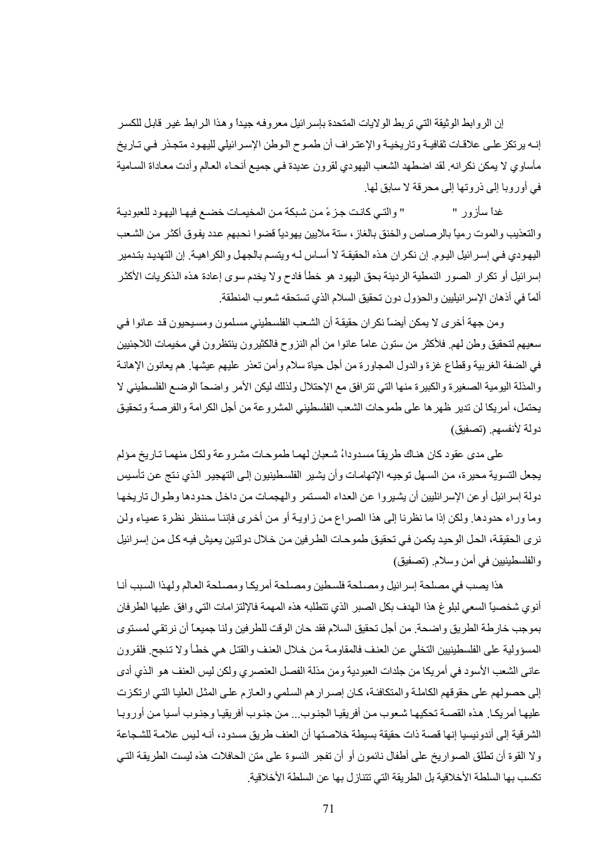إن الروابط الوثيقة التي تربط الولايات المتحدة بإسرائيل معروفه جيداً وهذا الرابط غير قابل للكسر إنـه يرتكز علـى علاقـات ثقافيـة وتاريخيـة والإعتـراف أن طمـوح الـوطن الإسـرائيلي لليهـود متجـذر فـي تـاريخ مأساوي لا يمكن نكرانه. لقد اضطهد الشعب اليهودي لقرون عديدة في جميع أنحاء العالم وأدت معاداة السامية في أوروبا إلى ذروتها إلى محرقة لا سابق لها.

غداً سأزور " " والتي كانت جزءً من شبكة من المخيمات خضع فيها اليهود للعبودية والتعذيب والموت رمياً بالرصاص والخنق بالغاز، ستة ملايين يهودياً قضوا نحبهم عدد يفوق أكثر من الشعب اليهودي في إسر ائيل اليوم. إن نكر ان هذه الحقيقة لا أساس لـه ويتسم بالجهل والكر اهيـة. إن التهديد بتدمير إسرائيل أو تكرار الصور النمطية الرديئة بحق اليهود هو خطأ فادح ولا يخدم سوى إعادة هذه الذكريات الأكثر ألماً في أذهان الإسرائيليين والحؤول دون تحقيق السلام الذي تستحقه شعوب المنطقة.

ومن جهة أخرى لا يمكن أيضاً نكر ان حقيقة أن الشعب الفلسطيني مسلمون ومسيحيون قد عانوا في سعيهم لتحقيق وطن لهم. فلأكثر من ستون عاماً عانوا من ألم النزوح فالكثيرون ينتظرون في مخيمات اللاجئيين في الضفة الغربية وقطاع غزة والدول المجاورة من أجل حياة سلام وأمن تعذر عليهم عيشها. هم يعانون الإهانѧة والمذلة اليومية الصغيرة والكبيرة منها التي تترافق مع الإحتلال ولذلك ليكن الأمر واضحاً الوضع الفلسطيني لا يحتمل، أمريكا لن تدير ظهرها على طموحات الشعب الفلسطيني المشروعة من أجل الكرامة والفرصـة وتحقيق دولة لأنفسهم. (تصفيق)

على مدى عقود كان هناك طريقاً مسدوداُ، شعبان لهمـا طموحات مشروعة ولكل منهمـا تـاريخ مؤلم يجعل التسوية محيرة، من السهل توجيه الإتهامات وأن يشير الفلسطينيون إلى التهجير الذي نتج عن تأسيس دولة إسرائيل أوعن الإسرائليين أن يشيروا عن العداء المستمر والهجمات من داخل حدودها وطوال تاريخها وما وراء حدودها. ولكن إذا ما نظرنا إلى هذا الصراع من زاويـة أو من أخرى فإننـا سننظر نظرة عميـاء ولن نرى الحقيقة، الحل الوحيد يكمن في تحقيق طموحات الطرفين من خلال دولتين يعيش فيه كل من إسر ائيل والفلسطينيين في أمن وسلام. (تصفيق)

هذا يصب في مصلحة إسرائيل ومصلحة فلسطين ومصلحة أمريكا ومصلحة العالم ولهذا السبب أنـا أنوي شخصياً السعي لبلوغ هذا الهدف بكل الصبر الذي تتطلبه هذه المهمة فالإلتزامات التي وافق عليها الطرفان بموجب خارطة الطريق واضحة. من أجل تحقيق السلام فقد حان الوقت للطرفين ولنا جميعـًا أن نرتقي لمستوى المسؤولية على الفلسطينيين التخلي عن العنف فالمقاومة من خلال العنف والقتل هي خطأ ولا تنجح. فلقرون عاني الشعب الأسود في أمريكا من جلدات العبودية ومن مذلة الفصل العنصري ولكن ليس العنف هو الذي أدي إلى حصولهم على حقوقهم الكاملـة والمتكافئـة، كان إصـرار هم السلمي والعـازم علـى المثل العليـا التـي ارتكزت عليها أمريكا. هذه القصـة تحكيها شعوب من أفريقيا الجنوب... من جنوب أفريقيا وجنوب أسيا من أوروبـا الشرقية إلى أندونيسيا إنها قصة ذات حقيقة بسيطة خلاصتها أن العنف طريق مسدود، أنـه لـيس علامـة للشـجاعة ولا القوة أن تطلق الصواريخ على أطفال نائمون أو أن تفجر النسوة على متن الحافلات هذه ليست الطريقة التي تكسب بها السلطة الأخلاقية بل الطريقة التي تتنازل بها عن السلطة الأخلاقية.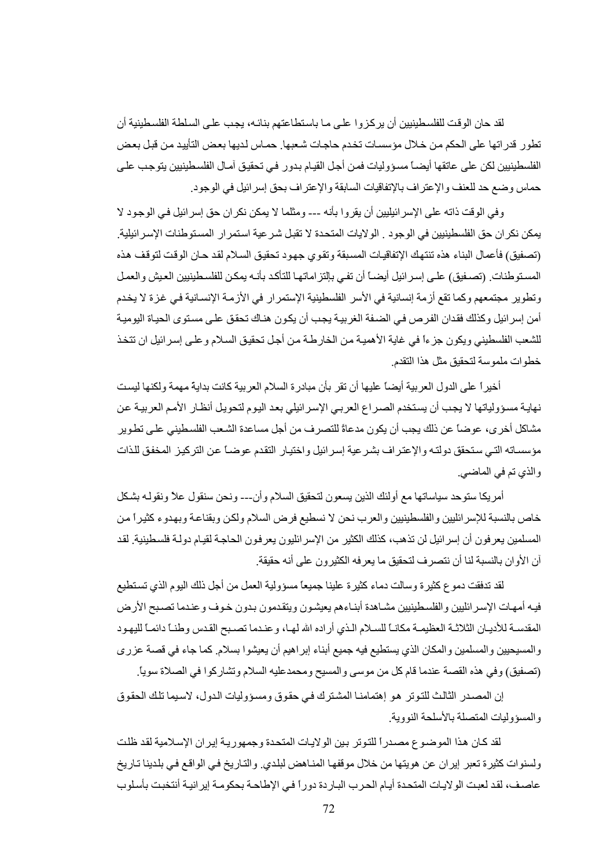لقد حان الوقت للفلسطينيين أن يركزوا على مـا باستطاعتهم بنائـه، يجب علـى السلطة الفلسطينية أن تطور قدراتها على الحكم من خلال مؤسسات تخدم حاجات شعبها. حماس لديها بعض التأييد من قبل بعض الفلسطينيين لكن على عاتقها أيضـاً مسؤوليات فمن أجل القيـام بدور في تحقيق آمـال الفلسطينيين يتوجب على حماس وضع حد للعنف والإعتراف بالإتفاقيات السابقة والإعتراف بحق إسرائيل في الوجود.

وفي الوقت ذاته على الإسر ائيليين أن يقروا بأنه --- ومثلما لا يمكن نكر ان حق إسر ائيل في الوجود لا يمكن نكران حق الفلسطينيين في الوجود . الولايات المتحدة لا تقبل شرعية استمرار المستوطنات الإسرائيلية. (تصفيق) فأعمال البناء هذه تنتهك الإتفاقيات المسبقة وتقوي جهود تحقيق السلام لقد حان الوقت لتوقف هذه المستوطنات. (تصغيق) على إسر ائيل أيضـاً أن تفـي بإلتزاماتهـا للتأكد بأنـه يمكن للفلسطينيين العيش والعمل وتطوير مجتمعهم وكما تقع أزمة إنسانية في الأسر الفلسطينية الإستمرار في الأزمـة الإنسـانية فـي غزة لا يخدم أمن إسرائيل وكذلك فقدان الفرص في الضفة الغربية يجب أن يكون هناك تحقق على مستوى الحياة اليومية للشعب الفلسطيني ويكون جزءاً في غاية الأهمية من الخارطة من أجل تحقيق السلام وعلى إسرائيل ان تتخذ خطوات ملموسة لتحقيق مثل هذا التقدم.

أخيراً على الدول العربية أيضاً عليها أن تقر بأن مبادرة السلام العربية كانت بدايةً مهمة ولكنها ليست نهايـة مسؤولياتها لا يجب أن يستخدم الصـراع العربـي الإسرائيلي بعد اليوم لتحويل أنظار الأمم العربيـة عن مشاكل أخرى، عوضاً عن ذلك يجب أن يكون مدعاةً للتصرف من أجل مساعدة الشعب الفلسطيني على تطوير مؤسساته التي ستحقق دولته والإعتراف بشرعية إسرائيل واختيار التقدم عوضاً عن التركيز المخفق للذات والذي تم في الماضي.

أمريكا ستوحد سياساتها مع أولئك الذين يسعون لتحقيق السلام وأن--- ونحن سنقول علاً ونقولـه بشكل خاص بالنسبة للإسرائليين والفلسطينيين والعرب نحن لا نسطيع فرض السلام ولكن وبقناعة وبهدوء كثيراً من المسلمين يعرفون أن إسرائيل لن تذهب، كذلك الكثير من الإسرائليون يعرفون الحاجـة لقيـام دولـة فلسطينية. لقد آن الأوان بالنسبة لنا أن نتصرف لتحقيق ما يعرفه الكثيرون على أنه حقيقة.

لقد تدفقت دموع كثيرة وسالت دماء كثيرة علينا جميعاً مسؤولية العمل من أجل ذلك اليوم الذي تستطيع فيه أمهات الإسرائليين والفلسطينيين مشاهدة أبناءهم يعيشون ويتقدمون بدون خوف وعندما تصبح الأرض المقدسة للأديـان الثلاثـة العظيمـة مكانـاً للسـلام الـذي أراده الله لهـا، وعنـدما تصـبح القدس وطنـاً دائمـاً لليهـود والمسيحيين والمسلمين والمكان الذي يستطيع فيه جميع أبناء إبراهيم أن يعيشوا بسلام. آما جاء في قصة عزرى (تصفيق) وفي هذه القصة عندما قام كل من موسى والمسيح ومحمدعليه السلام وتشاركوا في الصلاة سوياً.

إن المصدر الثالث للتوتر هو إهتمامنا المشترك في حقوق ومسؤوليات الدول، لاسيما تلك الحقوق والمسؤوليات المتصلة بالأسلحة النووية.

لقد كان هذا الموضوع مصدراً للتوتر بين الولايات المتحدة وجمهورية إيران الإسلامية لقد ظلت ولسنوات كثيرة تعبر إيران عن هويتها من خلال موقفها المناهض لبلدي .والتاريخ في الواقع في بلدينا تاريخ عاصف، لقد لعبت الولايات المتحدة أيـام الحرب البـاردة دوراً فـي الإطاحـة بحكومـة إيرانيـة أنتخبت بأسلوب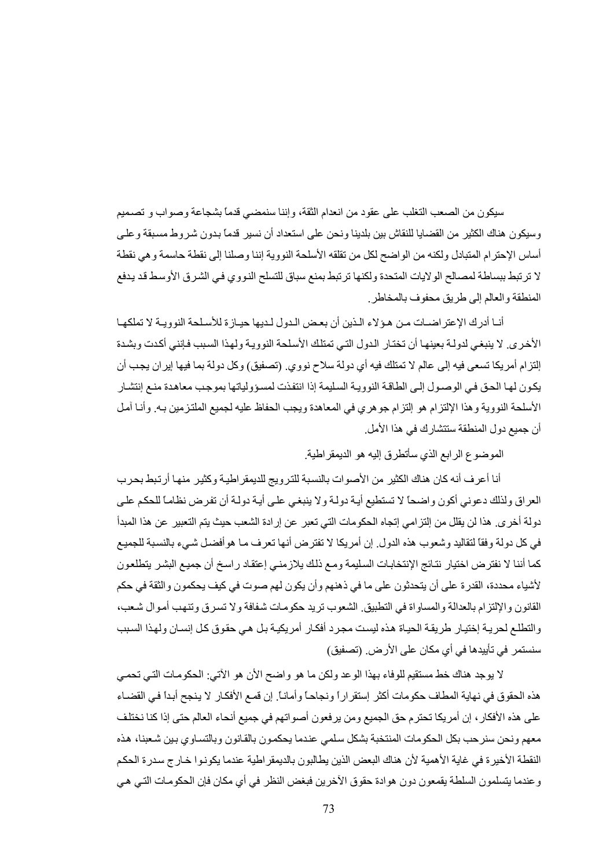سيكون من الصعب التغلب على عقود من انعدام الثقة، وإننا سنمضي قدماً بشجاعة وصواب و تصميم وسيكون هناك الكثير من القضايا للنقاش بين بلدينا ونحن على استعداد أن نسير قدماً بدون شروط مسبقة وعلى أساس الإحترام المتبادل ولكنه من الواضح لكل من تقلقه الأسلحة النووية إننا وصلنا إلى نقطة حاسمة وهي نقطة لا ترتبط ببساطة لمصالح الولايات المتحدة ولكنها ترتبط بمنع سباق للتسلح النووي في الشرق الأوسط قد يدفع المنطقة والعالم إلى طريق محفوف بالمخاطر.

أنـا أدرك الإعتراضـات مـن هـؤلاء الـذين أن بعض الـدول لـديها حيـاز ة للأسـلحة النوويـة لا تملكهـا الأخرى. لا ينبغي لدولة بعينها أن تختار الدول التي تمتلك الأسلحة النووية ولهذا السبب فإنني أكدت وبشدة إلتزام أمريكا تسعى فيه إلى عالم لا تمتلك فيه أي دولة سلاح نووي. (تصفيق) وكل دولة بما فيها إيران يجب أن يكون لها الحق في الوصول إلى الطاقة النووية السليمة إذا انتفذت لمسؤولياتها بموجب معاهدة منع إنتشار الأسلحة النووية وهذا الإلتزام هو إلتزام جوهري في المعاهدة ويجب الحفاظ عليه لجميع الملتزمين بـه. وأنـا آمل أن جميع دول المنطقة ستتشارك في هذا الأمل.

الموضوع الرابع الذي سأتطرق إليه هو الديمقراطية.

أنا أعرف أنه كان هناك الكثير من الأصوات بالنسبة للترويج للديمقراطية وكثير منها أرتبط بحرب العراق ولذلك دعوني أكون واضحاً لا تستطيع أيـة دولـة ولا ينبغي علمي أيـة دولـة أن تفرض نظامـًا للحكم علمي دولة أخرى. هذا لن يقلل من إلتزامي إتجاه الحكومات التي تعبر عن إرادة الشعب حيث يتم التعبير عن هذا المبدأ في كل دولة وفقاً لتقاليد وشعوب هذه الدول. إن أمريكا لا تفترض أنها تعرف مـا هوأفضـل شـيء بالنسبة للجميع كما أننا لا نفترض اختيار نتائج الإنتخابات السليمة ومع ذلك يلازمني إعتقاد راسخ أن جميع البشر يتطلعون لأشياء محددة، القدرة على أن يتحدثون على ما في ذهنهم وأن يكون لهم صوت في كيف يحكمون والثقة في حكم القانون والإلتزام بالعدالة والمساواة في التطبيق. الشعوب تريد حكومات شفافة ولا تسرق وتنهب أموال شعب، والتطلع لحريـة إختيـار طريقـة الحيـاة هذه ليست مجرد أفكـار أمريكيـة بـل هـي حقوق كـل إنسـان ولهذا السبب سنستمر في تأييدها في أي مكان على الأرض. (تصفيق)

لا يوجد هناك خط مستقيم للوفاء بهذا الوعد ولكن ما هو واضح الأن هو الآتي: الحكومـات التـي تحمـي هذه الحقوق في نهاية المطاف حكومات أكثر إستقراراً ونجاحاً وأمانـاً. إن قمع الأفكار لا ينجح أبداً في القضـاء على هذه الأفكار ، إن أمر يكا تحتر م حق الجميع و من ير فعون أصو اتهم في جميع أنحاء العالم حتى إذا كنا نختلف معهم ونحن سنرحب بكل الحكومات المنتخبة بشكل سلمي عندما يحكمون بالقانون وبالتساوي بين شعبنا، هذه النقطة الأخيرة في غاية الأهمية لأن هناك البعض الذين يطالبون بالديمقر اطية عندما يكونـوا خـار ج سـدرة الحكم وعندما يتسلمون السلطة يقمعون دون هوادة حقوق الآخرين فبغض النظر في أي مكان فإن الحكومات التي هي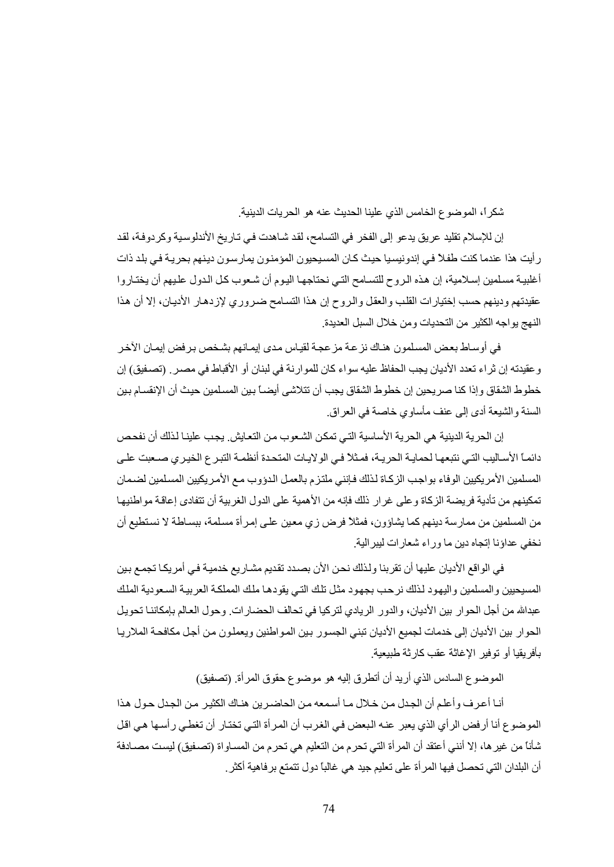شكرا،ً الموضوع الخامس الذي علينا الحديث عنه هو الحريات الدينية.

إن للإسلام تقليد عريق يدعو إلى الفخر في التسامح، لقد شـاهدت في تـاريخ الأندلوسية وكردوفـة، لقد رأيت هذا عندما كنت طفلاً في إندونيسيا حيث كان المسيحيون المؤمنون يمارسون دينهم بحريـة فـي بلد ذات أغلبيـة مسلمين إسلامية، إن هذه الروح للتسامح التي نحتاجهـا اليوم أن شعوب كل الدول عليهم أن يختـاروا عقيدتهم ودينهم حسب إختيار ات القلب والعقل والروح إن هذا التسامح ضروري لإز دهار الأديان، إلا أن هذا النهج يواجه الكثير من التحديات ومن خلال السبل العديدة.

في أوساط بعض المسلمون هنـاك نز عـة مز عجـة لقيـاس مدى إيمـانـهم بشـخص بـر فض إيمـان الآخر وعقيدته إن ثر اء تعدد الأديان يجب الحفاظ عليه سواء كان للموارنة في لبنان أو الأقباط في مصـر. (تصـفيق) إن خطوط الشقاق وإذا كنا صريحين إن خطوط الشقاق يجب أن تتلاشى أيضـاً بـين المسلمين حيث أن الإنقسـام بـين السنة والشيعة أدى إلى عنف مأساوي خاصة في العراق.

إن الحرية الدينية هي الحرية الأساسية التي تمكن الشعوب من التعايش. يجب علينـا لذلك أن نفحص دائمـاً الأسـاليب التي نتبعهـا لحمايـة الحريـة، فمثلاً في الولايـات المتحـدة أنظمـة التبـرع الخيـر ي صـعبت علـي المسلمين الأمريكيين الوفاء بواجب الزكاة لذلك فإنني ملتزم بالعمل الدؤوب مع الأمريكيين المسلمين لضمان تمكينهم من تأدية فريضة الزكاة وعلى غرار ذلك فإنه من الأهمية على الدول الغربية أن تتفادى إعاقة مواطنيها من المسلمين من ممارسة دينهم كما يشاؤون، فمثلاً فرض زي معين علمي إمرأة مسلمة، ببساطة لا نستطيع أن نخفي عداؤنا إتجاه دين ما وراء شعارات ليبرالية.

في الواقع الأديان عليها أن تقربنا ولذلك نحن الأن بصدد تقديم مشاريع خدميـة فـي أمريكـا تجمـع بـين المسيحيين والمسلمين واليهود لذلك نرحب بجهود مثل تلك التي يقودهـا ملك المملكـة العربيـة السعودية الملك عبدالله من أجل الحوار بين الأديان، والدور الريادي لتر كيا في تحالف الحضار ات. وحول العـالم بإمكاننـا تحويل الحوار بين الأديان إلى خدمات لجميع الأديان تبني الجسور بين المواطنين ويعملون من أجل مكافحة الملاريـا بأفر بقيا أو توفير الإغاثة عقب كار ثة طبيعية.

الموضوع السادس الذي أريد أن أتطرق إليه هو موضوع حقوق المرأة. (تصفيق)

أنـا أعر ف و أعلم أن الجدل من خلال مـا أسمعه من الحاضرين هناك الكثير من الجدل حول هذا الموضوع أنا أرفض الرأي الذي يعبر عنه البعض في الغرب أن المرأة التي تختار أن تغطي رأسها هي اقل شأناً من غير ها، إلا أنني أعتقد أن المر أة التي تحرم من التعليم هي تحرم من المساواة (تصـفيق) ليست مصـادفة أن البلدان التي تحصل فيها المرأة على تعليم جيد هي غالباً دول تتمتع برفاهية أآثر.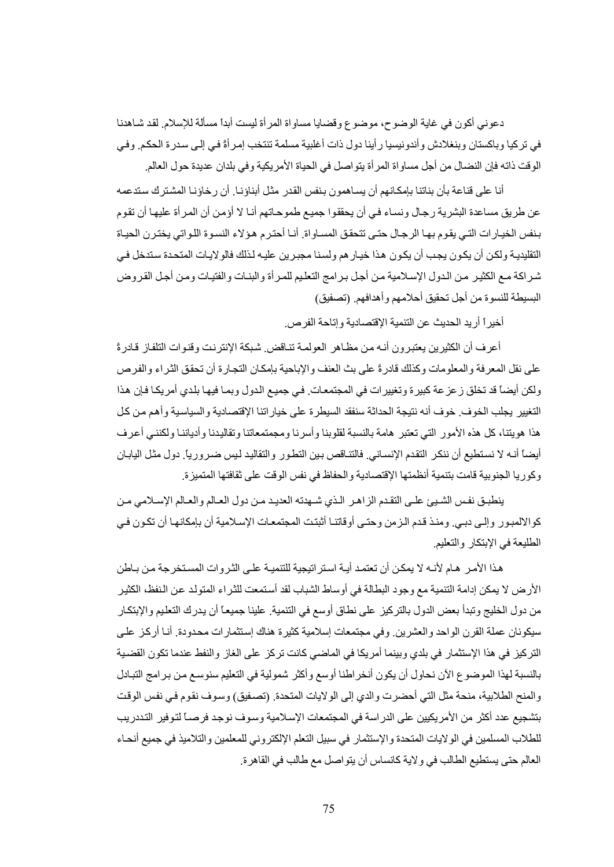دعوني أكون في غاية الوضوح، موضوع وقضايا مساواة المرأة ليست أبداً مسألة للإسلام. لقد شاهدنا في تركيا وباكستان وبنغلادش وأندونيسيا رأينا دول ذات أغلبية مسلمة تنتخب إمرأةً في إلى سدرة الحكم. وفي الوقت ذاته فإن النضال من أجل مساواة المرأة يتواصل في الحياة الأمريكية وفي بلدان عديدة حول العالم.

أنا على قناعة بأن بناتنا بإمكانهم أن يساهمون بنفس القدر مثل أبناؤنـا. أن رخاؤنـا المشترك سندعمه عن طريق مساعدة البشرية رجال ونساء في أن يحققوا جميع طموحاتهم أنـا لا أؤمن أن المر أة عليها أن تقوم بنفس الخيارات التي يقوم بها الرجال حتى تتحقق المساواة. أنـا أحترم هؤلاء النسوة اللواتي يخترن الحياة التقليديـة ولكن أن يكـون يجب أن يكـون هذا خيـار هم ولسنا مجبـرين عليـه لـذلك فالو لايـات المتحدة ستدخل فـي شراكة مع الكثير من الدول الإسلامية من أجل برامج التعليم للمرأة والبنـات والفتيـات ومن أجل القروض البسيطة للنسوة من أجل تحقيق أحلامهم وأهدافهم. (تصفيق)

أخيراً أريد الحديث عن التنمية الإقتصادية وإتاحة الفرص.

أعر ف أن الكثير ين يعتبر ون أنـه من مظـاهر العولمـة تنـاقض. شبكة الإنتر نـت وقنـوات التلفـاز قـادر ةً على نقل المعرفة والمعلومات وكذلك قادرةً على بث العنف والإباحية بإمكان التجارة أن تحقق الثراء والفرص ولكن أيضاً قد تخلق ز عزعة كبيرة وتغييرات في المجتمعات. في جميع الدول وبمـا فيهـا بلدي أمريكـا فإن هذا التغيير يجلب الخوف. خوف أنه نتيجة الحداثة سنفقد السيطرة على خيار اتنا الإقتصادية والسياسية وأهم من كل هذا هويتنا، كل هذه الأمور التي تعتبر هامة بالنسبة لقلوبنا وأسرنا ومجمتمعاتنا وتقاليدنا وأدياننـا ولكننـي أعرف أيضاً أنـه لا نستطيع أن ننكر التقدم الإنسـاني. فالتنـاقص بين التطـور والتقاليد ليس ضـرورياً. دول مثل اليابـان وآوريا الجنوبية قامت بتنمية أنظمتها الإقتصادية والحفاظ في نفس الوقت على ثقافتها المتميزة.

ينطبق نفس الشبيئ على التقدم الزاهر الذي شهدته العديد من دول العالم والعالم الإسلامي من كوالالمبور وإلىي دبي. ومنذ قدم الزمن وحتىي أوقاتنـا أثبتت المجتمعات الإسلامية أن بإمكانها أن تكون في الطليعة في الإبتكار والتعليم.

هذا الأمر ِ هـام لأنـه لا يمكن أن تعتمد أيـة استر اتيجية للتنميـة علـي الثـروات المستخرجة مـن بـاطن الأرض لا يمكن إدامة التنمية مع وجود البطالة في أوساط الشباب لقد أستمعت للثراء المتولد عن النفظ، الكثير من دول الخليج وتبدأ بعض الدول بالتركيز على نطاق أوسع في التنمية. علينا جميعـًا أن يدرك التعليم والإبتكار سيكونان عملة القرن الواحد والعشرين. وفي مجتمعات إسلامية كثيرة هناك إستثمارات محدودة. أنـا أركز علمي التركيز في هذا الإستثمار في بلدي وبينما أمريكا في الماضي كانت تركز على الغاز والنفط عندما تكون القضية بالنسبة لهذا الموضوع الآن نحاول أن يكون أنخراطنا أوسع وأكثر شمولية في التعليم سنوسع من برامج التبادل والمنح الطلابية، منحة مثل التي أحضرت والدي إلى الولايات المتحدة. (تصفيق) وسوف نقوم في نفس الوقت بتشجيع عدد أكثر من الأمر يكبين على الدر اسة في المجتمعات الإسلامية وسوف نوجد فر صـاً لتوفير التددر يب للطلاب المسلمين في الولايات المتحدة والإستثمار في سبيل التعلم الإلكتروني للمعلمين والتلاميذ في جميع أنحѧاء العالم حتى يستطيع الطالب في ولاية كانساس أن يتواصل مع طالب في القاهرة.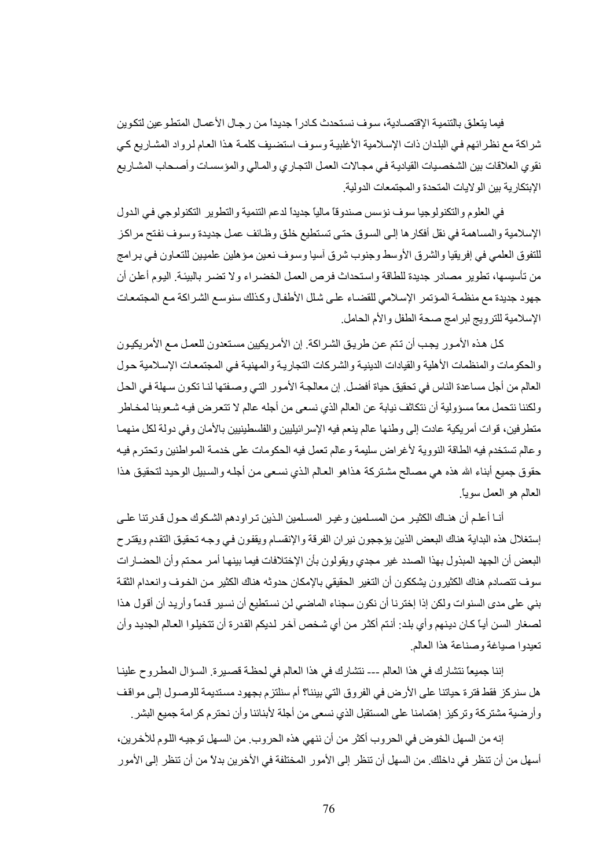فيما يتعلق بالتنمية الإقتصـادية، سـوف نستحدث كـادراً جديداً من رجال الأعمـال المتطـوعين لتكوين شراكة مع نظرائهم في البلدان ذات الإسلامية الأغلبية وسوف استضيف كلمة هذا العام لرواد المشاريع كي نقوي العلاقات بين الشخصيات القيادية في مجالات العمل التجاري والمالي والمؤسسات وأصحاب المشاريع الإبتكارية بين الولايات المتحدة والمجتمعات الدولية.

في العلوم والتكنولوجيا سوف نؤسس صندوقاً مالياً جديداً لدعم التنمية والتطوير التكنولوجي في الدول الإسلامية والمساهمة في نقل أفكارها إلى السوق حتىي تستطيع خلق وظائف عمل جديدة وسوف نفتح مراكز للتفوق العلمي في إفريقيا والشرق الأوسط وجنوب شرق آسيا وسوف نعين مؤهلين علميين للتعاون في برامج من تأسيسها، تطوير مصادر جديدة للطاقة واستحداث فرص العمل الخضراء ولا تضر بالبيئة. اليوم أعلن أن جهود جديدة مع منظمـة المـؤتمر الإسـلامي للقضـاء علـي شـلل الأطفـال وكذلك سنوسـع الشـراكة مـع المجتمعـات الإسلامية للترويج لبرامج صحة الطفل والأم الحامل.

كل هذه الأمور يجب أن تتم عن طريق الشراكة. إن الأمريكيين مستعدون للعمل مع الأمريكيون والحكومات والمنظمات الأهلية والقيادات الدينية والشركات التجارية والمهنية في المجتمعات الإسلامية حول العالم من أجل مساعدة الناس في تحقيق حياة أفضل. إن معالجـة الأمور التـي وصـفتها لنـا تكون سـهلة فـي الحل ولكننا نتحمل معاً مسؤولية أن نتكاثف نيابة عن العالم الذي نسعى من أجله عالم لا تتعرض فيه شعوبنا لمخـاطر متطرفين، قوات أمريكية عادت إلى وطنها عالم ينعم فيه الإسر ائيليين والفلسطينيين بالأمان وفي دولة لكل منهمـا وعالم تستخدم فيه الطاقة النووية لأغراض سليمة وعالم تعمل فيه الحكومات على خدمـة المواطنين وتحترم فيـه حقوق جميع أبناء الله هذه هي مصالح مشتركة هذاهو العالم الذي نسعى من أجلـه والسبيل الوحيد لتحقيق هذا العالم هو العمل سويا.ً

أنـا أعلـم أن هنـاك الكثيـر مـن المسلمين وغيـر المسـلمين الـذين تـر اودهم الشـكوك حـول قـدرتنا علـي إستغلال هذه البداية هناك البعض الذين يؤججون نير ان الفرقة والإنقسام ويقفون في وجه تحقيق التقدم ويقترح البعض أن الجهد المبذول بهذا الصدد غير مجدي ويقولون بأن الإختلافات فيما بينها أمر محتم وأن الحضـارات سوف تتصادم هناك الكثير ون يشككون أن التغير الحقيقي بالإمكان حدوثه هناك الكثير من الخوف وانعدام الثقة بني على مدى السنوات ولكن إذا إخترنا أن نكون سجناء الماضي لن نستطيع أن نسير قدماً وأريد أن أقول هذا لصغار السن أيـًا كـان ديـنـهم و أي بلد: أنـتم أكثـر من أي شـخص آخر لـديكم القدر ة أن تتخيلـوا العـالم الجديد و أن تعيدوا صياغة وصناعة هذا العالم.

إننا جميعاً نتشارك في هذا العالم --- نتشارك في هذا العالم في لحظة قصبيرة. السؤال المطروح علينـا هل سنركز فقط فترة حياتنا على الأرض في الفروق التي بيننا؟ أم سنلتزم بجهود مستديمة للوصـول إلـي مواقف وأرضية مشتركة وتركيز إهتمامنا على المستقبل الذي نسعى من أجلة لأبنائنا وأن نحترم كرامة جميع البشر ِ

إنه من السهل الخوض في الحروب أكثر من أن ننهي هذه الحروب. من السهل توجيه اللوم للأخرين، أسهل من أن تنظر في داخلك. من السهل أن تنظر إلى الأمور المختلفة في الأخرين بدلاً من أن تنظر إلى الأمور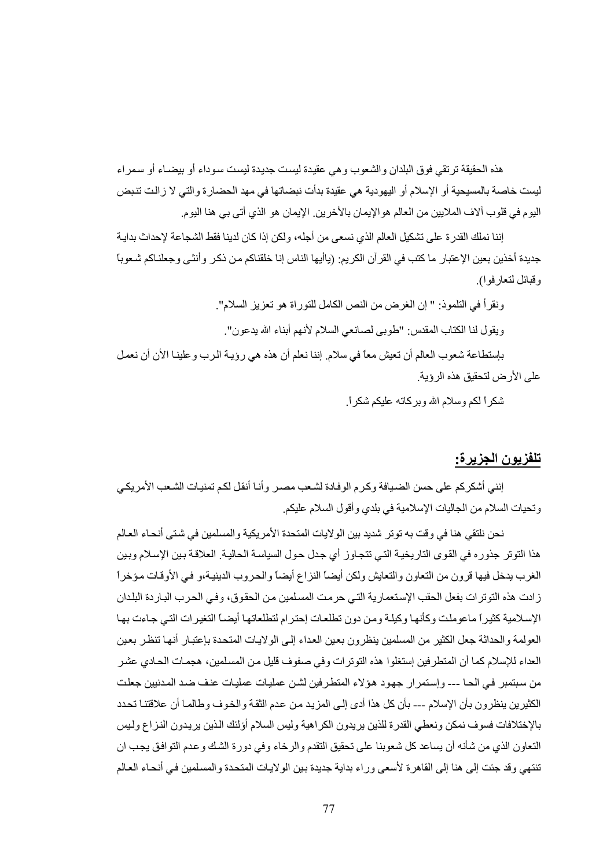هذه الحقيقة ترتقي فوق البلدان والشعوب وهي عقيدة ليست جديدة ليست سوداء أو بيضـاء أو سمراء ليست خاصة بالمسيحية أو الإسلام أو اليهودية هي عقيدة بدأت نبضاتها في مهد الحضارة والتي لا زالت تنبض اليوم في قلوب آلاف الملايين من العالم هوالإيمان بالأخرين. الإيمان هو الذي أتى بي هنا اليوم.

إننا نملك القدرة على تشكيل العالم الذي نسعى من أجله، ولكن إذا كان لدينا فقط الشجاعة لإحداث بدايـة جديدة أخذين بعين الإعتبار ما كتب في القرآن الكريم: (ياأيها الناس إنا خلقناكم من ذكر وأنثـى وجعلنـاكم شـعوباً وقبائل لتعارفوا).

ونقرأ في التلموذ: " إن الغرض من النص الكامل للتوراة هو تعزيز السلام".

ويقول لنا الكتاب المقدس: "طوبى لصانعي السلام لأنهم أبناء االله يدعون".

بإستطاعة شعوب العالم أن تعيش معاً في سلام. إننا نعلم أن هذه هي رؤيـة الرب وعلينـا الأن أن نعمل على الأرض لتحقيق هذه الرؤية.

شكر أ لكم و سلام الله وبر كاته عليكم شكر أ

## **تلفزيون الجزيرة:**

إنني أشكركم على حسن الضيافة وكرم الوفادة لشعب مصر وأنـا أنقل لكم تمنيـات الشعب الأمريكي وتحيات السلام من الجاليات الإسلامية في بلدي وأقول السلام عليكم.

نحن نلتقي هنا في وقت به توتر شديد بين الولايات المتحدة الأمريكية والمسلمين في شتى أنحـاء العـالم هذا التوتر جذوره في القوى التاريخية التي تتجاوز أي جدل حول السياسة الحالية. العلاقة بين الإسلام وبين الغرب يدخل فيها قرون من التعاون والتعايش ولكن أيضاً النزاع أيضاً والحروب الدينية،و في الأوقات مؤخراً زادت هذه التوترات بفعل الحقب الإستعمارية التي حرمت المسلمين من الحقوق، وفي الحرب الباردة البلدان الإسلامية كثيراً ماعوملت وكأنها وكيلة ومن دون تطلعات إحترام لتطلعاتها أيضاً التغيرات التي جاءت بها العولمة والحداثة جعل الكثير من المسلمين ينظرون بعين العداء إلى الولايات المتحدة بإعتبار أنها تنظر بعين العداء للإسلام كما أن المتطرفين إستغلوا هذه التوترات وفي صفوف قليل من المسلمين، هجمـات الحـادي عشر من سبتمبر ً في الحـا --- وإستمر ار جهود هوً لاء المتطرفين لشن عمليات عمليات عنف ضد المدنيين جعلت الكثير ين ينظرون بأن الإسلام --- بأن كل هذا أدى إلى المزيد من عدم الثقة والخوف وطالمـا أن علاقتنـا تحدد بالإختلافات فسوف نمكن ونعطي القدرة للذين يريدون الكراهية وليس السلام أؤلئك الذين يريدون النزاع وليس التعاون الذي من شأنه أن يساعد كل شعوبنا على تحقيق التقدم والرخاء وفي دورة الشك وعدم التوافق يجب ان تنتهي وقد جئت إلى هنا إلى القاهرة لأسعى وراء بداية جديدة بين الولايات المتحدة والمسلمين في أنحـاء العالم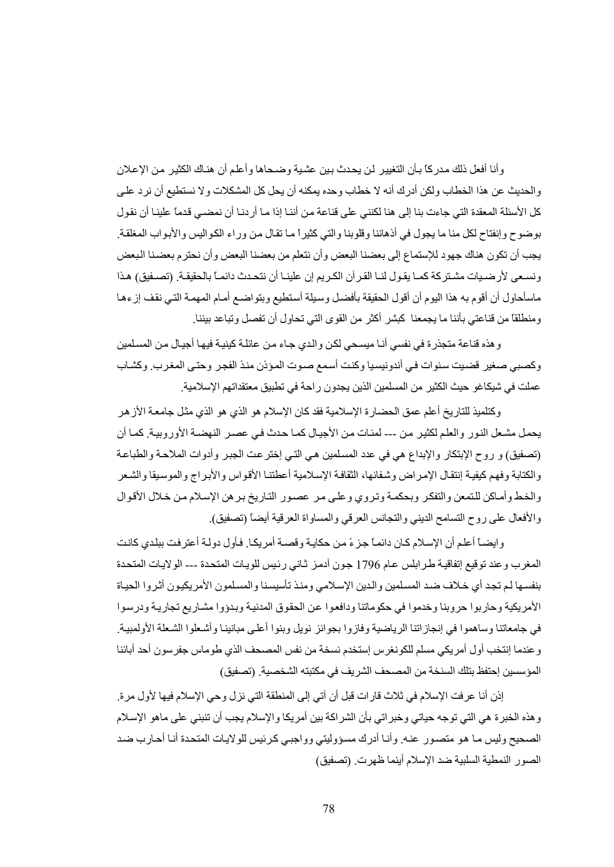وأنا أفعل ذلك مدركاً بـأن التغيير لن يحدث بين عشية وضحاها وأعلم أن هنـاك الكثير من الإعلان والحديث عن هذا الخطاب ولكن أدرك أنه لا خطاب وحده يمكنه أن يحل كل المشكلات ولا نستطيع أن نرد علمي كل الأسئلة المعقدة التي جاءت بنا إلى هنا لكنني على قناعة من أننـا إذا مـا أردنـا أن نمضـي قدماً علينـا أن نقول بوضوح وإنفتاح لكل منا ما يجول في أذهاننا وقلوبنا والتي كثيراً مـا تقال من وراء الكواليس والأبواب المغلقة. يجب أن تكون هناك جهود للإستماع إلى بعضنا البعض وأن نتعلم من بعضنا البعض وأن نحترم بعضنا البعض ونسعى لأرضيات مشتركة كما يقول لنـا القرآن الكريم إن علينـا أن نتحدث دائمـًا بالحقيقـة. (تصـفيق) هذا ماسأحاول أن أقوم به هذا اليوم أن أقول الحقيقة بأفضل وسيلة أستطيع وبتواضع أمـام المهمـة التـي نقف إزءهـا ومنطلقاً من قناعتي بأننا ما يجمعنا كبشر أكثر من القوى التي تحاول أن تفصل وتباعد بيننا.

وهذه قناعة متجذرة في نفسي أنـا ميسـحي لكن والدي جـاء مـن عائلـة كينيـة فيهـا أجيـال مـن المسلمين وكصبي صغير قضيت سنوات في أندونيسيا وكنت أسمع صوت المؤذن منذ الفجر وحتى المغرب. وكشاب عملت في شيكاغو حيث الكثير من المسلمين الذين يجدون راحة في تطبيق معتقداتهم الإسلامية.

وكتلميذ للتاريخ أعلم عمق الحضارة الإسلامية فقد كان الإسلام هو الذي هو الذي مثل جامعة الأز هر يحمل مشعل النور والعلم لكثير من --- لمئات من الأجيال كما حدث في عصر النهضـة الأوروبيـة. كمـا أن (تصفيق) و روح الإبتكار والإبداع هي في عدد المسلمين هي التي إختر عت الجبر وأدوات الملاحة والطباعة والكتابة وفهم كيفية إنتقال الإمراض وشفائها، الثقافة الإسلامية أعطتنـا الأقواس والأبراج والموسيقا والشعر والخط وأماكن للتمعن والتفكر وبحكمة وتروي وعلى مر عصور التاريخ برهن الإسلام من خلال الأقوال والأفعال على روح التسامح الديني والتجانس العرقي والمساواة العرقية أيضاً (تصفيق).

وايضـاً أعلم أن الإسلام كـان دائمـاً جزءً من حكايـة وقصـة أمريكـا. فـأول دولـة أعترفت ببلدي كانت المغرب وعند توقيع إتفاقية طرابلس عام 1796 جون آدمز ثاني رئيس للويات المتحدة --- الولايات المتحدة بنفسها لم تجد أي خلاف ضد المسلمين والدين الإسلامي ومنذ تأسيسنا والمسلمون الأمريكيون أثروا الحياة الأمريكية وحاربوا حروبنا وخدموا في حكوماتنا ودافعوا عن الحقوق المدنية وبدؤوا مشاريع تجارية ودرسوا في جامعاتنا وساهموا في إنجازاتنا الرياضية وفازوا بجوائز نويل وبنوا أعلى مبانينا وأشعلوا الشعلة الأولمبية. وعندما إنتخب أول أمريكي مسلم للكونغرس إستخدم نسخة من نفس المصحف الذي طوماس جفرسون أحد أبائنا المؤسسين إحتفظ بتلك السنخة من المصحف الشريف في مكتبته الشخصية (. تصفيق)

إذن أنا عرفت الإسلام في ثلاث قارات قبل أن آتي إلى المنطقة التي نزل وحي الإسلام فيها لأول مرة. وهذه الخبرة هي التي توجه حياتي وخبر اتي بأن الشراكة بين أمريكا والإسلام يجب أن تنبني على ماهو الإسلام الصحيح وليس مـا هو متصـور عنـه. وأنـا أدرك مسؤوليتي وواجبي كرئيس للولايـات المتحدة أنـا أحـارب ضد الصور النمطية السلبية ضد الإسلام أينما ظهرت. (تصفيق)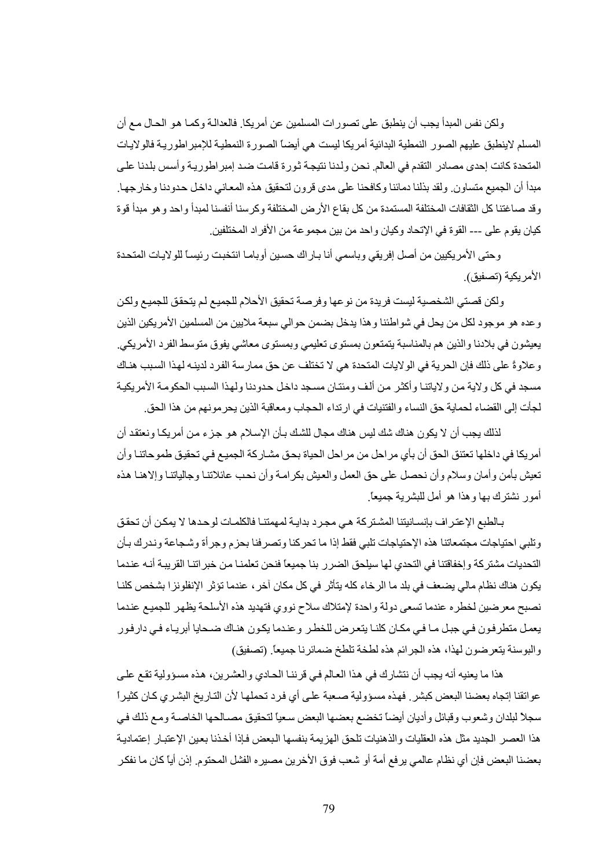ولكن نفس المبدأ يجب أن ينطبق على تصورات المسلمين عن أمريكا. فالعدالـة وكمـا هو الحـال مـع أن المسلم لاينطبق عليهم الصور النمطية البدائية أمريكا ليست هي أيضاً الصورة النمطية للإمبراطوريـة فالولايات المتحدة كانت إحدى مصادر التقدم في العالم. نحن ولدنا نتيجة ثورة قامت ضد إمبراطوريـة وأسس بلدنا على مبدأ أن الجميع متساون. ولقد بذلنا دمائنا وكافحنا على مدى قرون لتحقيق هذه المعاني داخل حدودنا وخارجها. وقد صاغتنا كل الثقافات المختلفة المستمدة من كل بقاع الأر ض المختلفة و كر سنا أنفسنا لمبدأ و احد و هو مبدأ قوة كيان يقوم على --- القوة في الإتحاد وكيان واحد من بين مجموعة من الأفراد المختلفين.

وحتى الأمريكيين من أصل إفريقي وباسمي أنا بـاراك حسين أوبامـا انتخبت رئيسـًا للولايـات المتحدة الأمريكية (تصفيق).

ولكن قصتي الشخصية ليست فريدة من نوعها وفرصة تحقيق الأحلام للجميع لم يتحقق للجميع ولكن وعده هو موجود لكل من يحل في شواطئنا وهذا يدخل بضمن حوالي سبعة ملايين من المسلمين الأمريكين الذين يعيشون في بلادنا والذين هم بالمناسبة يتمتعون بمستوى تعليمي وبمستوى معاشي يفوق متوسط الفرد الأمريكي. وعلاوةً على ذلك فإن الحرية في الولايات المتحدة هي لا تختلف عن حق ممارسة الفرد لدينـه لهذا السبب هنـاك مسجد في كل ولاية من ولاياتنا وأكثر من ألف ومئتان مسجد داخل حدودنا ولهذا السبب الحكومة الأمر يكية لجأت إلى القضاء لحماية حق النساء والفتنيات في ارتداء الحجاب ومعاقبة الذين يحرمونهم من هذا الحق.

لذلك يجب أن لا يكون هناك شك ليس هناك مجال للشك بـأن الإسلام هو جزء من أمريكا ونعتقد أن أمريكا في داخلها تعتنق الحق أن بأي مراحل من مراحل الحياة بحق مشاركة الجميع في تحقيق طموحاتنـا وأن تعيش بأمن وأمان وسلام وأن نحصل على حق العمل والعيش بكرامة وأن نحب عائلاتنا وجالياتنا وإلاهنا هذه أمور نشترك بها وهذا هو أمل للبشرية جميعا.ً

بـالطبع الإعتراف بإنسـانيتنا المشتركة هي مجرد بدايـة لمهمتنـا فالكلمـات لوحدها لا يمكـن أن تحقق وتلبي احتياجات مجتمعاتنا هذه الإحتياجات تلبي فقط إذا ما تحركنا وتصرفنا بحزم وجرأة وشجاعة وندرك بـأن التحديات مشتركة وإخفاقتنا في التحدي لها سيلحق الضرر بنا جميعاً فنحن تعلمنـا من خبراتنـا القريبـة أنـه عندما يكون هناك نظام مالي يضعف في بلد ما الرخاء كله يتأثر في كل مكان آخر ، عندما تؤثر الإنفلونز ا بشخص كلنـا نصبح معرضين لخطره عندما تسعى دولة واحدة لإمتلاك سلاح نووي فتهديد هذه الأسلحة يظهر للجميع عندما يعمل متطرفون في جبل ما في مكان كلنا يتعرض للخطر وعندما يكون هناك ضحايا أبرياء في دارفور والبوسنة يتعرضون لهذا، هذه الجرائم هذه لطخة تلطخ ضمائرنا جميعا.ً (تصفيق)

هذا ما يعنيه أنه يجب أن نتشارك في هذا العالم في قرننـا الحادي والعشرين، هذه مسؤولية تقع علمي عواتقنا إتجاه بعضنا البعض كبشر . فهذه مسؤولية صعبة على أي فرد تحملها لأن التاريخ البشري كان كثيراً سجلاً لبلدان وشعوب وقبائل و أديان أيضاً تخضع بعضها البعض سعياً لتحقيق مصـالحها الخاصـة ومـع ذلك فـي هذا العصر الجديد مثل هذه العقليات والذهنيات تلحق الهزيمة بنفسها البعض فإذا أخذنا بعين الإعتبار إعتمادية بعضنا البعض فإن أي نظام عالمي يرفع أمة أو شعب فوق الأخرين مصيره الفشل المحتوم. إذن أياً كان ما نفكر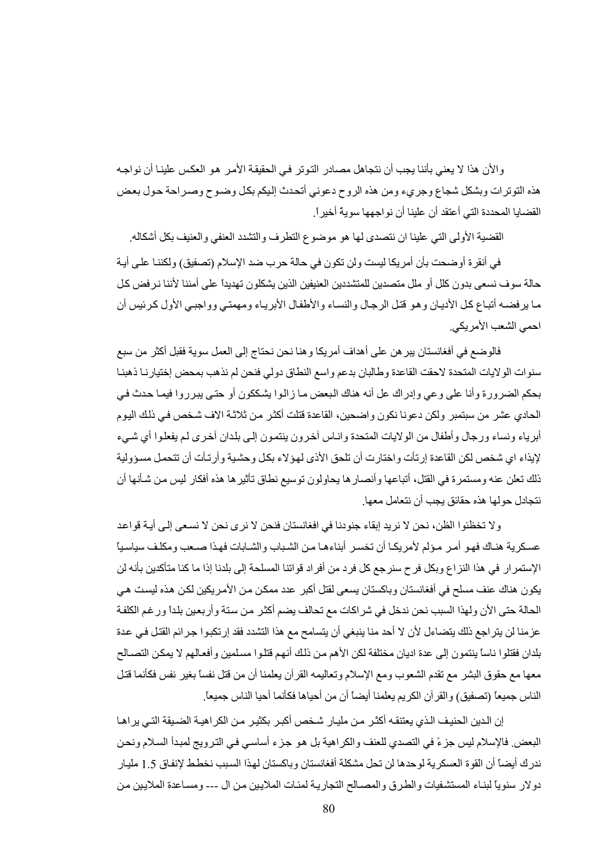والأن هذا لا يعني بأننا يجب أن نتجاهل مصادر التوتر في الحقيقة الأمر. هو العكس علينـا أن نواجـه هذه التوترات وبشكل شجاع وجريء ومن هذه الروح دعوني أتحدث إليكم بكل وضوح وصراحة حول بعض القضايا المحددة التي أعتقد أن علينا أن نواجهها سويةً أخيرا.ً

القضية الأولى التي علينا ان نتصدى لها هو موضوع التطرف والتشدد العنفي والعنيف بكل أشكاله.

في أنقرة أوضحت بأن أمريكا ليست ولن تكون في حالة حرب ضد الإسلام (تصفيق) ولكننـا علـي أيـة حالة سوف نسعى بدون كلل أو ملل متصدين للمتشددين العنيفين الذين يشكلون تهديداً على أمننا لأننا نرفض كل ما يرفضه أتباع كل الأديان وهو قتل الرجال والنساء والأطفال الأبرياء ومهمتي وواجبي الأول كرئيس أن احمي الشعب الأمريكي.

فالوضع في أفغانستان يبر هن على أهداف أمريكا وهنا نحن نحتاج إلى العمل سوية فقبل أكثر من سبع سنوات الولايات المتحدة لاحقت القاعدة وطالبان بدعم واسع النطاق دولي فنحن لم نذهب بمحض إختيار نـا ذهبنـا بحكم الضرورة وأنا على وعي وإدراك عل أنه هناك البعض مـا زالوا يشككون أو حتى يبرروا فيمـا حدث في الحادي عشر من سبتمبر ولكن دعونا نكون واضحين، القاعدة قتلت أكثر من ثلاثـة الاف شخص في ذلك اليوم أبرياء ونساء ورجال وأطفال من الولايات المتحدة وانـاس آخرون ينتمون إلـي بلدان آخرى لـم يفعلوا أي شـيء لإيذاء اي شخص لكن القاعدة إر تأت و اختار ت أن تلحق الأذى لهوً لاء بكل و حشية و أر تـأت أن تتحمل مسوً ولية ذلك تعلن عنه ومستمرة في القتل، أتباعها وأنصارها يحاولون توسيع نطاق تأثيرها هذه أفكار ليس من شأنها أن نتجادل حولها هذه حقائق يجب أن نتعامل معها.

ولا تخظئوا الظن، نحن لا نريد إبقاء جنودنا في افغانستان فنحن لا نرى نحن لا نسعى إلى أيـة قواعد عسكر ية هنـاك فهو أمـر مـؤلم لأمر يكـا أن تخسـر أبناءهـا مـن الشـباب والشـابات فهـذا صـعب ومكلـف سياسـياً الإستمر ار في هذا النز اع وبكل فرح سنرجع كل فرد من أفراد قواتنا المسلحة إلى بلدنا إذا ما كنا متأكدين بأنه لن يكون هناك عنف مسلح في أفغانستان وباكستان يسعى لقتل أكبر عدد ممكن من الأمريكين لكن هذه ليست هي الحالة حتى الأن ولهذا السبب نحن ندخل في شراكات مع تحالف يضم أكثر من سنة وأربعين بلداً ورغم الكلفة عزمنا لن يتراجع ذلك يتضاءل لأن لا أحد منا ينبغي أن يتسامح مع هذا التشدد فقد إرتكبوا جرائم القتل في عدة بلدان فقتلوا ناساً ينتمون إلى عدة اديان مختلفة لكن الأهم من ذلك أنهم قتلوا مسلمين وأفعالهم لا يمكن التصالح معها مع حقوق البشر مع تقدم الشعوب ومع الإسلام وتعاليمه القرآن يعلمنا أن من قتل نفساً بغير نفس فكأنما قتѧل الناس جميعاً (تصفيق) والقرآن الكريم يعلمنا أيضاً أن من أحياها فكأنما أحيا الناس جميعا.ً

إن الدين الحنيف الذي يعتنقه أكثر من مليار شخص أكبر بكثير من الكراهية الضيقة التي يراهـا البعض فالإسلام ليس جزءً في التصدي للعنف والكراهية بل هو جزء أساسي في الترويج لمبدأ السلام ونحن ندر ك أيضاً أن القو ة العسكر ية لو حدها لن تحل مشكلة أفغانستان و باكستان لهذا السبب نخطط لإنفاق 1.5 مليار دولار سنوياً لبنـاء المستشفيات والطرق والمصـالح التجاريـة لمئـات الملايين من ال --- ومسـاعدة الملايين من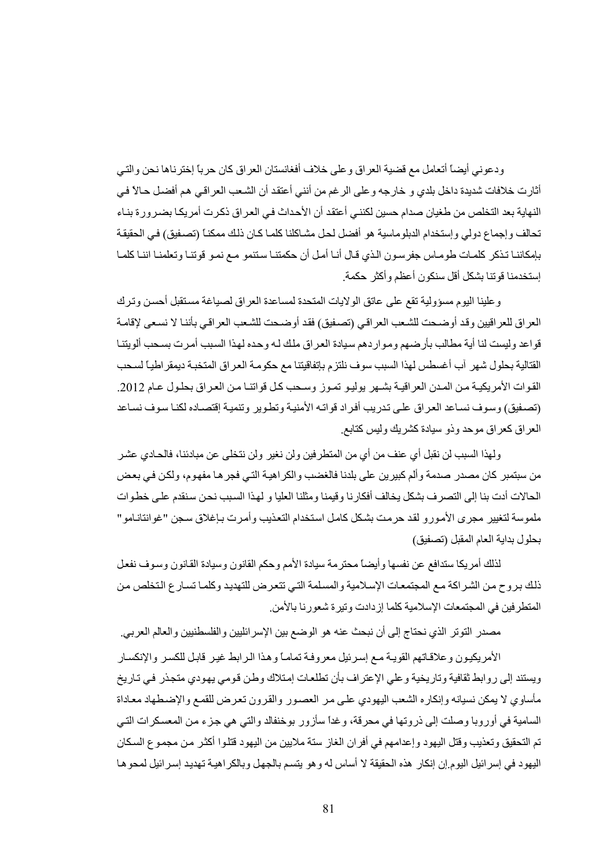ودعوني أيضاً أتعامل مع قضية العراق وعلى خلاف أفغانستان العراق كان حرباً إخترناها نحن والتبي أثارت خلافات شديدة داخل بلدي و خارجه وعلى الرغم من أنني أعتقد أن الشعب العراقبي هم أفضل حالاً في النهاية بعد التخلص من طغيان صدام حسين لكننـي أعتقد أن الأحداث فـي العراق ذكرت أمريكـا بضـرورة بنـاء تحالف وإجماع دولي وإستخدام الدبلوماسية هو أفضل لحل مشاكلنا كلما كان ذلك ممكنـًا (تصفيق) في الحقيقة بإمكاننـا تـذكر كلمـات طومـاس جفرسـون الـذي قـال أنـا أمـل أن حكمتنـا سـتنمو مـع نمـو قوتنـا وتعلمنـا اننـا كلمـا إستخدمنا قوتنا بشكل أقل سنكون أعظم وأكثر حكمة.

و علينا اليو م مسؤولية تقع على عاتق الولايات المتحدة لمساعدة العراق لصياغة مستقبل أحسن وترك العراق للعراقيين وقد أوضحت للشعب العراقي (تصفيق) فقد أوضحت للشعب العراقي بأننا لا نسعى لإقامة قواعد وليست لنا أية مطالب بأرضهم ومواردهم سيادة العراق ملك لـه وحده لهذا السبب أمرت بسحب ألويتنـا القتالية بحلول شهر آب أغسطس لهذا السبب سوف نلتزم بإتفاقيتنا مع حكومة العراق المتخبـة ديمقر اطيـًا لسـحب القوات الأمريكيـة مـن المـدن العراقيـة بشـهر يوليـو تمـوز وسـحب كـل قواتنـا مـن العـراق بحلـول عـام 2012. (تصفيق) وسوف نساعد العراق على تدريب أفراد قواته الأمنية وتطوير وتنمية إقتصاده لكنا سوف نساعد العراق كعراق موحد وذو سيادة كشريك وليس كتابع.

ولهذا السبب لن نقبل أي عنف من أي من المتطرفين ولن نغير ولن نتخلى عن مبادئنا، فالحـادي عشـر من سبتمبر كان مصدر صدمة وألم كبيرين على بلدنا فالغضب والكراهية التي فجرها مفهوم، ولكن في بعض الحالات أدت بنا إلى التصرف بشكل يخالف أفكارنا وقيمنا ومثلنا العليا و لهذا السبب نحن سنقدم على خطوات ملموسة لتغيير مجرى الأمورو لقد حرمت بشكل كامل استخدام التعذيب وأمرت بـإغلاق سـجن "غوانتانـامو" بحلول بداية العام المقبل (تصفيق)

لذلك أمريكا ستدافع عن نفسها وأيضاً محترمة سيادة الأمم وحكم القانون وسيادة القانون وسوف نفعل ذلك بروح من الشراكة مع المجتمعات الإسلامية والمسلمة التي تتعرض للتهديد وكلما تسارع التخلص من المتطر فين في المجتمعات الإسلامية كلما إز دادت وتير ة شعور نا بالأمن.

مصدر التوتر الذي نحتاج إلى أن نبحث عنه هو الوضع بين الإسرائليين والفلسطنيين والعالم العربي.

الأمريكيون وعلاقاتهم القويـة مـع إسرئيل معروفـة تمامـًا وهذا الرابط غير قابـل للكسر والإنكسار ويستند إلى روابط ثقافية وتاريخية وعلى الإعتراف بأن تطلعات إمتلاك وطن قومي يهودي متجذر في تـاريخ مأساوي لا يمكن نسيانه وإنكاره الشعب اليهودي على مر العصور والقرون تعرض للقمع والإضطهاد معاداة السامية في أوروبا وصلت إلى ذروتها في محرقة، وغداً سأزور بوخنفالد والتي هي جزء من المعسكرات التي تم التحقيق وتعذيب وقتل اليهود وإعدامهم في أفران الغاز ستة ملايين من اليهود قتلوا أكثر من مجموع السكان اليهود في إسرائيل اليوم.إن إنكار هذه الحقيقة لا أساس له وهو يتسم بالجهل وبالكراهيـة تهديد إسرائيل لمحوها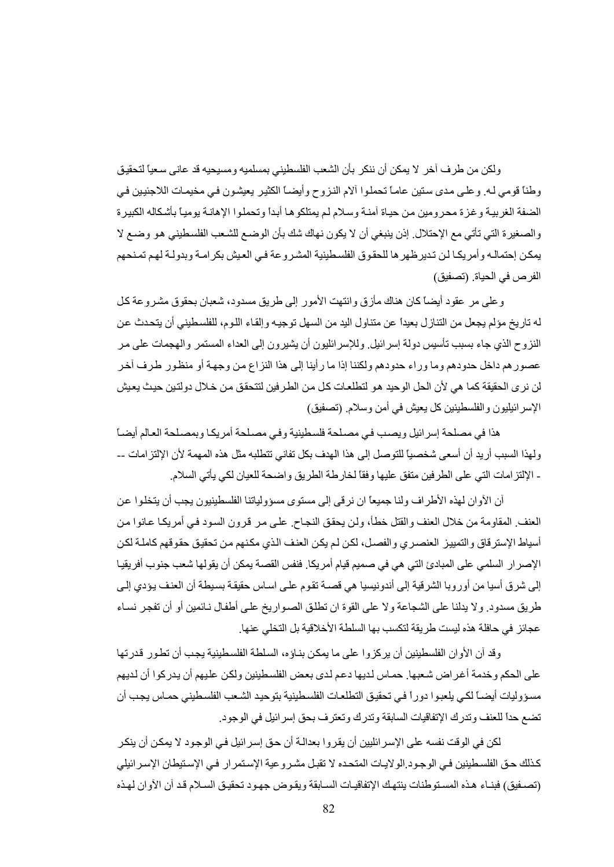ولكن من طرف آخر لا يمكن أن ننكر بأن الشعب الفلسطيني بمسلميه ومسيحيه قد عانى سعياً لتحقيق وطناً قومي لـه. وعلى مدى ستين عامـاً تحملوا آلام النزوح وأيضـاً الكثير يعيشون فـي مخيمـات اللاجئيين فـي الضفة الغربيـة وغزة محرومين من حياة آمنـة وسلام لم يمتلكوها أبداً وتحملوا الإهانـة يوميـًا بأشكاله الكبيرة والصغيرة التي تأتي مع الإحتلال. إذن ينبغي أن لا يكون نهاك شك بأن الوضع للشعب الفلسطيني هو وضع لا يمكن إحتمالـه وأمريكـا لن تـدير ظهر ها للحقوق الفلسطينية المشروعة فـي العيش بكرامـة وبدولـة لهم تمـنحهم الفرص في الحياة. (تصفيق)

و على مر عقود أيضاً كان هناك مأز ق وانتهت الأمور إلى طريق مسدود، شعبان بحقوق مشرو عة كل له تاريخ مؤلم يجعل من التناز ل بعيداً عن متناول اليد من السهل توجيه وإلقاء اللوم، للفلسطيني أن يتحدث عن النزوح الذي جاء بسبب تأسيس دولة إسرائيل .وللإسرائليون أن يشيرون إلى العداء المستمر والهجمات على مر عصورهم داخل حدودهم وما وراء حدودهم ولكننا إذا ما رأينا إلى هذا النزاع من وجهة أو منظور طرف آخر لن نرى الحقيقة كما هي لأن الحل الوحيد هو لتطلعات كل من الطرفين لتتحقق من خلال دولتين حيث يعيش الإسرائيليون والفلسطينين آل يعيش في أمن وسلام. (تصفيق)

هذا في مصلحة إسرائيل ويصب في مصلحة فلسطينية وفي مصلحة أمريكا وبمصلحة العالم أيضاً ولهذا السبب أريد أن أسعى شخصياً للتوصل إلى هذا الهدف بكل تفاني تتطلبه مثل هذه المهمة لأن الإلتزامات -- - الإلتزامات التي على الطرفين متفق عليها وفقاً لخارطة الطريق واضحة للعيان لكي يأتي السلام.

آن الآوان لهذه الأطراف ولنا جميعاً ان نرقى إلى مستوى مسؤولياتنا الفلسطينيون يجب أن يتخلوا عن العنف. المقاومة من خلال العنف والقتل خطأ، ولن يحقق النجاح. علمي مر قرون السود فـي أمريكـا عـانوا من أسياط الإسترقاق والتمييز العنصري والفصل، لكن لم يكن العنف الذي مكنهم من تحقيق حقوقهم كاملة لكن الإصرار السلمي على المبادئ التي هي في صميم قيام أمريكا. فنفس القصة يمكن أن يقولها شعب جنوب أفريقيا إلى شرق أسيا من أوروبا الشرقية إلى أندونيسيا هي قصـة تقوم على اسـاس حقيقـة بسيطـة أن العنف يـؤدي إلـي طريق مسدود. ولا يدلنا على الشجاعة ولا على القوة ان تطلق الصواريخ على أطفال نـائمين أو أن تفجر نسـاء عجائز في حافلة هذه ليست طريقة لتكسب بها السلطة الأخلاقية بل التخلي عنها.

وقد آن الأوان الفلسطينين أن يركزوا على ما يمكن بنـاؤه، السلطة الفلسطينية يجب أن تطور قدر تها على الحكم وخدمة أغراض شعبها. حماس لديها دعم لدى بعض الفلسطينين ولكن عليهم أن يدركوا أن لديهم مسؤوليات أيضـاً لكـي يلعبـوا دوراً فـي تحقيق التطلعـات الفلسطينية بتوحيد الشـعب الفلسطيني حمـاس يجب أن تضع حداً للعنف وتدرك الإتفاقيات السابقة وتدرك وتعترف بحق إسرائيل في الوجود.

لكن في الوقت نفسه على الإسر ائليين أن يقر وا بعدالـة أن حق إسر ائيل فـي الوجود لا يمكن أن ينكر كذلك حق الفلسطينين في الوجود.الو لايـات المتحده لا تقبل مشر و عية الإستمر ار في الإستيطان الإسر ائيلي (تصفيق) فبنـاء هذه المسـتوطنات ينتهك الإتفاقيـات السـابقة ويقوض جهـود تحقيـق السـلام قـد آن الآوان لهذه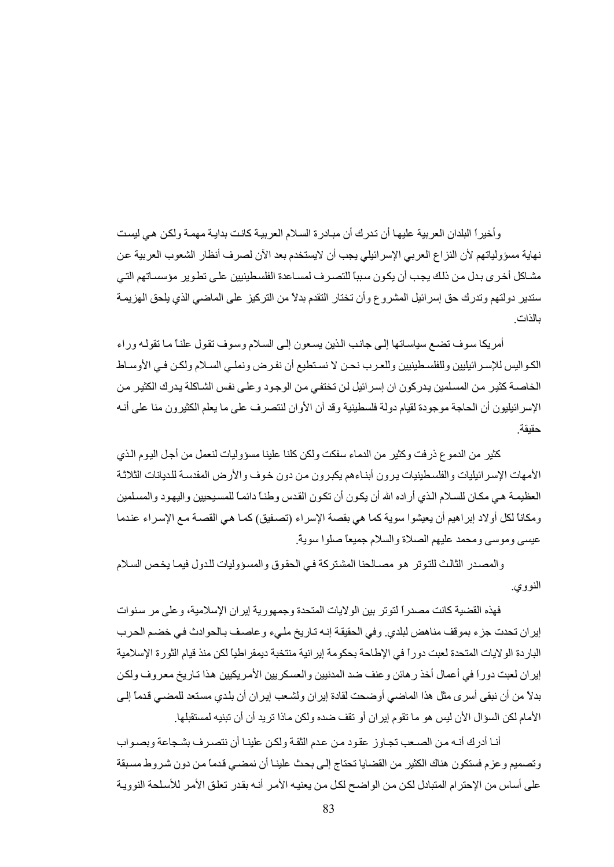وأخيراً البلدان العربية عليها أن تدرك أن مبادرة السلام العربيـة كانت بدايـة مهمـة ولكن هـي ليست نهاية مسؤولياتهم لأن النزاع العربي الإسرائيلي يجب أن لايستخدم بعد الآن لصرف أنظار الشعوب العربية عѧن مشاكل أخرى بدل من ذلك بجب أن يكون سبباً للتصر ف لمساعدة الفلسطينيين على تطوير مؤسساتهم التي ستدير دولتهم وتدرك حق إسرائيل المشروع وأن تختار التقدم بدلاً من التركيز على الماضي الذي يلحق الهزيمـة بالذات .

أمريكا سوف تضع سياساتها إلى جانب الذين يسعون إلى السلام وسوف تقول علنـًا مـا تقولـه وراء الكـواليس للإسـرائيليين وللفلسـطينيين وللعـرب نحـن لا نسـتطيع أن نفـرض ونملـي السـلام ولكـن فـي الأوسـاط الخاصـة كثير من المسلمين يدركون ان إسرائيل لن تختفي من الوجود وعلى نفس الشـاكلة يدرك الكثير من الإسرائيليون أن الحاجة موجودة لقيام دولة فلسطينية وقد آن الأوان لنتصرف على ما يعلم الكثيرون منا على أنѧه حقيقة.

كثير من الدموع ذرفت وكثير من الدماء سفكت ولكن كلنا علينا مسؤوليات لنعمل من أجل اليوم الذي الأمهات الإسر ائيليات والفلسطينيات يرون أبنـاءهم يكبرون من دون خوف والأرض المقدسة للديانات الثلاثـة العظيمـة هـي مكـان للسـلام الذي أراده الله أن يكـون أن تكـون القدس وطنـًا دائمـًا للمسـيحيين واليهـود والمسـلمين ومكاناً لكل أولاد إبراهيم أن يعيشوا سوية كما هي بقصة الإسراء (تصغيق) كمـا هـي القصـة مـع الإسراء عنـدما عيسى وموسى ومحمد عليهم الصلاة والسلام جميعاً صلوا سوية.ً

والمصدر الثالث للتوتر هو مصالحنا المشتركة في الحقوق والمسؤوليات للدول فيمـا يخص السلام النووي.

فهذه القضية كانت مصدر اً لتوتر بين الولايات المتحدة وجمهورية إير ان الإسلامية، و على مر سنوات إيران تحدت جزء بموقف مناهض لبلدي. وفي الحقيقة إنـه تـاريخ مليء و عاصف بـالحوادث فـي خضـم الحرب الباردة الولايات المتحدة لعبت دوراً في الإطاحة بحكومة إيرانية منتخبة ديمقراطياً لكن منذ قيام الثورة الإسلامية إيران لعبت دوراَ في أعمال أخذ ر هائن و عنف ضد المدنيين والعسكريين الأمر يكيين هذا تـاريخ معروف ولكن بدلاً من أن نبقى أسرى مثل هذا الماضي أوضحت لقادة إيران ولشعب إيران أن بلدي مستعد للمضـي قدماً إلـي الأمام لكن السؤال الأن ليس هو ما تقوم إيران أو تقف ضده ولكن ماذا تريد أن أن تبنيه لمستقبلها.

أنـا أدرك أنـه مـن الصـعب تجـاوز عقود من عدم الثقـة ولكن علينـا أن نتصـرف بشـجاعة وبصـواب وتصميم و عز م فستكون هناك الكثير من القضايا تحتاج إلى بحث علينـا أن نمضـي قدماً من دون شر و ط مسبقة على أساس من الإحترام المتبادل لكن من الواضح لكل من يعنيه الأمر أنـه بقدر تعلق الأمر للأسلحة النووية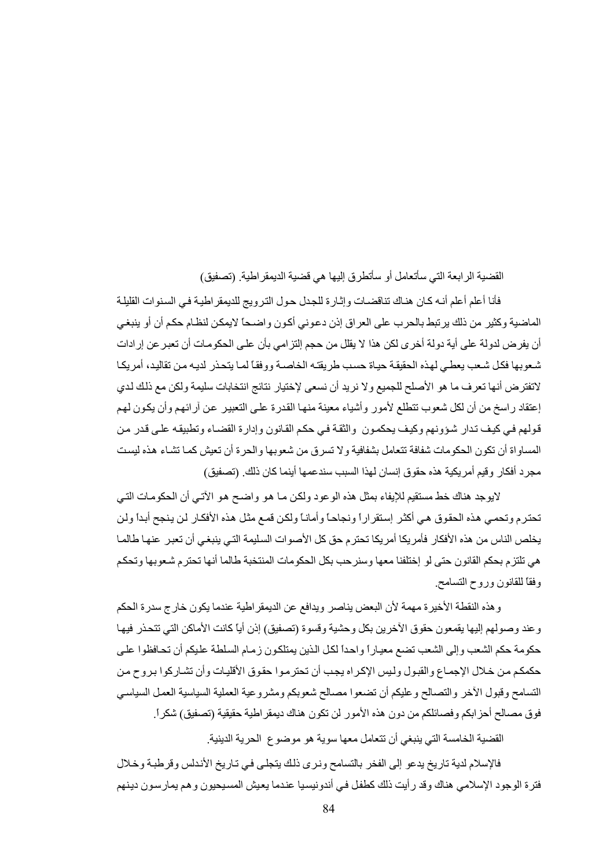القضية الرابعة التي سأتعامل أو سأتطرق إليها هي قضية الديمقراطية. (تصفيق)

فأنا أعلم أعلم أنـه كـان هنـاك تناقضـات وإثـارة للجدل حول الترويج للديمقر اطيـة فـي السنوات القليلـة الماضية وكثير من ذلك يرتبط بالحرب على العراق إذن دعوني أكون واضحاً لايمكن لنظام حكم أن أو ينبغي أن يفرض لدولة على أية دولة أخرى لكن هذا لا يقلل من حجم إلتزامي بأن على الحكومات أن تعبر عن إرادات شعوبها فكل شعب يعطي لهذه الحقيقة حياة حسب طريقته الخاصة ووفقاً لما يتحذر لديه من تقاليد، أمريكا لاتفترض أنها تعرف ما هو الأصلح للجميع ولا نريد أن نسعى لإختيار نتائج انتخابات سليمة ولكن مع ذلك لدي إعتقاد راسخ من أن لكل شعوب تتطلع لأمور وأشياء معينة منها القدرة على التعبير عن آرائهم وأن يكون لهم قولهم في كيف تدار شؤونهم وكيف يحكمون والثقة في حكم القانون وإدارة القضاء وتطبيقه على قدر من المساواة أن تكون الحكومات شفافة تتعامل بشفافية ولا تسرق من شعوبها والحرة أن تعيش كما تشاء هذه ليست مجر د أفكار ، فيم أمر يكية هذه حقوق إنسان لهذا السبب سندعمها أينما كان ذلك. (تصفيق)

لايوجد هناك خط مستقيم للإيفاء بمثل هذه الوعود ولكن مـا هو واضـح هو الآتـي أن الحكومـات التـي تحترم وتحمي هذه الحقوق هي أكثر إستقراراً ونجاحاً وأمانـاً ولكن قمع مثل هذه الأفكار لن ينجح أبداً ولن يخلص الناس من هذه الأفكار فأمريكا أمريكا تحترم حق كل الأصوات السليمة التي ينبغي أن تعبر عنها طالما هي تلتزم بحكم القانون حتى لو إختلفنا معها وسنرحب بكل الحكومات المنتخبة طالما أنها تحترم شѧعوبها وتحكѧم وفقاً للقانون وروح التسامح.

وهذه النقطة الأخيرة مهمة لأن البعض يناصر ويدافع عن الديمقراطية عندما يكون خارج سدرة الحكم وعند وصولهم إليها يقمعون حقوق الآخرين بكل وحشية وقسوة (تصفيق) إذن أياً كانت الأماكن التي تتحذر فيها حكومة حكم الشعب وإلى الشعب تضع معياراً واحداً لكل الذين يمتلكون زمام السلطة عليكم أن تحافظوا على حكمكم من خلال الإجماع والقبول وليس الإكراه يجب أن تحترموا حقوق الأقليات وأن تشاركوا بروح من التسامح وقبول الآخر والتصالح وعليكم أن تضعوا مصالح شعوبكم ومشروعية العملية السياسية العمل السياسي فوق مصالح أحزابكم وفصائلكم من دون هذه الأمور لن تكون هناك ديمقراطية حقيقية (تصفيق) شكرا.ً

القضية الخامسة التي ينبغي أن تتعامل معها سوية هو موضوع الحرية الدينية.

فالإسلام لدية تاريخ يدعو إلى الفخر بالتسامح ونرى ذلك يتجلى في تاريخ الأندلس وقرطبة وخلال فترة الوجود الإسلامي هناك وقد رأيت ذلك كطفل في أندونيسيا عندما يعيش المسيحيون وهم يمارسون دينهم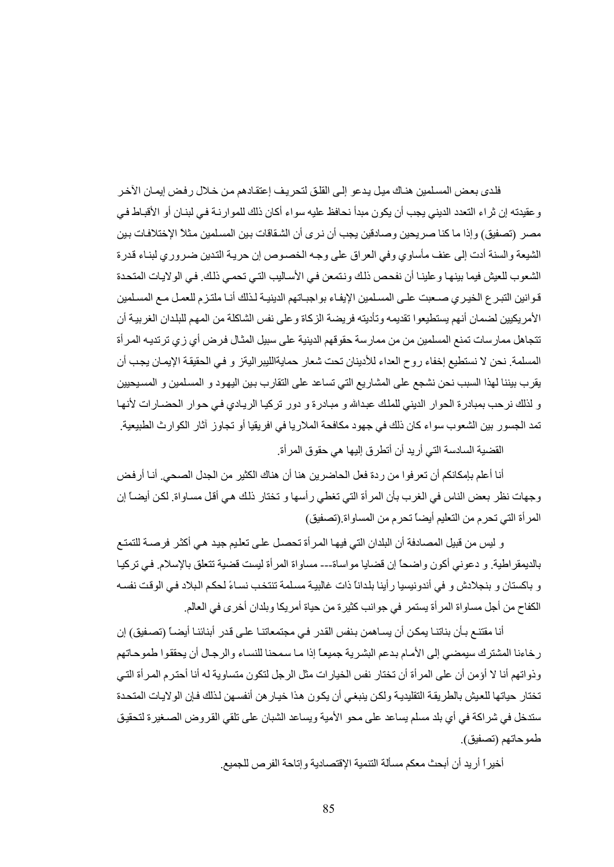فلدى بعض المسلمين هنـاك ميل يدعو إلـى القلق لتحريف إعتقـادهم مـن خـلال رفض إيمـان الآخر وعقيدته إن ثراء التعدد الديني يجب أن يكون مبدأ نحافظ عليه سواء أكان ذلك للموارنـة فـي لبنـان أو الأقبـاط فـي مصر (تصفيق) وإذا ما كنا صريحين وصادقين يجب أن نرى أن الشقاقات بين المسلمين مثلاً الإختلافات بين الشيعة والسنة أدت إلى عنف مأساوي وفي العراق على وجه الخصوص إن حريبة التدين ضروري لبنـاء قدرة الشعوب للعيش فيما بينها وعلينـا أن نفحص ذلك ونتمعن في الأساليب التي تحمي ذلك. في الولايات المتحدة قوانين التبرع الخيري صعبت على المسلمين الإيفاء بواجباتهم الدينية لذلك أنـا ملتزم للعمـل مـع المسلمين الأمريكيين لضمان أنهم يستطيعوا تقديمه وتأديته فريضة الزكاة وعلى نفس الشاكلة من المهم للبلدان الغربيـة أن تتجاهل ممارسات تمنع المسلمين من من ممارسة حقوقهم الدينية على سبيل المثال فرض أي زي ترتديـه المرأة المسلمة. نحن لا نستطيع إخفاء روح العداء للأدينان تحت شعار حمايةالليبراليةز و في الحقيقة الإيمـان يجب أن يقرب بيننا لهذا السبب نحن نشجع على المشاريع التي تساعد على التقارب بين اليهود و المسلمين و المسيحيين و لذلك نرحب بمبادرة الحوار الديني للملك عبدالله و مبادرة و دور تركيا الريادي في حوار الحضـارات لأنها تمد الجسور بين الشعوب سواء كان ذلك في جهود مكافحة الملار يا في افريقيا أو تجاوز آثار الكوار ث الطبيعية ٍ

القضية السادسة التي أريد أن أتطرق إليها هي حقوق المرأة.

أنا أعلم بإمكانكم أن تعرفوا من ردة فعل الحاضرين هنا أن هناك الكثير من الجدل الصحي. أنـا أرفض وجهات نظر بعض الناس في الغرب بأن المرأة التي تغطي رأسها و تختار ذلك هي أقل مساواة. لكن أيضـاً إن المرأة التي تحرم من التعليم أيضاً تحرم من المساواة.(تصفيق)

و ليس من قبيل المصادفة أن البلدان التي فيهـا المر أة تحصـل علـي تعليم جيد هـي أكثـر فرصـة للتمتـع بالديمقراطية. و دعوني أكون واضحاً إن قضايا مواساة--- مساواة المرأة ليست قضية تتعلق بالإسلام. في تركيا و باكستان و بنجلادش و في أندونيسيا ر أينا بلداناً ذات غالبية مسلمة تنتخب نساءً لحكم البلاد في الوقت نفسه الكفاح من أجل مساواة المرأة يستمر في جوانب آثيرة من حياة أمريكا وبلدان أخرى في العالم.

أنا مقتنـع بـأن بناتنـا يمكن أن يسـاهمن بـنفس القدر فـي مجتمعاتنـا علـي قدر أبنائنـا أيضـاً (تصـفيق) إن رخاءنا المشترك سيمضي إلى الأمـام بدعم البشرية جميعـًا إذا مـا سمحنا للنسـاء والرجال أن يحققوا طموحاتهم وذواتهم أنا لا أؤمن أن على المرأة أن تختار نفس الخيارات مثل الرجل لتكون متساوية له أنا أحترم المرأة التي تختار حياتها للعيش بالطريقة التقليدية ولكن ينبغي أن يكون هذا خيار هن أنفسهن لذلك فإن الولايات المتحدة ستدخل في شر اكة في أي بلد مسلم يساعد على محو الأمية ويساعد الشبان على تلقي القر وض الصـغير ة لتحقيق طموحاتهم (تصفيق).

أخيراً أريد أن أبحث معكم مسألة التنمية الإقتصادية وإتاحة الفرص للجميع.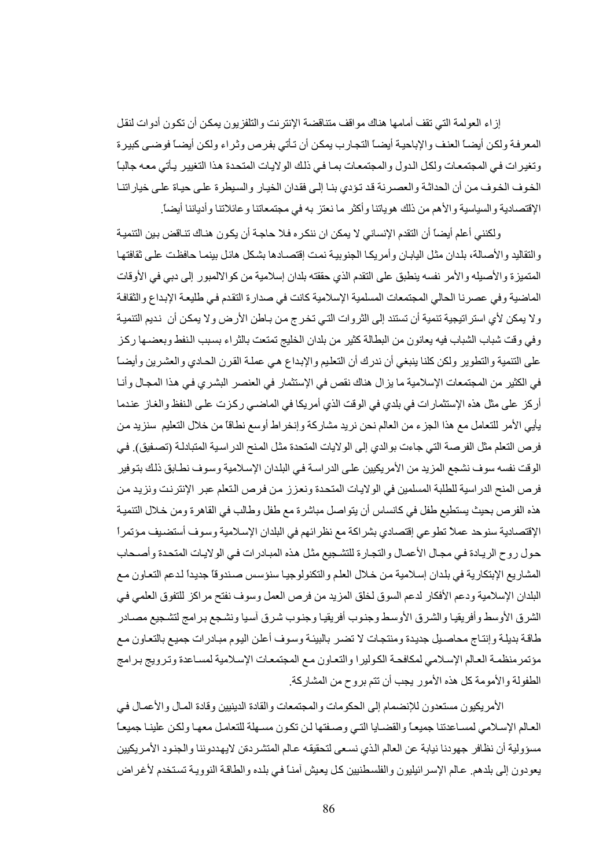إزاء العولمة التي تقف أمامها هناك مواقف متناقضة الإنترنت والتلفزيون يمكن أن تكون أدوات لنقل المعرفة ولكن أيضـاً العنف والإباحيـة أيضـاً التجارب يمكن أن تـأتي بفرص وثراء ولكن أيضـاً فوضـي كبيرة وتغيرات في المجتمعات ولكل الدول والمجتمعات بما في ذلك الولايات المتحدة هذا التغيير يأتي معه جالباً الخوف الخوف من أن الحداثة والعصرنة قد تؤدي بنا إلى فقدان الخيار والسيطرة على حياة على خياراتنا الإقتصادية والسياسية والأهم من ذلك هوياتنا وأكثر ما نعتز به في مجتمعاتنا و عائلاتنا و أدياننا أيضاً.

ولكنني أعلم أيضاً أن التقدم الإنساني لا يمكن ان ننكره فلا حاجـة أن يكون هنـاك تنـاقض بـين التنميـة والتقاليد والأصالة، بلدان مثل اليابان وأمريكا الجنوبية نمت إقتصادها بشكل هائل بينما حافظت على ثقافتها المتميزة والأصيله والأمر نفسه ينطبق على التقدم الذي حققته بلدان إسلامية من آوالالمبور إلى دبي في الأوقات الماضية وفي عصرنا الحالي المجتمعات المسلمية الإسلامية كانت في صدارة التقدم في طليعة الإبداع والثقافة ولا يمكن لأي استراتيجية تنمية أن تستند إلى الثروات التي تخرج من بـاطن الأرض ولا يمكن أن نديم التنميـة وفي وقت شباب الشباب فيه يعانون من البطالة كثير من بلدان الخليج تمتعت بالثراء بسبب النفط وبعضـها ركز على التنمية والتطوير ولكن كلنا ينبغي أن ندرك أن التعليم والإبداع هي عملـة القرن الحـادي والعشرين وأيضـاً في الكثير من المجتمعات الإسلامية ما يزال هناك نقص في الإستثمار في العنصر البشري في هذا المجال وأنـا أركز على مثل هذه الإستثمارات في بلدي في الوقت الذي أمريكا في الماضـي ركزت علـي النفظ والغاز عندما يأيي الأمر للتعامل مع هذا الجزء من العالم نحن نريد مشاركة وإنخراط أوسع نطاقاً من خلال التعليم سنزيد من فرص التعلم مثل الفرصة التي جاءت بوالدي إلى الولايات المتحدة مثل المنح الدراسية المتبادلـة (تصـفيق). في الوقت نفسه سوف نشجع المزيد من الأمريكيين على الدراسة في البلدان الإسلامية وسوف نطابق ذلك بتوفير فرص المنح الدراسية للطلبة المسلمين في الولايات المتحدة ونعزز من فرص النعلم عبر الإنترنت ونزيد من هذه الفرص بحيث يستطيع طفل في كانساس أن يتواصل مباشرة مع طفل وطالب في القاهرة ومن خلال التنمية الإقتصادية سنوحد عملاً تطوعي إقتصادي بشراكة مع نظرائهم في البلدان الإسلامية وسوف أستضيف مؤتمراً حول روح الريادة في مجال الأعمال والتجارة للتشجيع مثل هذه المبادرات في الولايات المتحدة وأصحاب المشاريع الإبتكارية في بلدان إسلامية من خلال العلم والتكنولوجيا سنؤسس صندوقاً جديداً لدعم التعاون مع البلدان الإسلامية ودعم الأفكار لدعم السوق لخلق المزيد من فرص العمل وسوف نفتح مراكز للتفوق العلمي في الشرق الأوسط وأفريقيا والشرق الأوسط وجنوب أفريقيا وجنوب شرق آسيا ونشجع برامج لتشجيع مصـادر طاقة بديلة وإنتاج محاصيل جديدة ومنتجات لا تضر بالبيئة وسوف أعلن اليوم مبادرات جميع بالتعاون مع مؤتمر منظمة العالم الإسلامي لمكافحة الكوليرا والتعاون مع المجتمعات الإسلامية لمساعدة وترويج برامج الطفولة والأمومة كل هذه الأمور يجب أن تتم بروح من المشاركة.

الأمريكيون مستعدون للإنضمام إلى الحكومات والمجتمعات والقادة الدينيين وقادة المال والأعمال في العالم الإسلامي لمساعدتنا جميعاً والقضايا التي وصفتها لن تكون مسهلة للتعامل معها ولكن علينا جميعاً مسؤولية أن نظافر جهودنا نيابة عن العالم الذي نسعى لتحقيقه عالم المتشر دةن لايهددوننا والجنود الأمر يكيين يعودون إلى بلدهم. عالم الإسرائيليون والفلسطنيين كل يعيش آمنـاً في بلده والطاقـة النوويـة تستخدم لأغراض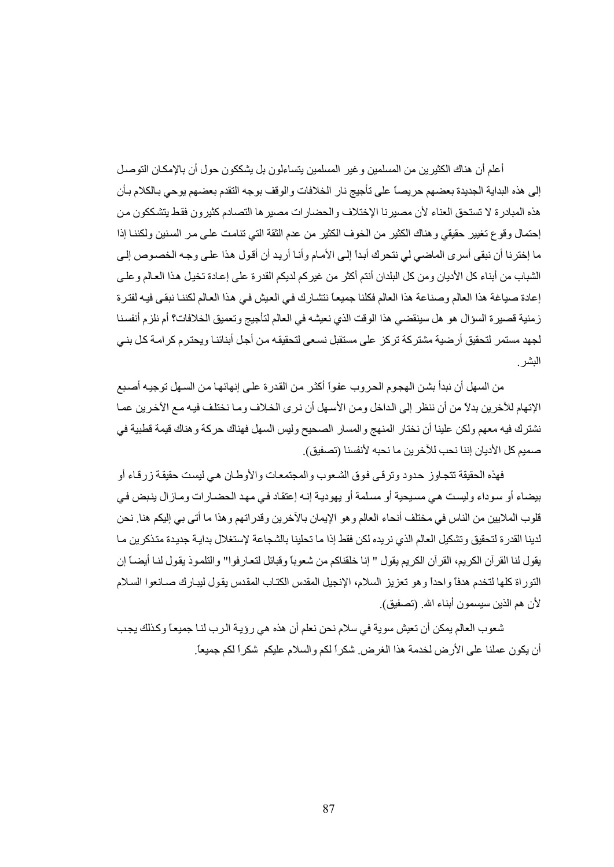أعلم أن هناك الكثيرين من المسلمين وغير المسلمين يتساءلون بل يشككون حول أن بالإمكان التوصل إلى هذه البداية الجديدة بعضهم حريصاً على تأجيج نار الخلافات والوقف بوجه التقدم بعضهم يوحي بـالكلام بـأن هذه المبادرة لا تستحق العناء لأن مصيرنا الإختلاف والحضارات مصيرها التصادم كثيرون فقط يتشككون من إحتمال وقوع تغيير حقيقي وهناك الكثير من الخوف الكثير من عدم الثقة التي تنامت على مر السنين ولكننـا إذا ما إخترنا أن نبقى أسرى الماضي لي نتحرك أبداً إلى الأمام وأنـا أريد أن أقول هذا على وجه الخصوص إلى الشباب من أبناء كل الأديان ومن كل البلدان أنتم أكثر من غيركم لديكم القدرة على إعـادة تخيل هذا العـالم وعلـى إعادة صياغة هذا العالم وصناعة هذا العالم فكلنا جميعاً نتشارك في العيش في هذا العالم لكننـا نبقي فيه لفترة زمنية قصيرة السؤال هو هل سينقضي هذا الوقت الذي نعيشه في العالم لتأجيج وتعميق الخلافات؟ أم نلزم أنفسنا لجهد مستمر لتحقيق أرضية مشتركة تركز على مستقبل نسعى لتحقيقه من أجل أبنائنـا ويحترم كرامـة كل بنـي البشر.

من السهل أن نبدأ بشن الهجوم الحروب عفواً أكثر من القدرة على إنهائها من السهل توجيه أصبع الإتهام للآخرين بدلاً من أن ننظر إلى الداخل ومن الأسهل أن نرى الخلاف وما نختلف فيه مع الآخرين عمـا نشترك فيه معهم ولكن علينا أن نختار المنهج والمسار الصحيح وليس السهل فهناك حركة وهناك قيمة قطبية في صميم كل الأديان إننا نحب للآخرين ما نحبه لأنفسنا (تصفيق).

فهذه الحقيقة تتجاوز حدود وترقى فوق الشعوب والمجتمعات والأوطان هي ليست حقيقة زرقاء أو بيضاء أو سوداء وليست هي مسيحية أو مسلمة أو يهودية إنـه إعتقاد في مهد الحضـارات ومـازال ينبض في قلوب الملايين من الناس في مختلف أنحاء العالم وهو الإيمان بالآخرين وقدراتهم وهذا ما أتى بي إليكم هنا . نحن لدينا القدرة لتحقيق وتشكيل العالم الذي نريده لكن فقط إذا ما تحلينا بالشجاعة لإستغلال بدايـة جديدة متذكرين مـا يقول لنا القرآن الكريم، القرآن الكريم يقول " إنا خلقناكم من شعوباً وقبائل لتعار فوا" والتلموذ يقول لنـا أيضـاً إن التوراة كلها لتخدم هدفاً واحداً وهو تعزيز السلام، الإنجيل المقدس الكتـاب المقدس يقول ليبـارك صـانعوا السـلام لأن هم الذين سيسمون أبناء االله. (تصفيق).

شعوب العالم يمكن أن تعيش سوية في سلام نحن نعلم أن هذه هي رؤية الرب لنا جميعاً وكذلك يجب أن يكون عملنا على الأرض لخدمة هذا الغرض. شكراً لكم والسلام عليكم شكراً لكم جميعاً .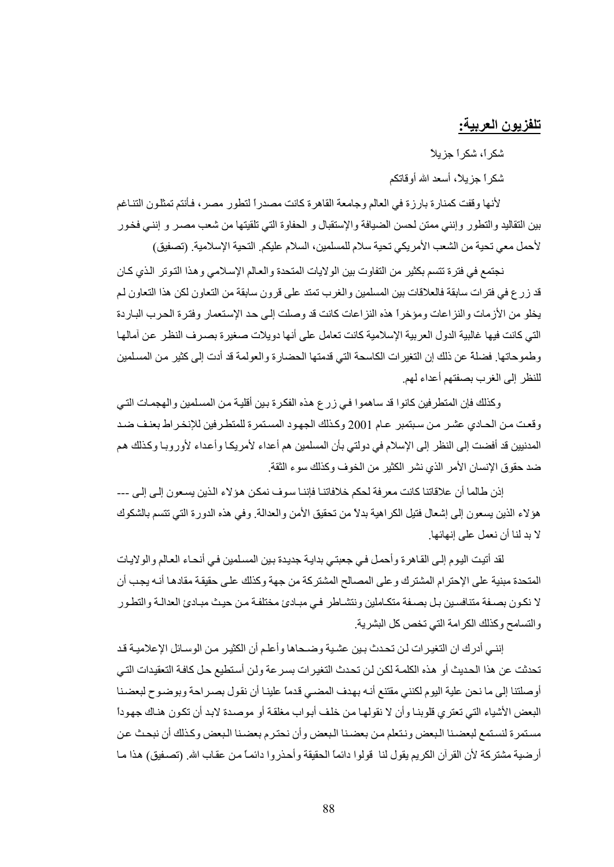## **تلفزيون العربية:**

شكرا،ً شكراً جزيلاً

شكراً جزيلا،ً أسعد االله أوقاتكم

لأنها وقفت كمنارة بارزة في العالم وجامعة القاهرة كانت مصدراً لتطور مصر، فأنتم تمثلون التنـاغم بين التقاليد والتطور وإنني ممتن لحسن الضيافة والإستقبال و الحفاوة التي تلقيتها من شعب مصـر و إننـي فخـور لأحمل معي تحية من الشعب الأمريكي تحية سلام للمسلمين، السلام عليكم. التحية الإسلامية. (تصفيق)

نجتمع في فترة تتسم بكثير من التفاوت بين الولايات المتحدة والعالم الإسلامي وهذا التوتر الذي كان قد زرع في فترات سابقة فالعلاقات بين المسلمين والغرب تمتد على قرون سابقة من التعاون لكن هذا التعاون لم يخلو من الأزمات والنزاعات ومؤخراً هذه النزاعات كانت قد وصلت إلى حد الإستعمار وفترة الحرب الباردة التي كانت فيها غالبية الدول العربية الإسلامية كانت تعامل على أنها دويلات صغيرة بصرف النظر عن آمالها وطموحاتها. فضلةً عن ذلك إن التغير ات الكاسحة التي قدمتها الحضارة والعولمة قد أدت إلى كثير من المسلمين للنظر إلى الغرب بصفتهم أعداء لهم.

وكذلك فإن المتطرفين كانوا قد ساهموا في زرع هذه الفكرة بين أقلية من المسلمين والهجمات التي وقعت من الحادي عشر من سبتمبر عام 2001 وكذلك الجهود المستمرة للمتطرفين للإنخراط بعنف ضد المدنيين قد أفضت إلى النظر إلى الإسلام في دولتي بأن المسلمين هم أعداء لأمريكا وأعداء لأوروبـا وكذلك هم ضد حقوق الإنسان الأمر الذي نشر الكثير من الخوف وآذلك سوء الثقة.

إذن طالما أن علاقاتنا كانت معر فة لحكم خلافاتنـا فإننـا سوف نمكن هوً لاء الذين يسعون إلـي إلـي ---هؤلاء الذين يسعون إلى إشعال فتيل الكراهية بدلاً من تحقيق الأمن والعدالة. وفي هذه الدورة التي تتسم بالشكوك لا بد لنا أن نعمل على إنهائها.

لقد أتيت اليوم إلى القاهرة وأحمل في جعبتي بدايـة جديدة بين المسلمين في أنحـاء العالم والولايات المتحدة مبنية على الإحترام المشترك وعلى المصالح المشتركة من جهة وكذلك على حقيقة مقادها أنـه يجب أن لا نكون بصمفة متنافسين بل بصمفة متكاملين ونتشاطر في مبادئ مختلفة من حيث مبادئ العدالـة والتطـور والتسامح وكذلك الكرامة التي تخص كل البشرية.

إننـي أدرك ان التغير ات لن تحدث بين عشية وضحاها وأعلم أن الكثير من الوسائل الإعلاميـة قد تحدثت عن هذا الحديث أو هذه الكلمة لكن لن تحدث التغير ات بسر عة ولن أستطيع حل كافة التعقيدات التي أوصلتنا إلى ما نحن علية اليوم لكنني مقتنع أنـه بهدف المضـي قدماً علينـا أن نقول بصـراحة وبوضـوح لبعضنا البعض الأشياء التي تعتري قلوبنـا وأن لا نقولها من خلف أبواب مغلقة أو موصدة لابد أن تكون هنـاك جهوداً مستمرة لنستمع لبعضنا البعض ونتعلم من بعضنا البعض وأن نحترم بعضنا البعض وكذلك أن نبحث عن أرضية مشتركة لأن القرآن الكريم يقول لنا قولوا دائماً الحقيقة وأحذروا دائمـاً من عقـاب الله. (تصـفيق) هذا مـا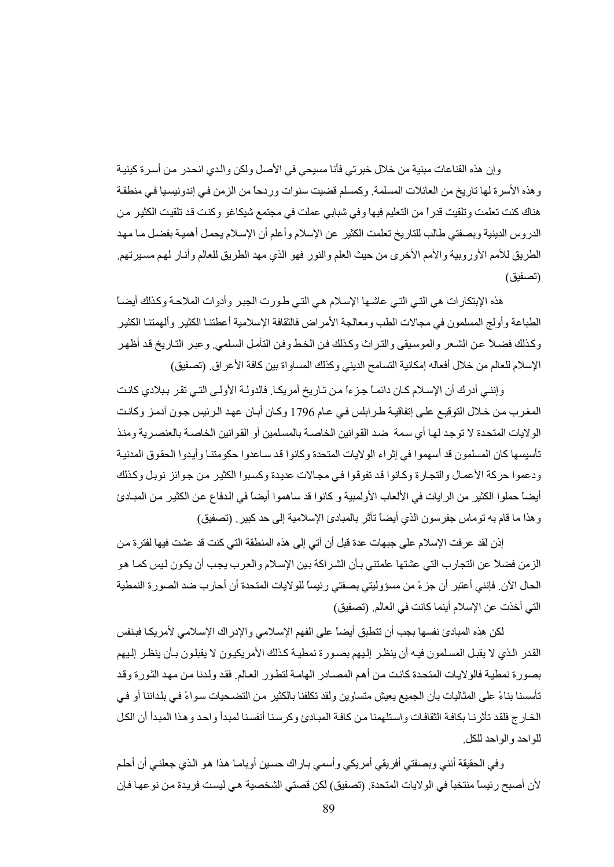وإن هذه القناعات مبنية من خلال خبرتي فأنا مسيحي في الأصل ولكن والدي انحدر من أسرة كينية وهذه الأسرة لها تاريخ من العائلات المسلمة. وكمسلم قضيت سنوات وردحاً من الزمن في إندونيسيا في منطقة هناك كنت تعلمت وتلقيت قدراً من التعليم فيها وفي شبابي عملت في مجتمع شيكاغو وكنت قد تلقيت الكثير من الدروس الدينية وبصفتي طالب للتاريخ تعلمت الكثير عن الإسلام وأعلم أن الإسلام يحمل أهمية بفضل مـا مهد الطريق للأمم الأوروبية والأمم الأخرى من حيث العلم والنور فهو الذي مهد الطريق للعالم وأنـار لهم مسير تهم. (تصفيق)

هذه الإبتكار ات هي التي التي عاشـها الإسلام هي التي طـور ت الجبر وأدوات الملاحـة وكذلك أيضـاً الطباعة وأولج المسلمون في مجالات الطب ومعالجة الأمراض فالثقافة الإسلامية أعطتنـا الكثير وألهمتنـا الكثير وكذلك فضلاً عن الشعر والموسيقى والتراث وكذلك فن الخط وفن التأمل السلمي. وعبر التاريخ قد أظهر الإسلام للعالم من خلال أفعاله إمكانية التسامح الديني وكذلك المساواة بين كافة الأعراق. (تصفيق)

وإنني أدرك أن الإسلام كـان دائمـاً جزءاً من تـاريخ أمريكـا. فالدولـة الأولـى التـى تقر ببلادي كانـت المغر ب من خـلال التوقيـع علـى إتفاقيـة طر ابلس فـي عـام 1796 وكـان أبـان عهد الرئيس جـون آدمـز وكانـت الولايات المتحدة لا توجد لها أي سمة ضد القوانين الخاصـة بالمسلمين أو القوانين الخاصـة بالعنصـرية ومنذ تأسيسها كان المسلمون قد أسهموا في إثراء الولايات المتحدة وكانوا قد سـاعدوا حكومتنـا وأيـدوا الحقوق المدنيـة ودعموا حركة الأعمال والتجارة وكانوا قد تفوقوا في مجالات عديدة وكسبوا الكثير من جوائز نوبل وكذلك أيضاً حملوا الكثير من الرايات في الألعاب الأولمبية و كانوا قد ساهموا أيضاً في الدفاع عن الكثير من المبادئ وهذا ما قام به توماس جفرسون الذي أيضاً تأثر بالمبادئ الإسلامية إلى حد كبير . (تصفيق)

إذن لقد عرفت الإسلام على جبهات عدة قبل أن آتي إلى هذه المنطقة التي كنت قد عشت فيها لفترة من الزمن فضلاً عن التجارب التي عشتها علمتني بـأن الشراكة بين الإسلام والعرب يجب أن يكون ليس كمـا هو الحال الآن. فإنني أعتبر أن جزءً من مسؤوليتي بصفتي رئيساً للولايات المتحدة أن أحارب ضد الصورة النمطية التي أخذت عن الإسلام أينما كانت في العالم. (تصفيق)

لكن هذه المبادئ نفسها بجب أن تتطبق أيضاً على الفهم الإسلامي والإدراك الإسلامي لأمريكا فبنفس القدر الذي لا يقبل المسلمون فيه أن ينظر إليهم بصورة نمطيـة كذلك الأمريكيون لا يقبلون بـأن ينظر إليهم بصورة نمطية فالولايات المتحدة كانت من أهم المصـادر الهامـة لتطور العالم. فقد ولدنا من مهد الثورة وقد تأسسنا بناءً على المثاليات بأن الجميع يعيش متساوين ولقد تكلفنا بالكثير من التضحيات سواءً في بلداننا أو في الخـار ج فلقد تأثر نـا بكافـة الثقافـات واستلهمنا مـن كافـة المبـادئ و كر سنا أنفسنا لمبدأ و احـد و هذا المبدأ أن الكل للواحد والواحد للكل.

وفي الحقيقة أنني وبصفتي أفريقي أمريكي وأسمي بـاراك حسين أوبامـا هذا هو الذي جعلنـي أن أحلم لأن أصبح رئيساً منتخباً في الولايات المتحدة. (تصفيق) لكن قصتي الشخصية هي ليست فريدة من نوعها فإن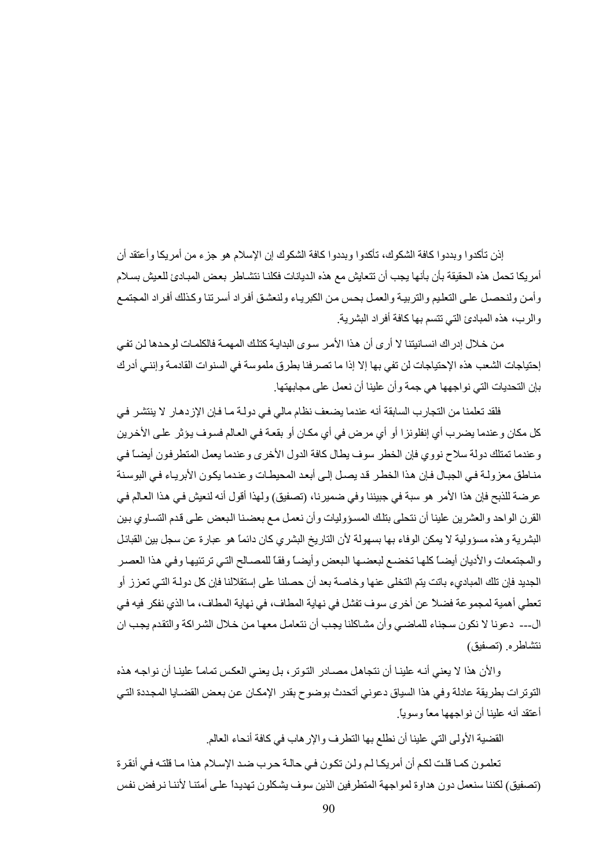إذن تأكدوا وبددوا كافة الشكوك، تأكدوا وبددوا كافة الشكوك إن الإسلام هو جزء من أمريكا وأعتقد أن أمر بكا تحمل هذه الحقيقة بأن بأنها يجب أن تتعايش مع هذه الديانات فكلنـا نتشـاطر بعض المبـادئ للعبش بسـلام وأمن ولنحصـل علـى التعليم والتربيـة والعمل بحس من الكبريـاء ولنعشق أفراد أسرتنا وكذلك أفراد المجتمع والرب، هذه المبادئ التي تتسم بها كافة أفراد البشرية.

من خلال إدراك انسانيتنا لا أرى أن هذا الأمر سوى البدايـة كتلك المهمـة فالكلمـات لوحدها لـن تفـي إحتياجات الشعب هذه الإحتياجات لن تفي بها إلا إذا ما تصرفنا بطرق ملموسة في السنوات القادمـة وإننـي أدرك بإن التحديات التي نواجهها هي جمة وأن علينا أن نعمل على مجابهتها.

فلقد تعلمنا من التجار ب السابقة أنه عندما يضعف نظام مالي في دولـة مـا فـإن الإز دهـار لا ينتشر ٍ في كل مكان وعندما يضرب أي إنفلونزا أو أي مرض في أي مكان أو بقعة في العالم فسوف يؤثر على الأخرين وعندما تمتلك دولة سلاح نووي فإن الخطر سوف يطال كافة الدول الأخرى وعندما يعمل المتطرفون أيضـاً في مناطق معزولـة فـي الجبـال فـإن هذا الخطـر قد يصـل إلـي أبعد المحيطـات وعندما يكون الأبريـاء فـي البوسنة عرضة للذبح فإن هذا الأمر هو سبة في جبيننا وفي ضميرنا، (تصفيق) ولهذا أقول أنه لنعيش في هذا العالم في القرن الواحد والعشرين علينا أن نتحلى بتلك المسؤوليات وأن نعمل مـع بعضنا البعض على قدم التساوي بين البشرية و هذه مسؤولية لا يمكن الوفاء بها بسهولة لأن التاريخ البشر ي كان دائماً هو عبارة عن سجل بين القبائل والمجتمعات والأديان أيضاً كلها تخضع لبعضـها البعض وأيضـاً وفقاً للمصـالح التي تر تئيها وفي هذا العصـر الجديد فإن تلك المباديء باتت يتم التخلي عنها وخاصة بعد أن حصلنا على إستقلالنا فإن كل دولـة التـي تعزز أو تعطي أهمية لمجموعة فضلاً عن أخرى سوف تفشل في نهاية المطاف، في نهاية المطاف، ما الذي نفكر فيه في ال--- دعونا لا نكون سجناء للماضي و أن مشاكلنا يجب أن نتعامل معها من خلال الشر اكة والتقدم يجب ان نتشاطره. (تصفيق)

والأن هذا لا يعني أنـه علينـا أن نتجاهل مصـادر التوتر ، بـل يعنـي العكس تمامـًا علينـا أن نواجـه هذه التوترات بطريقة عادلة وفي هذا السياق دعوني أتحدث بوضوح بقدر الإمكان عن بعض القضايا المجددة التي أعتقد أنه علينا أن نواجهها معاً وسويا.ً

القضية الأولى التي علينا أن نطلع بها التطرف والإرهاب في كافة أنحاء العالم.

تعلمون كما قلت لكم أن أمر بكا لمء ولن تكون في حالـة حرب ضد الإسلام هذا مـا قلتـه فـي أنقر ة (تصفيق) لكننا سنعمل دون هداوة لمواجهة المتطرفين الذين سوف يشكلون تهديداً على أمتنـا لأننـا نـرفض نفس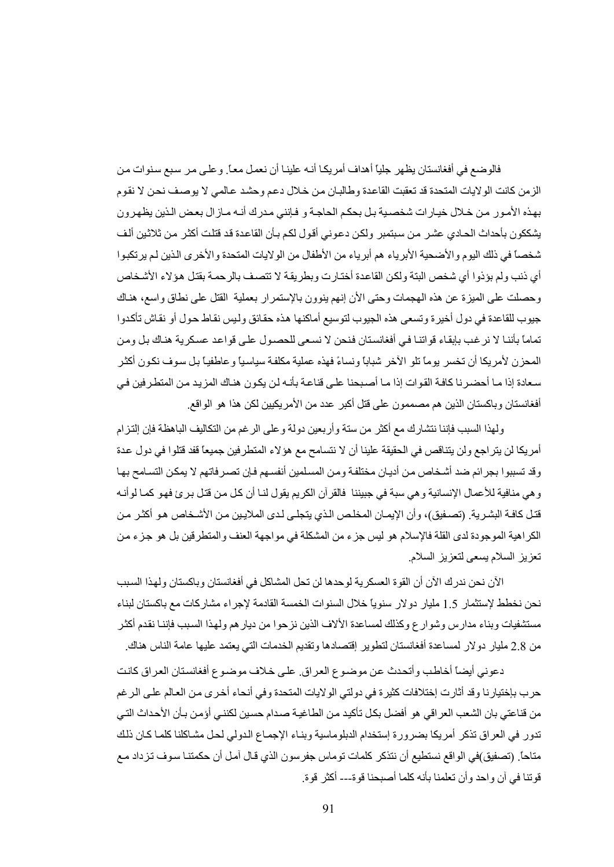فالوضع في أفغانستان يظهر جلياً أهداف أمريكا أنـه علينـا أن نعمل معـًا. وعلـى مر سبع سنوات من الزمن كانت الولايات المتحدة قد تعقبت القاعدة وطالبان من خلال دعم وحشد عالمي لا يوصف نحن لا نقوم بهذه الأمور من خلال خيارات شخصية بل بحكم الحاجة و فإنني مدرك أنـه مازال بعض الذين يظهرون يشككون بأحداث الحادي عشر من سبتمبر ولكن دعوني أقول لكم بـأن القاعدة قد قتلت أكثر من ثلاثين ألف شخصاً في ذلك اليوم والأضحية الأبرياء هم أبرياء من الأطفال من الولايات المتحدة والأخرى الذين لم يرتكبوا أي ذنب ولم بؤذوا أي شخص البتة ولكن القاعدة أختارت وبطريقة لا تتصف بالرحمة بقتل هؤلاء الأشخاص وحصلت على الميزة عن هذه الهجمات وحتى الأن إنهم ينوون بالإستمرار بعملية القتل على نطاق واسع، هناك جيوب للقاعدة في دول أخيرة وتسعى هذه الجيوب لتوسيع أماكنها هذه حقائق وليس نقاط حول أو نقاش تأكدوا تماماً بأننا لا نرغب بإبقاء قواتنا في أفغانستان فنحن لا نسعى للحصول على قواعد عسكرية هناك بل ومن المحزن لأمريكا أن تخسر يوماً تلو الآخر شباباً ونساءً فهذه عملية مكلفة سياسياً و عاطفياً بـل سوف نكون أكثر سعادة إذا ما أحضر نا كافة القوات إذا ما أصبحنا على قناعة بأنـه لن يكون هناك المزيد من المتطرفين في أفغانستان وباكستان الذين هم مصممون على قتل أكبر عدد من الأمريكيين لكن هذا هو الواقع.

ولهذا السبب فإننا نتشارك مع أكثر من ستة وأربعين دولة وعلى الرغم من التكاليف الباهظة فإن التزام أمريكا لن يتراجع ولن يتناقص في الحقيقة علينا أن لا نتسامح مع هؤلاء المتطرفين جميعاً قفد قتلوا في دول عѧدة وقد تسببوا بجرائم ضد أشخاص من أديان مختلفة ومن المسلمين أنفسهم فإن تصر فاتهم لا يمكن التسامح بها وهي منافية للأعمال الإنسانية وهي سبة في جبيننا ۖ فالقرآن الكريم يقول لنـا أن كـل مـن قتـل بـرئ فهو كمـا لو أنـه قتل كافة البشرية. (تصفيق)، وأن الإيمـان المخلص الذي يتجلـى لدى الملايـين من الأشـخاص هـو أكثـر من الكراهية الموجودة لدى القلة فالإسلام هو ليس جزء من المشكلة في مواجهة العنف والمتطرقين بل هو جزء من تعزيز السلام يسعى لتعزيز السلام.

الآن نحن ندرك الآن أن القوة العسكرية لوحدها لن تحل المشاكل في أفغانستان وباكستان ولهذا السبب نحن نخطط لإستثمار 1.5 مليار دولار سنوياً خلال السنوات الخمسة القادمة لإجراء مشاركات مع باكستان لبناء مستشفيات و بناء مدار س و شو ار ع و كذلك لمساعدة الألاف الذين نز حوا من ديار هم و لهذا السبب فإننـا نقدم أكثر من 2.8 مليار دولار لمساعدة أفغانستان لتطوير إقتصادها وتقديم الخدمات التي يعتمد عليها عامة الناس هناك.

دعوني أيضاً أخاطب وأتحدث عن موضوع العراق. على خلاف موضوع أفغانستان العراق كانت حرب بإختيارنا وقد أثارت إختلافات كثيرة في دولتي الولايات المتحدة وفي أنحاء أخرى من العالم على الرغم من قناعتي بان الشعب العراقي هو أفضل بكل تأكيد من الطاغية صدام حسين لكنني أؤمن بـأن الأحداث التي تدور في العراق تذكر أمريكا بضرورة إستخدام الدبلوماسية وبنـاء الإجمـاع الدولي لحل مشـاكلنا كلمـا كـان ذلك متاحاً. (تصفيق)في الواقع نستطيع أن نتذكر كلمات توماس جفرسون الذي قال آمل أن حكمتنـا سـوف تـزداد مـع قوتنا في آن واحد و أن تعلمنا بأنه كلما أصبحنا قوة--- أكثر قوة.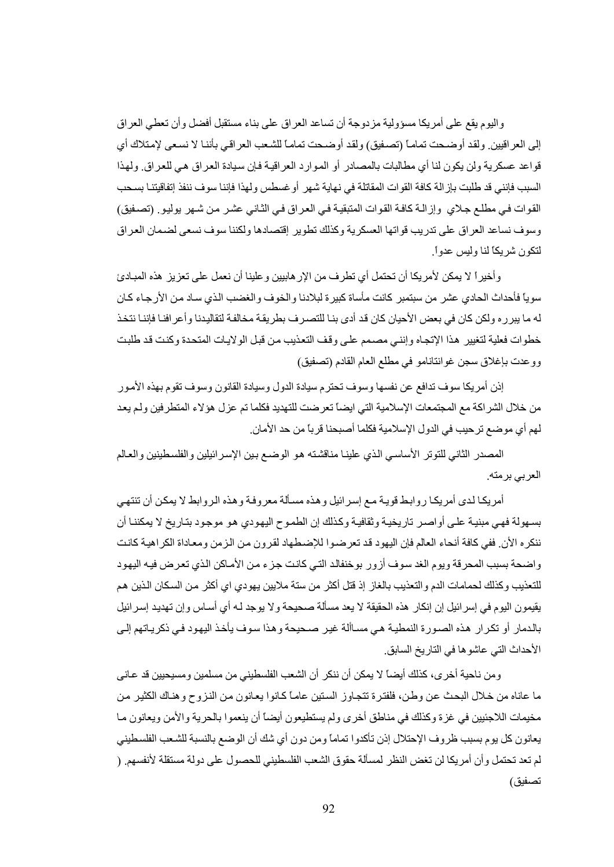واليوم يقع على أمريكا مسؤولية مزدوجة أن تساعد العراق على بناء مستقبل أفضل وأن تعطي العراق إلى العراقيين. ولقد أوضحت تمامـاً (تصفيق) ولقد أوضحت تمامـاً للشعب العراقـي بأننـا لا نسعى لإمتلاك أي قواعد عسكرية ولن يكون لنا أي مطالبات بالمصادر أو الموارد العراقيـة فإن سيادة العراق هي للعراق. ولهذا السبب فإنني قد طلبت بإز الة كافة القوات المقاتلة في نهاية شهر ٍ أو غسطس ولهذا فإننا سوف ننفذ إتفاقيتنـا بسـحب القوات في مطلـع جـلاي وإز الـة كافـة القوات المتبقيـة فـي العراق فـي الثـاني عشر من شـهر بوليو . (تصـفيق) وسوف نساعد العراق على تدريب قواتها العسكرية وكذلك تطوير إقتصادها ولكننا سوف نسعى لضمان العراق لتكون شريكاً لنا وليس عدوا.ً

وأخيراً لا يمكن لأمريكا أن تحتمل أي تطرف من الإرهابيين وعلينا أن نعمل على تعزيز هذه المبـادئ سوياً فأحداث الحادي عشر من سبتمبر كانت مأساة كبيرة لبلادنا والخوف والغضب الذي ساد من الأرجاء كان له ما يبرره ولكن كان في بعض الأحيان كان قد أدى بنـا للتصرف بطريقة مخالفة لتقاليدنا وأعرافنـا فإننـا نتخذ خطوات فعلية لتغيير هذا الإتجاه وإنني مصمم على وقف التعذيب من قبل الولايات المتحدة وكنت قد طلبت ووعدت بإغلاق سجن غوانتانامو في مطلع العام القادم (تصفيق)

إذن أمريكا سوف تدافع عن نفسها وسوف تحترم سيادة الدول وسيادة القانون وسوف تقوم بهذه الأمѧور من خلال الشراكة مع المجتمعات الإسلامية التي ايضاً تعرضت للتهديد فكلما تم عزل هؤلاء المتطرفين ولم يعد لهم أي موضع ترحيب في الدول الإسلامية فكلما أصبحنا قرباً من حد الأمان.

المصدر الثاني للتوتر الأساسي الذي علينـا مناقشته هو الوضـع بين الإسرائيلين والفلسطينين والعالم العربي برمته.

أمريكـا لدى أمريكـا روابـط قويـة مـع إسرائيل وهذه مسـألة معروفـة وهذه الروابط لا يمكن أن تنتهي بسهولة فهي مبنيـة علـي أواصـر تاريخيـة وثقافيـة وكذلك إن الطموح اليهودي هو موجود بتـاريخ لا يمكننـا أن ننكره الأن. ففي كافة أنحاء العالم فإن اليهود قد تعرضوا للإضطهاد لقرون من الزمن ومعاداة الكراهية كانت واضحة بسبب المحرقة ويوم الغد سوف أزور بوخنفالد التي كانت جزء من الأماكن الذي تعرض فيه اليهود للتعذيب وكذلك لحمامات الدم والتعذيب بالغاز إذ قتل أكثر من ستة ملايين يهودي اي أكثر من السكان الذين هم يقيمون اليوم في إسر ائيل إن إنكار هذه الحقيقة لا يعد مسألة صحيحة و لا يوجد لـه أي أسـاس وإن تهديد إسر ائيل بالدمار أو تكرار هذه الصورة النمطية هي مساألة غير صحيحة وهذا سوف يأخذ اليهود في ذكريـاتهم إلـي الأحداث التي عاشوها في التاريخ السابق.

ومن ناحية أخرى، كذلك أيضاً لا يمكن أن ننكر أن الشعب الفلسطيني من مسلمين ومسيحيين قد عـاني ما عاناه من خلال البحث عن وطن، فلفترة تتجاوز الستين عامـًا كـانوا يعانون من النـزوح وهنـاك الكثير من مخيمات اللاجئيين في غزة وكذلك في مناطق أخرى ولم يستطيعون أيضاً أن ينعموا بالحرية والأمن ويعانون مـا يعانون كل يوم بسبب ظروف الإحتلال إذن تأكدوا تماماً ومن دون أي شك أن الوضع بالنسبة للشعب الفلسطيني لم تعد تحتمل وأن أمريكا لن تغض النظر لمسألة حقوق الشعب الفلسطيني للحصول على دولة مستقلة لأنفسهم. ( تصفيق)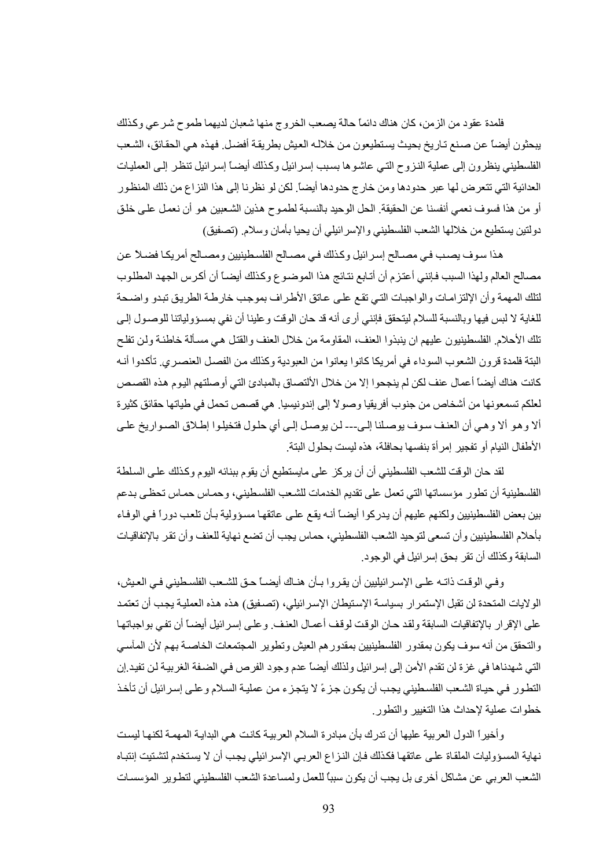فلمدة عقود من الزمن، كان هناك دائماً حالة يصعب الخروج منها شعبان لديهما طموح شرعي وكذلك يبحثون أيضاً عن صنع تـاريخ بحيث يستطيعون من خلالـه العيش بطريقة أفضـل. فهذه هي الحقائق، الشـعب الفلسطيني ينظرون إلى عملية النزوح التي عاشوها بسبب إسرائيل وكذلك أيضـاً إسرائيل تنظر إلـي العمليـات العدائية التي تتعرض لها عبر حدودها ومن خارج حدودها أيضاً. لكن لو نظرنا إلى هذا النزاع من ذلك المنظور أو من هذا فسوف نعمي أنفسنا عن الحقيقة. الحل الوحيد بالنسبة لطموح هذين الشعبين هو أن نعمل علي خلق دولتين يستطيع من خلالها الشعب الفلسطيني والإسرائيلي أن يحيا بأمان وسلام. (تصفيق)

هذا سوف يصب في مصـالح إسرائيل وكذلك في مصـالح الفلسطينيين ومصـالح أمريكـا فضـلاً عن مصالح العالم ولهذا السبب فإنني أعتزم أن أتـابع نتـائج هذا الموضـوع وكذلك أيضـاً أن أكرس الجهد المطلوب لتلك المهمة وأن الإلتزامات والواجبات التي تقع على عاتق الأطراف بموجب خارطة الطريق تبدو واضحة للغاية لا لبس فيها وبالنسبة للسلام ليتحقق فإنني أرى أنه قد حان الوقت وعلينا أن نفي بمسؤولياتنا للوصـول إلـي تلك الأحلام. الفلسطينيون عليهم ان ينبذوا العنف، المقاومة من خلال العنف والقتل هي مسألة خاطئة ولن تفلح البتة فلمدة قرون الشعوب السوداء في أمريكا كانوا يعانوا من العبودية وكذلك من الفصل العنصري. تأكدوا أنـه كانت هناك أيضاً أعمال عنف لكن لم ينجحوا إلا من خلال الألتصاق بالمبادئ التي أوصلتهم اليوم هذه القصص لعلكم تسمعونها من أشخاص من جنوب أفريقيا وصولاً إلى إندونيسيا. هي قصص تحمل في طياتها حقائق آثيرة ألا وهو ألا وهي أن العنف سوف يوصلنا إلى--- لن يوصل إلى أي حلول فتخيلوا إطلاق الصواريخ علمي الأطفال النيام أو تفجير إمرأة بنفسها بحافلة، هذه ليست بحلول البتة.

لقد حان الوقت للشعب الفلسطيني أن أن يركز على مايستطيع أن يقوم ببنائه اليوم وكذلك على السلطة الفلسطينية أن تطور مؤسساتها التي تعمل على تقديم الخدمات للشعب الفلسطيني، وحماس حمـاس تحظـى بدعم بين بعض الفلسطينيين ولكنهم عليهم أن يدركوا أيضـاً أنـه يقع على عاتقها مسؤولية بـأن تلعب دوراً فـي الوفـاء بأحلام الفلسطينيين وأن تسعى لتوحيد الشعب الفلسطيني، حماس يجب أن تضع نهاية للعنف وأن تقر بالإتفاقيات السابقة وكذلك أن تقر بحق إسرائيل في الوجود.

وفي الوقت ذاتـه علـي الإسـر ائيليين أن يقروا بـأن هنـاك أيضـاً حـق للشـعب الفلسـطيني فـي العـيش، الولايات المتحدة لن تقبل الإستمرار بسياسة الإستيطان الإسرائيلي، (تصفيق) هذه هذه العمليـة يجب أن تعتمد على الإقرار بالإتفاقيات السابقة ولقد حان الوقت لوقف أعمـال العنف. و علـي إسر ائيل أيضـاً أن تفـي بواجباتهـا والتحقق من أنه سوف يكون بمقدور الفلسطينيين بمقدور هم العيش وتطوير المجتمعات الخاصـة بهم لأن المآسـي التي شهدناها في غزة لن تقدم الأمن إلى إسرائيل ولذلك أيضاً عدم وجود الفرص في الضفة الغربيـة لن تفيد ال التطور في حياة الشعب الفلسطيني يجب أن يكون جزءً لا يتجزء من عملية السلام وعلى إسرائيل أن تأخذ خطوات عملية لإحداث هذا التغيير والتطور.

وأخيراً الدول العربية عليها أن تدرك بأن مبادرة السلام العربيـة كانـت هي البدايـة المهمـة لكنهـا ليست نهاية المسووليات الملقاة على عاتقها فكذلك فإن النزاع العربي الإسرائيلي يجب أن لا يستخدم لتشتيت إنتباه الشعب العربي عن مشاكل أخرى بل يجب أن يكون سبباُ للعمل ولمساعدة الشعب الفلسطيني لتطوير المؤسسات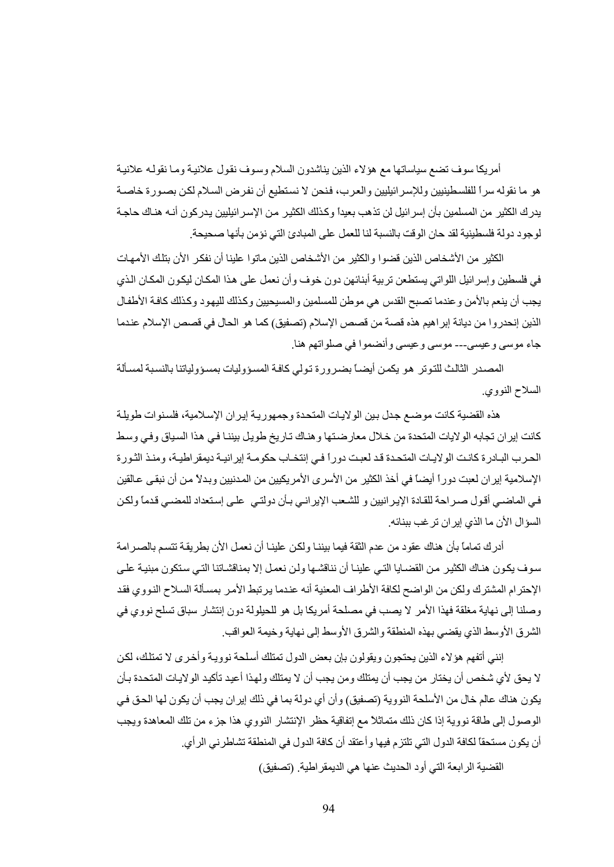أمريكا سوف تضع سياساتها مع هؤلاء الذين يناشدون السلام وسوف نقول علانية وما نقولـه علانيـة هو ما نقوله سراً للفلسطينيين وللإسر ائيليين والعرب، فنحن لا نستطيع أن نفرض السلام لكن بصورة خاصة يدرك الكثير من المسلمين بأن إسرائيل لن تذهب بعيداً وكذلك الكثير من الإسر ائيليين يدركون أنـه هنـاك حاجـة لوجود دولة فلسطينية لقد حان الوقت بالنسبة لنا للعمل على المبادئ التي نؤمن بأنها صحيحة.

الكثير من الأشخاص الذين قضوا والكثير من الأشخاص الذين ماتوا علينا أن نفكر الأن بتلك الأمهات في فلسطين وإسرائيل اللواتي يستطعن تربية أبنائهن دون خوف وأن نعمل على هذا المكان ليكون المكان الذي يجب أن ينعم بالأمن وعندما تصبح القدس هي موطن للمسلمين والمسيحيين وكذلك لليهود وكذلك كافة الأطفال الذين إنحدر وا من ديانة إبر اهيم هذه قصة من قصص الإسلام (تصفيق) كما هو الحال في قصص الإسلام عندما جاء موسى وعيسى--- موسى وعيسى وأنضموا في صلواتهم هنا.

المصدر الثالث للتوتر هو يكمن أيضاً بضرورة تولي كافة المسؤوليات بمسؤولياتنا بالنسبة لمسألة السلاح النووي.

هذه القضية كانت موضع جدل بين الولايات المتحدة وجمهورية إيران الإسلامية، فلسنوات طويلة كانت إيران تجابه الولايات المتحدة من خلال معارضتها وهناك تاريخ طويل بيننا في هذا السياق وفي وسط الحرب البادر ة كانت الولايـات المتحـدة قد لعبت دوراً فـي إنتخـاب حكومـة إير انيـة ديمقر اطيـة، ومنـذ الثـور ة الإسلامية إيران لعبت دوراً أيضاً في أخذ الكثير من الأسرى الأمريكيين من المدنيين وبدلاً من أن نبقى عالقين في الماضمي أقول صراحة للقادة الإيرانيين و للشعب الإيرانيي بـأن دولتـي علـي إستعداد للمضـي قدماً ولكن السؤال الأن ما الذي إيران ترغب ببنائه.

أدر ك تماماً بأن هناك عقود من عدم الثقة فيما بيننـا ولكن علينـا أن نعمل الأن بطر يقـة تتسم بالصـر امة سوف يكون هنـاك الكثير من القضـايا التـي علينـا أن نناقشـها ولن نعمل إلا بمناقشـاتنا التـي سنكون مبنيـة علـي الإحترام المشترك ولكن من الواضح لكافة الأطراف المعنية أنه عندما يرتبط الأمر بمسألة السلاح النووي فقد وصلنا إلى نهاية مغلقة فهذا الأمر لا يصب في مصلحة أمريكا بل هو للحيلولة دون إنتشار سباق تسلح نووي في الشرق الأوسط الذي يقضي بهذه المنطقة والشرق الأوسط إلى نهاية وخيمة العواقب.

إنني أتفهم هؤلاء الذين يحتجون ويقولون بإن بعض الدول تمتلك أسلحة نوويـة وأخرى لا تمتلك، لكن لا يحق لأي شخص أن يختار من يجب أن يمتلك ومن يجب أن لا يمتلك ولهذا أعيد تأكيد الولايات المتحدة بـأن يكون هناك عالم خال من الأسلحة النووية (تصفيق) وأن أي دولة بما في ذلك إيران يجب أن يكون لها الحق في الوصول إلى طاقة نووية إذا كان ذلك متماثلاً مع إتفاقية حظر الإنتشار النووي هذا جزء من تلك المعاهدة ويجب أن يكون مستحقاً لكافة الدول التي تلتزم فيها وأعتقد أن كافة الدول في المنطقة تشاطرني الرأي.

القضية الرابعة التي أود الحديث عنها هي الديمقراطية. (تصفيق)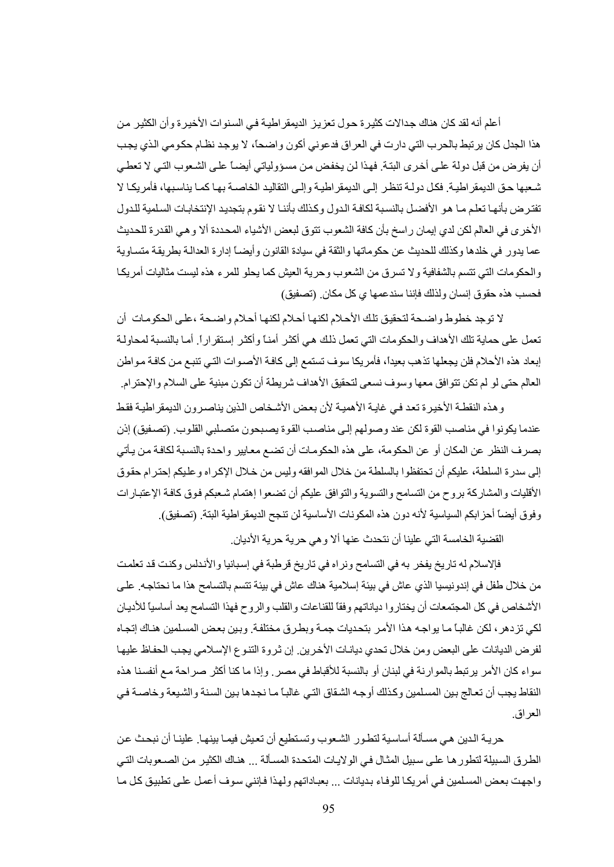أعلم أنه لقد كان هناك جدالات كثيرة حول تعزيز الديمقراطيـة في السنوات الأخيرة وأن الكثير من هذا الجدل كان يرتبط بالحرب التي دارت في العراق فدعوني أكون واضحاً، لا يوجد نظام حكومي الذي يجب أن يفرض من قبل دولة على أخرى البتة. فهذا لن يخفض من مسؤولياتي أيضـاً علـى الشـعوب التـي لا تعطـي شعبها حق الديمقر اطيـة. فكل دولـة تنظر إلـى الديمقر اطيـة وإلـى التقاليد الخاصـة بهـا كمـا يناسبها، فأمريكـا لا تفتر ض بأنها تعلم مـا هو الأفضـل بالنسبة لكافـة الـدول وكذلك بأننـا لا نقوم بتجديد الإنتخابـات السلمية للـدول الأخرى في العالم لكن لدي إيمان راسخ بأن كافة الشعوب تتوق لبعض الأشياء المحددة ألا وهي القدرة للحديث عما يدور في خلدها وكذلك للحديث عن حكوماتها والثقة في سيادة القانون وأيضـاً إدارة العدالـة بطريقـة متسـاوية والحكومات التي تتسم بالشفافية ولا تسرق من الشعوب وحرية العيش كما يحلو للمرء هذه ليست مثاليات أمريكا فحسب هذه حقوق إنسان ولذلك فإننا سندعمها ي كل مكان. (تصفيق)

لا توجد خطوط واضحة لتحقيق تلك الأحلام لكنها أحلام لكنها أحلام واضحة ،على الحكومات أن تعمل على حماية تلك الأهداف والحكومات التي تعمل ذلك هي أكثر أمنـًا وأكثر إستقرار ًا. أمـا بالنسبة لمحاولـة إبعاد هذه الأحلام فلن يجعلها تذهب بعيداً، فأمريكا سوف تستمع إلى كافـة الأصـوات التـي تنبـع من كافـة مـواطن العالم حتى لو لم تكن تتوافق معها وسوف نسعى لتحقيق الأهداف شريطة أن تكون مبنية على السلام والإحترام.

و هذه النقطـة الأخير ة تعد فـي غايـة الأهميـة لأن بعض الأشـخاص الذين يناصـر ون الديمقر اطيـة فقط عندما يكونوا في مناصب القوة لكن عند وصولهم إلى مناصب القوة يصبحون متصلبي القلوب. (تصغيق) إذن بصرف النظر عن المكان أو عن الحكومة، على هذه الحكومات أن تضـع معايير واحدة بالنسبة لكافـة من يـأتي إلى سدرة السلطة، عليكم أن تحتفظوا بالسلطة من خلال الموافقه وليس من خلال الإكراه وعليكم إحترام حقوق الأقليات والمشاركة بروح من التسامح والتسوية والتوافق عليكم أن تضعوا إهتمام شعبكم فوق كافـة الإعتبـار ات وفوق أيضاً أحزابكم السياسية لأنه دون هذه المكونات الأساسية لن تنجح الديمقراطية البتة. (تصفيق).

القضية الخامسة التي علينا أن نتحدث عنها ألا وهي حرية حرية الأديان.

فإلاسلام له تاريخ يفخر به في التسامح ونراه في تاريخ قرطبة في إسبانيا والأندلس وكنت قد تعلمت من خلال طفل في إندونيسيا الذي عاش في بيئة إسلامية هناك عاش في بيئة تتسم بالتسامح هذا ما نحتاجه. علي الأشخاص في كل المجتمعات أن يختاروا دياناتهم وفقاً للقناعات والقلب والروح فهذا التسامح يعد أساسياً للأديان لكي تزدهر ، لكن غالبـاً مـا يواجـه هذا الأمر بتحديات جمـة وبطرق مختلفـة. وبين بعض المسلمين هنـاك إتجـاه لفرض الديانات على البعض ومن خلال تحدي ديانـات الأخرين. إن ثروة التنوع الإسلامي يجب الحفـاظ عليهـا سواء كان الأمر يرتبط بالموارنة في لبنان أو بالنسبة للأقباط في مصر. وإذا ما كنا أكثر صراحة مع أنفسنا هذه النقاط يجب أن تعالج بين المسلمين وكذلك أوجه الشقاق التي غالبـًا مـا نجدها بين السنة والشيعة وخاصـة في العراق.

حرية الدين هي مسألة أساسية لتطور الشعوب وتستطيع أن تعيش فيمـا بينها. علينـا أن نبحث عن الطرق السبيلة لتطور هـا علـى سبيل المثـال فـي الولايـات المتحدة المسـألة ... هنـاك الكثير مـن الصـعوبات التـي واجهت بعض المسلمين في أمريكا للوفاء بديانات ... بعباداتهم ولهذا فإنني سوف أعمل على تطبيق كل ما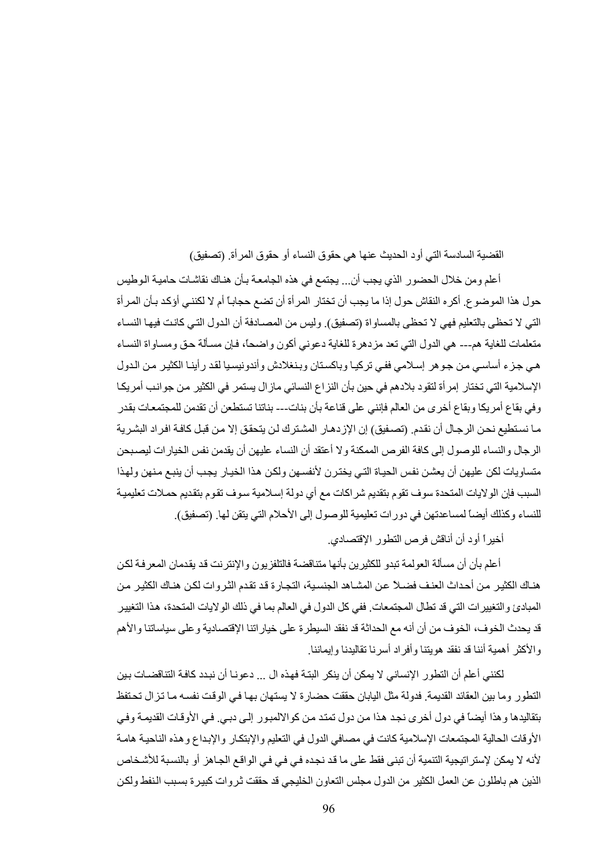القضية السادسة التي أود الحديث عنها هي حقوق النساء أو حقوق المرأة. (تصفيق)

أعلم ومن خلال الحضور الذي يجب أن... يجتمع في هذه الجامعة بـأن هنـاك نقاشـات حاميـة الـوطيس حول هذا الموضوع. أكر ه النقاش حول إذا ما يجب أن تختار المر أة أن تضع حجابـاً أم لا لكننـي أؤكد بـأن المر أة التي لا تحظى بالتعليم فهي لا تحظى بالمساواة (تصفيق). وليس من المصـادفة أن الـدول التـي كانـت فيهـا النسـاء متعلمات للغاية هم--- هي الدول التي تعد مزدهرة للغاية دعوني أكون واضحاً، فإن مسألة حق ومساواة النساء هي جزء أساسي من جوهر إسلامي ففي تركيا وباكستان وبنغلادش وأندونيسيا لقد رأينا الكثير من الدول الإسلامية التي تختار إمرأة لتقود بلادهم في حين بأن النزاع النسائي مازال يستمر في الكثير من جوانب أمريكا وفي بقاع أمريكا وبقاع أخرى من العالم فإنني على قناعة بأن بنات--- بناتنا تستطعن أن تقدمن للمجتمعات بقدر مـا نستطيع نحن الرجال أن نقدم. (تصـفيق) إن الإزدهـار المشترك لـن يتحقق إلا مـن قبـل كافـة افـراد البشـرية الرجال والنساء للوصول إلى كافة الفرص الممكنة ولا أعتقد أن النساء عليهن أن يقدمن نفس الخيارات ليصبحن متساويات لكن عليهن أن يعشن نفس الحياة التي يخترن لأنفسهن ولكن هذا الخيار يجب أن ينبع منهن ولهذا السبب فإن الولايات المتحدة سوف تقوم بتقديم شراكات مع أي دولة إسلامية سوف تقوم بتقديم حملات تعليمية للنساء وكذلك أيضاً لمساعدتهن في دور ات تعليمية للوصول إلى الأحلام التي يتقن لها. (تصفيق).

أخيراً أود أن أناقش فرص التطور الإقتصادي.

أعلم بأن أن مسألة العولمة تبدو للكثيرين بأنها متناقضة فالتلفزيون والإنترنت قد يقدمان المعرفة لكن هنـاك الكثير من أحداث العنف فضـلاً عن المشـاهد الجنسية، التجـارة قد تقدم الثروات لكن هنـاك الكثير من المبادئ والتغييرات التي قد تطال المجتمعات. ففي كل الدول في العالم بما في ذلك الولايات المتحدة، هذا التغيير قد يحدث الخوف، الخوف من أن أنه مع الحداثة قد نفقد السيطرة على خياراتنا الإقتصادية وعلى سياساتنا والأهم والأكثر أهمية أننا قد نفقد هويتنا وأفراد أسرنا تقاليدنا وإيماننا.

لكنني أعلم أن التطور الإنساني لا يمكن أن ينكر البتـة فهذه ال ... دعونـا أن نبـدد كافـة التناقضـات بـين التطور وما بين العقائد القديمة. فدولة مثل اليابان حققت حضارة لا يستهان بها في الوقت نفسه ما تزال تحتفظ بتقاليدها و هذا أيضاً في دول أخر ي نجد هذا من دول تمتد من كو الالمبور ۖ إلى دبي. في الأوقات القديمـة و في الأوقات الحالية المجتمعات الإسلامية كانت في مصـافي الدول في التعليم والإبتكار والإبداع وهذه الناحيـة هامـة لأنه لا يمكن لإستر اتيجية التنمية أن تبنى فقط على ما قد نجده في في في الواقـع الجـاهز أو بالنسبة للأشـخاص الذين هم باطلون عن العمل الكثير من الدول مجلس التعاون الخليجي قد حققت ثروات كبيرة بسبب النفط ولكن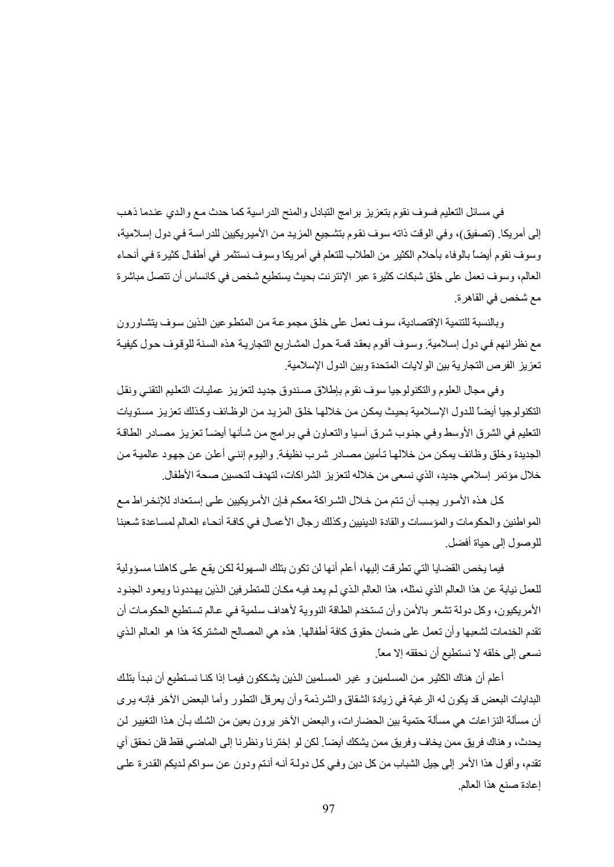في مسائل التعليم فسوف نقوم بتعزيز برامج التبادل والمنح الدراسية كما حدث مع والدي عندما ذهب إلى أمريكا. (تصفيق)، وفي الوقت ذاته سوف نقوم بتشجيع المزيد من الأميريكيين للدراسة في دول إسلامية، وسوف نقوم أيضاً بالوفاء بأحلام الكثير من الطلاب للتعلم في أمريكا وسوف نستثمر في أطفال كثيرة في أنحاء العالم، وسوف نعمل على خلق شبكات كثيرة عبر الإنترنت بحيث يستطيع شخص في كانساس أن تتصل مباشرة مع شخص في القاهرة.

وبالنسبة للتنمية الإقتصادية، سوف نعمل على خلق مجموعة من المتطوعين الذين سوف يتشاورون مع نظرائهم في دول إسلامية. وسوف أقوم بعقد قمة حول المشاريع التجارية هذه السنة للوقوف حول كيفية تعزيز الفرص التجارية بين الولايات المتحدة وبين الدول الإسلامية.

وفي مجال العلوم والتكنولوجيا سوف نقوم بإطلاق صندوق جديد لتعزيز عمليات التعليم التقني ونقل التكنولوجيا أيضاً للدول الإسلامية بحيث يمكن من خلالها خلق المزيد من الوظائف وكذلك تعزيز مستويات التعليم في الشرق الأوسط وفي جنوب شرق آسيا والتعاون في برامج من شأنها أيضاً تعزيز مصـادر الطاقة الجديدة وخلق وظائف يمكن من خلالها تـأمين مصـادر شرب نظيفة. واليوم إننـي أعلن عن جهود عالميـة من خلال مؤتمر إسلامي جديد، الذي نسعى من خلاله لتعزيز الشراكات، لتهدف لتحسين صحة الأطفال.

كل هذه الأمور يجب أن تتم من خلال الشراكة معكم فإن الأمريكيين على إستعداد للإنخر اط مـع المواطنين والحكومات والمؤسسات والقادة الدينيين وكذلك رجال الأعمال في كافة أنحاء العالم لمساعدة شعبنا للوصول إلى حياة أفضل.

فيما يخص القضايا التي تطرقت إليها، أعلم أنها لن تكون بتلك السهولة لكن يقع على كاهلنا مسؤولية للعمل نيابة عن هذا العالم الذي نمثله، هذا العالم الذي لم يعد فيه مكان للمتطرفين الذين يهددونا ويعود الجنود الأمريكيون، وكل دولة تشعر بالأمن وأن تستخدم الطاقة النووية لأهداف سلمية في عالم تستطيع الحكومات أن تقدم الخدمات لشعبها وأن تعمل على ضمان حقوق كافة أطفالها. هذه هي المصالح المشتركة هذا هو العالم الذي نسعى إلى خلقه لا نستطيع أن نحققه إلا معا.ً

أعلم أن هناك الكثير من المسلمين و غير المسلمين الذين يشككون فيمـا إذا كنـا نستطيع أن نبدأ بتلك البدايات البعض قد يكون له الرغبة في زيادة الشقاق والشرذمة وأن يعرقل التطور وأما البعض الأخر فإنـه يرى أن مسألة النزاعات هي مسألة حتمية بين الحضارات، والبعض الآخر يرون بعين من الشك بـأن هذا التغيير لن يحدث، وهناك فريق ممن يخاف وفريق ممن يشكك أيضا.ً لكن لو إخترنا ونظرنا إلى الماضي فقط فلن نحقق أي تقدم، وأقول هذا الأمر إلى جيل الشباب من كل دين وفي كل دولـة أنـه أنـتم ودون عن سواكم لديكم القدرة علمي إعادة صنع هذا العالم.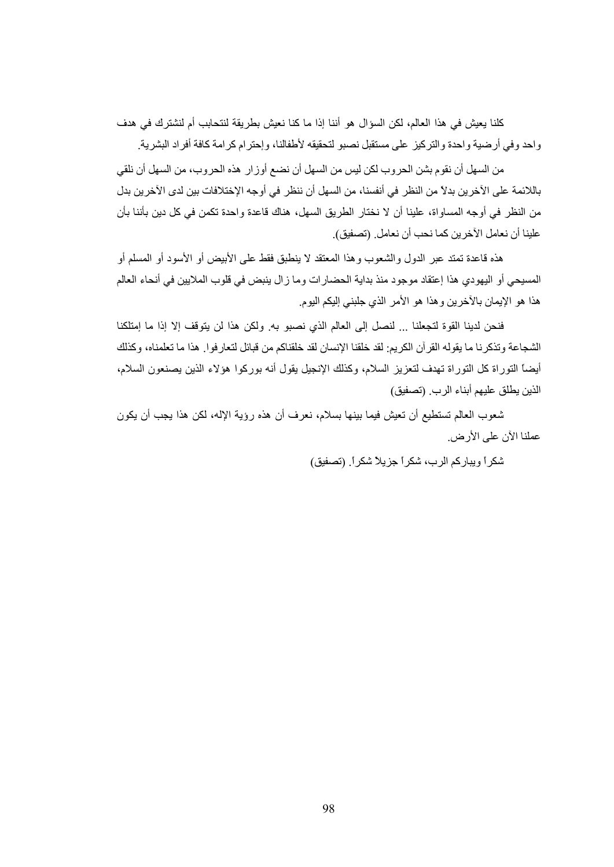كلنا يعيش في هذا العالم، لكن السؤال هو أننا إذا ما كنا نعيش بطريقة لنتحابب أم لنشترك في هدف واحد وفي أرضية واحدة والتركيز على مستقبل نصبو لتحقيقه لأطفالنا، وإحترام كرامة كافة أفراد البشرية.

من السهل أن نقوم بشن الحروب لكن ليس من السهل أن نضع أوزار هذه الحروب، من السهل أن نلقي باللائمة على الآخرين بدلاً من النظر في أنفسنا، من السهل أن ننظر في أوجه الإختلافات بين لدى الآخرين بدل من النظر في أوجه المساواة، علينا أن لا نختار الطريق السهل، هناك قاعدة واحدة تكمن في كل دين بأننا بأن علينا أن نعامل الآخرين كما نحب أن نعامل. (تصفيق).

هذه قاعدة تمتد عبر الدول والشعوب وهذا المعتقد لا ينطبق فقط على الأبيض أو الأسود أو المسلم أو المسيحي أو اليهودي هذا إعتقاد موجود منذ بداية الحضارات وما زال ينبض في قلوب الملايين في أنحاء العالم هذا هو الإيمان بالآخرين وهذا هو الأمر الذي جلبني إليكم اليوم.

فنحن لدينا القوة لتجعلنا ... لنصل إلى العالم الذي نصبو به. ولكن هذا لن يتوقف إلا إذا ما إمتلكنا الشجاعة وتذكر نا ما يقوله القر آن الكريم: لقد خلقنا الإنسان لقد خلقناكم من قبائل لتعار فوا. هذا ما تعلمناه، وكذلك أيضاً التوراة كل التوراة تهدف لتعزيز السلام، وكذلك الإنجيل يقول أنه بوركوا هؤلاء الذين يصنعون السلام، الذين يطلق عليهم أبناء الرب. (تصفيق)

شعوب العالم تستطيع أن تعيش فيما بينها بسلام، نعرف أن هذه رؤية الإله، لكن هذا يجب أن يكون عملنا الآن على الأرض.

شكراً ويباركم الرب، شكراً جزيلاً شكراً. (تصفيق)